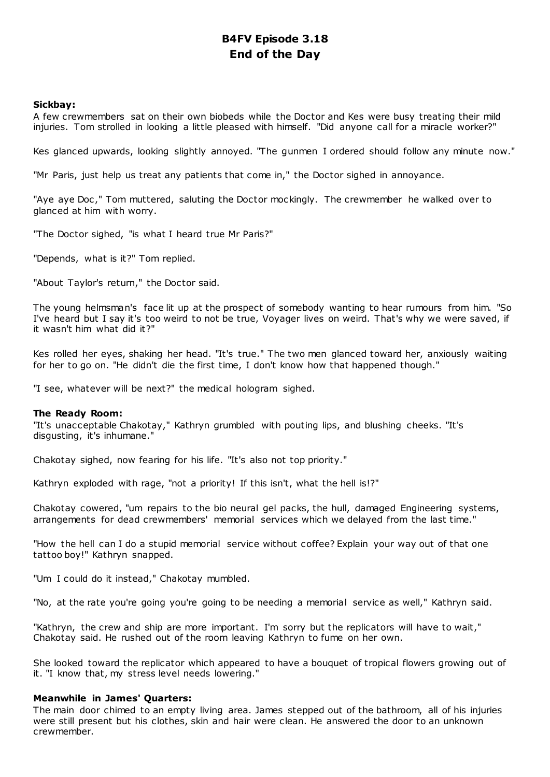## **B4FV Episode 3.18 End of the Day**

## **Sickbay:**

A few crewmembers sat on their own biobeds while the Doctor and Kes were busy treating their mild injuries. Tom strolled in looking a little pleased with himself. "Did anyone call for a miracle worker?"

Kes glanced upwards, looking slightly annoyed. "The gunmen I ordered should follow any minute now."

"Mr Paris, just help us treat any patients that come in," the Doctor sighed in annoyance.

"Aye aye Doc ," Tom muttered, saluting the Doctor mockingly. The crewmember he walked over to glanced at him with worry.

"The Doctor sighed, "is what I heard true Mr Paris?"

"Depends, what is it?" Tom replied.

"About Taylor's return," the Doctor said.

The young helmsman's face lit up at the prospect of somebody wanting to hear rumours from him. "So I've heard but I say it's too weird to not be true, Voyager lives on weird. That's why we were saved, if it wasn't him what did it?"

Kes rolled her eyes, shaking her head. "It's true." The two men glanced toward her, anxiously waiting for her to go on. "He didn't die the first time, I don't know how that happened though."

"I see, whatever will be next?" the medical hologram sighed.

## **The Ready Room:**

"It's unacceptable Chakotay," Kathryn grumbled with pouting lips, and blushing cheeks. "It's disgusting, it's inhumane."

Chakotay sighed, now fearing for his life. "It's also not top priority."

Kathryn exploded with rage, "not a priority! If this isn't, what the hell is!?"

Chakotay cowered, "um repairs to the bio neural gel packs, the hull, damaged Engineering systems, arrangements for dead crewmembers' memorial services which we delayed from the last time."

"How the hell can I do a stupid memorial service without coffee? Explain your way out of that one tattoo boy!" Kathryn snapped.

"Um I could do it instead," Chakotay mumbled.

"No, at the rate you're going you're going to be needing a memorial service as well," Kathryn said.

"Kathryn, the crew and ship are more important. I'm sorry but the replicators will have to wait," Chakotay said. He rushed out of the room leaving Kathryn to fume on her own.

She looked toward the replicator which appeared to have a bouquet of tropical flowers growing out of it. "I know that, my stress level needs lowering."

## **Meanwhile in James' Quarters:**

The main door chimed to an empty living area. James stepped out of the bathroom, all of his injuries were still present but his clothes, skin and hair were clean. He answered the door to an unknown crewmember.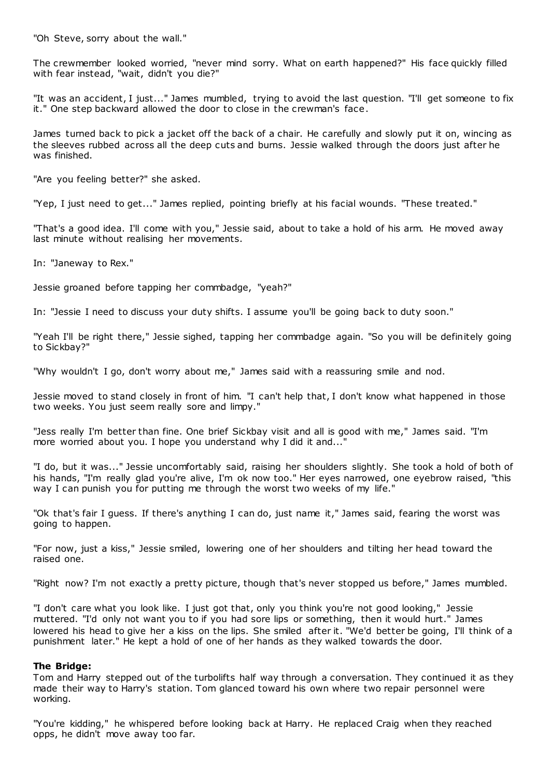"Oh Steve, sorry about the wall."

The crewmember looked worried, "never mind sorry. What on earth happened?" His face quickly filled with fear instead, "wait, didn't you die?"

"It was an accident, I just..." James mumbled, trying to avoid the last question. "I'll get someone to fix it." One step backward allowed the door to close in the crewman's face.

James turned back to pick a jacket off the back of a chair. He carefully and slowly put it on, wincing as the sleeves rubbed across all the deep cuts and burns. Jessie walked through the doors just after he was finished.

"Are you feeling better?" she asked.

"Yep, I just need to get..." James replied, pointing briefly at his facial wounds. "These treated."

"That's a good idea. I'll come with you," Jessie said, about to take a hold of his arm. He moved away last minute without realising her movements.

In: "Janeway to Rex."

Jessie groaned before tapping her commbadge, "yeah?"

In: "Jessie I need to discuss your duty shifts. I assume you'll be going back to duty soon."

"Yeah I'll be right there," Jessie sighed, tapping her commbadge again. "So you will be definitely going to Sickbay?"

"Why wouldn't I go, don't worry about me," James said with a reassuring smile and nod.

Jessie moved to stand closely in front of him. "I can't help that, I don't know what happened in those two weeks. You just seem really sore and limpy."

"Jess really I'm better than fine. One brief Sickbay visit and all is good with me," James said. "I'm more worried about you. I hope you understand why I did it and..."

"I do, but it was..." Jessie uncomfortably said, raising her shoulders slightly. She took a hold of both of his hands, "I'm really glad you're alive, I'm ok now too." Her eyes narrowed, one eyebrow raised, "this way I can punish you for putting me through the worst two weeks of my life."

"Ok that's fair I guess. If there's anything I can do, just name it," James said, fearing the worst was going to happen.

"For now, just a kiss," Jessie smiled, lowering one of her shoulders and tilting her head toward the raised one.

"Right now? I'm not exactly a pretty picture, though that's never stopped us before," James mumbled.

"I don't care what you look like. I just got that, only you think you're not good looking," Jessie muttered. "I'd only not want you to if you had sore lips or something, then it would hurt." James lowered his head to give her a kiss on the lips. She smiled after it. "We'd better be going, I'll think of a punishment later." He kept a hold of one of her hands as they walked towards the door.

## **The Bridge:**

Tom and Harry stepped out of the turbolifts half way through a conversation. They continued it as they made their way to Harry's station. Tom glanced toward his own where two repair personnel were working.

"You're kidding," he whispered before looking back at Harry. He replaced Craig when they reached opps, he didn't move away too far.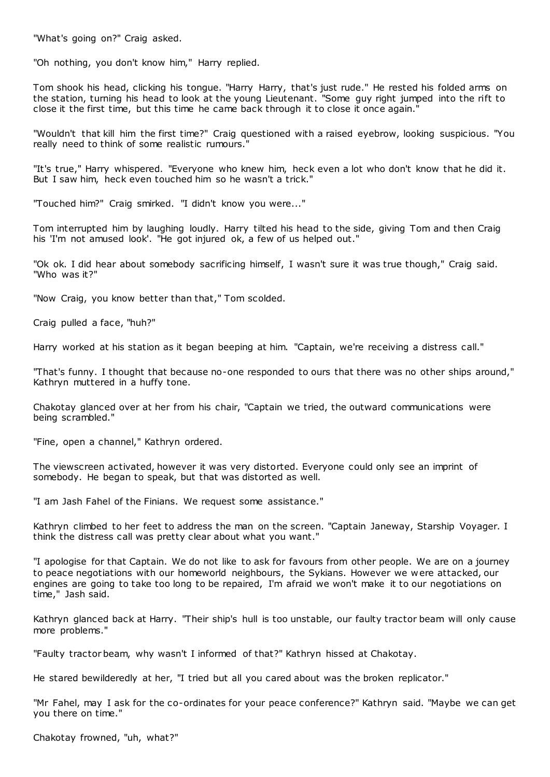"What's going on?" Craig asked.

"Oh nothing, you don't know him," Harry replied.

Tom shook his head, clicking his tongue. "Harry Harry, that's just rude." He rested his folded arms on the station, turning his head to look at the young Lieutenant. "Some guy right jumped into the rift to close it the first time, but this time he came back through it to close it once again."

"Wouldn't that kill him the first time?" Craig questioned with a raised eyebrow, looking suspicious. "You really need to think of some realistic rumours."

"It's true," Harry whispered. "Everyone who knew him, heck even a lot who don't know that he did it. But I saw him, heck even touched him so he wasn't a trick."

"Touched him?" Craig smirked. "I didn't know you were..."

Tom interrupted him by laughing loudly. Harry tilted his head to the side, giving Tom and then Craig his 'I'm not amused look'. "He got injured ok, a few of us helped out."

"Ok ok. I did hear about somebody sacrificing himself, I wasn't sure it was true though," Craig said. "Who was it?"

"Now Craig, you know better than that," Tom scolded.

Craig pulled a face, "huh?"

Harry worked at his station as it began beeping at him. "Captain, we're receiving a distress call."

"That's funny. I thought that because no-one responded to ours that there was no other ships around," Kathryn muttered in a huffy tone.

Chakotay glanced over at her from his chair, "Captain we tried, the outward communications were being scrambled."

"Fine, open a channel," Kathryn ordered.

The viewscreen activated, however it was very distorted. Everyone could only see an imprint of somebody. He began to speak, but that was distorted as well.

"I am Jash Fahel of the Finians. We request some assistance."

Kathryn climbed to her feet to address the man on the screen. "Captain Janeway, Starship Voyager. I think the distress call was pretty clear about what you want."

"I apologise for that Captain. We do not like to ask for favours from other people. We are on a journey to peace negotiations with our homeworld neighbours, the Sykians. However we w ere attacked, our engines are going to take too long to be repaired, I'm afraid we won't make it to our negotiations on time," Jash said.

Kathryn glanced back at Harry. "Their ship's hull is too unstable, our faulty tractor beam will only cause more problems."

"Faulty tractor beam, why wasn't I informed of that?" Kathryn hissed at Chakotay.

He stared bewilderedly at her, "I tried but all you cared about was the broken replicator."

"Mr Fahel, may I ask for the co-ordinates for your peace conference?" Kathryn said. "Maybe we can get you there on time."

Chakotay frowned, "uh, what?"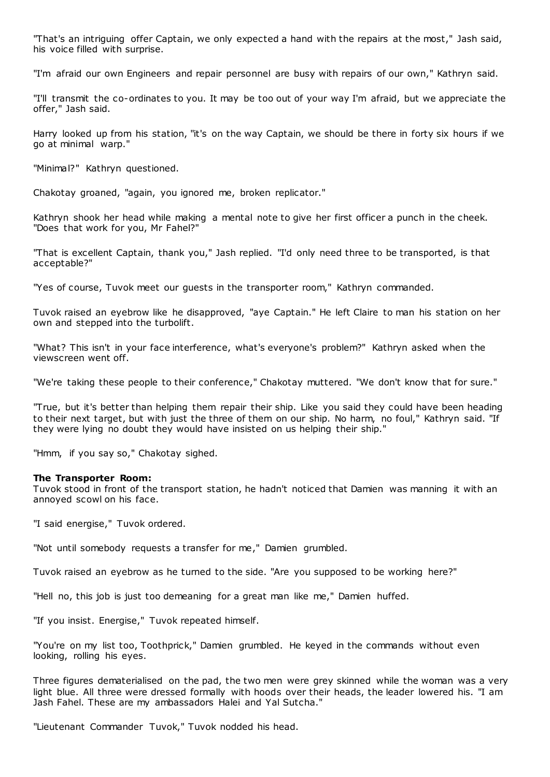"That's an intriguing offer Captain, we only expected a hand with the repairs at the most," Jash said, his voice filled with surprise.

"I'm afraid our own Engineers and repair personnel are busy with repairs of our own," Kathryn said.

"I'll transmit the co-ordinates to you. It may be too out of your way I'm afraid, but we appreciate the offer," Jash said.

Harry looked up from his station, "it's on the way Captain, we should be there in forty six hours if we go at minimal warp."

"Minimal?" Kathryn questioned.

Chakotay groaned, "again, you ignored me, broken replicator."

Kathryn shook her head while making a mental note to give her first officer a punch in the cheek. "Does that work for you, Mr Fahel?"

"That is excellent Captain, thank you," Jash replied. "I'd only need three to be transported, is that acceptable?"

"Yes of course, Tuvok meet our guests in the transporter room," Kathryn commanded.

Tuvok raised an eyebrow like he disapproved, "aye Captain." He left Claire to man his station on her own and stepped into the turbolift.

"What? This isn't in your face interference, what's everyone's problem?" Kathryn asked when the viewscreen went off.

"We're taking these people to their conference," Chakotay muttered. "We don't know that for sure."

"True, but it's better than helping them repair their ship. Like you said they could have been heading to their next target, but with just the three of them on our ship. No harm, no foul," Kathryn said. "If they were lying no doubt they would have insisted on us helping their ship."

"Hmm, if you say so," Chakotay sighed.

### **The Transporter Room:**

Tuvok stood in front of the transport station, he hadn't noticed that Damien was manning it with an annoyed scowl on his face.

"I said energise," Tuvok ordered.

"Not until somebody requests a transfer for me," Damien grumbled.

Tuvok raised an eyebrow as he turned to the side. "Are you supposed to be working here?"

"Hell no, this job is just too demeaning for a great man like me," Damien huffed.

"If you insist. Energise," Tuvok repeated himself.

"You're on my list too, Toothprick," Damien grumbled. He keyed in the commands without even looking, rolling his eyes.

Three figures dematerialised on the pad, the two men were grey skinned while the woman was a very light blue. All three were dressed formally with hoods over their heads, the leader lowered his. "I am Jash Fahel. These are my ambassadors Halei and Yal Sutcha."

"Lieutenant Commander Tuvok," Tuvok nodded his head.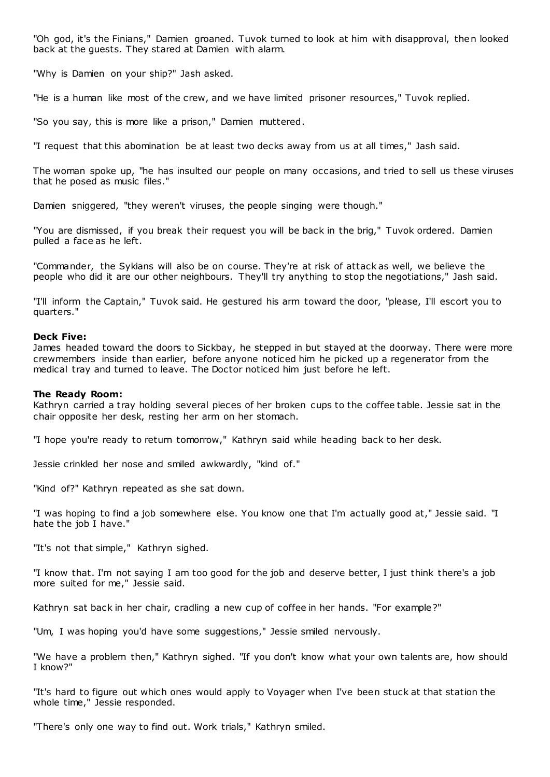"Oh god, it's the Finians," Damien groaned. Tuvok turned to look at him with disapproval, then looked back at the guests. They stared at Damien with alarm.

"Why is Damien on your ship?" Jash asked.

"He is a human like most of the crew, and we have limited prisoner resources," Tuvok replied.

"So you say, this is more like a prison," Damien muttered.

"I request that this abomination be at least two decks away from us at all times," Jash said.

The woman spoke up, "he has insulted our people on many occasions, and tried to sell us these viruses that he posed as music files."

Damien sniggered, "they weren't viruses, the people singing were though."

"You are dismissed, if you break their request you will be back in the brig," Tuvok ordered. Damien pulled a face as he left.

"Commander, the Sykians will also be on course. They're at risk of attack as well, we believe the people who did it are our other neighbours. They'll try anything to stop the negotiations," Jash said.

"I'll inform the Captain," Tuvok said. He gestured his arm toward the door, "please, I'll escort you to quarters."

#### **Deck Five:**

James headed toward the doors to Sickbay, he stepped in but stayed at the doorway. There were more crewmembers inside than earlier, before anyone noticed him he picked up a regenerator from the medical tray and turned to leave. The Doctor noticed him just before he left.

#### **The Ready Room:**

Kathryn carried a tray holding several pieces of her broken cups to the coffee table. Jessie sat in the chair opposite her desk, resting her arm on her stomach.

"I hope you're ready to return tomorrow," Kathryn said while heading back to her desk.

Jessie crinkled her nose and smiled awkwardly, "kind of."

"Kind of?" Kathryn repeated as she sat down.

"I was hoping to find a job somewhere else. You know one that I'm actually good at," Jessie said. "I hate the job I have."

"It's not that simple," Kathryn sighed.

"I know that. I'm not saying I am too good for the job and deserve better, I just think there's a job more suited for me," Jessie said.

Kathryn sat back in her chair, cradling a new cup of coffee in her hands. "For example?"

"Um, I was hoping you'd have some suggestions," Jessie smiled nervously.

"We have a problem then," Kathryn sighed. "If you don't know what your own talents are, how should I know?"

"It's hard to figure out which ones would apply to Voyager when I've been stuck at that station the whole time," Jessie responded.

"There's only one way to find out. Work trials," Kathryn smiled.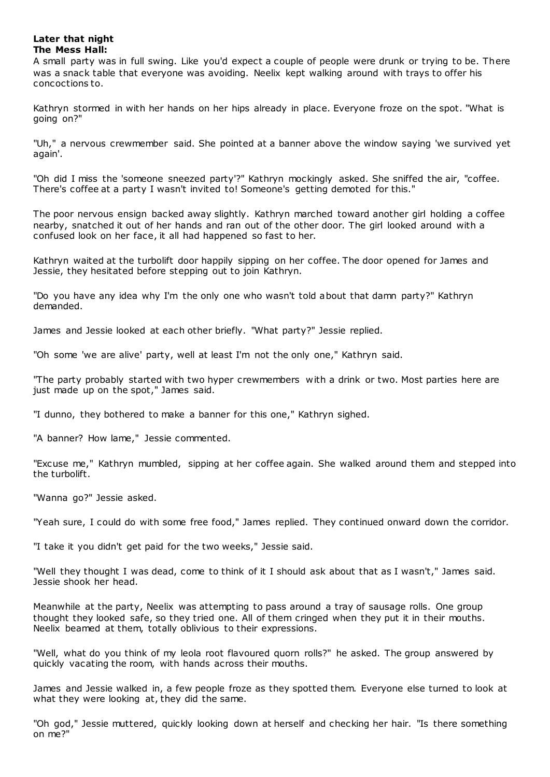## **Later that night The Mess Hall:**

A small party was in full swing. Like you'd expect a couple of people were drunk or trying to be. There was a snack table that everyone was avoiding. Neelix kept walking around with trays to offer his concoctions to.

Kathryn stormed in with her hands on her hips already in place. Everyone froze on the spot. "What is going on?"

"Uh," a nervous crewmember said. She pointed at a banner above the window saying 'we survived yet again'.

"Oh did I miss the 'someone sneezed party'?" Kathryn mockingly asked. She sniffed the air, "coffee. There's coffee at a party I wasn't invited to! Someone's getting demoted for this."

The poor nervous ensign backed away slightly. Kathryn marched toward another girl holding a coffee nearby, snatched it out of her hands and ran out of the other door. The girl looked around with a confused look on her face, it all had happened so fast to her.

Kathryn waited at the turbolift door happily sipping on her coffee. The door opened for James and Jessie, they hesitated before stepping out to join Kathryn.

"Do you have any idea why I'm the only one who wasn't told about that damn party?" Kathryn demanded.

James and Jessie looked at each other briefly. "What party?" Jessie replied.

"Oh some 'we are alive' party, well at least I'm not the only one," Kathryn said.

"The party probably started with two hyper crewmembers with a drink or two. Most parties here are just made up on the spot," James said.

"I dunno, they bothered to make a banner for this one," Kathryn sighed.

"A banner? How lame," Jessie commented.

"Excuse me," Kathryn mumbled, sipping at her coffee again. She walked around them and stepped into the turbolift.

"Wanna go?" Jessie asked.

"Yeah sure, I could do with some free food," James replied. They continued onward down the corridor.

"I take it you didn't get paid for the two weeks," Jessie said.

"Well they thought I was dead, come to think of it I should ask about that as I wasn't," James said. Jessie shook her head.

Meanwhile at the party, Neelix was attempting to pass around a tray of sausage rolls. One group thought they looked safe, so they tried one. All of them cringed when they put it in their mouths. Neelix beamed at them, totally oblivious to their expressions.

"Well, what do you think of my leola root flavoured quorn rolls?" he asked. The group answered by quickly vacating the room, with hands across their mouths.

James and Jessie walked in, a few people froze as they spotted them. Everyone else turned to look at what they were looking at, they did the same.

"Oh god," Jessie muttered, quickly looking down at herself and checking her hair. "Is there something on me?"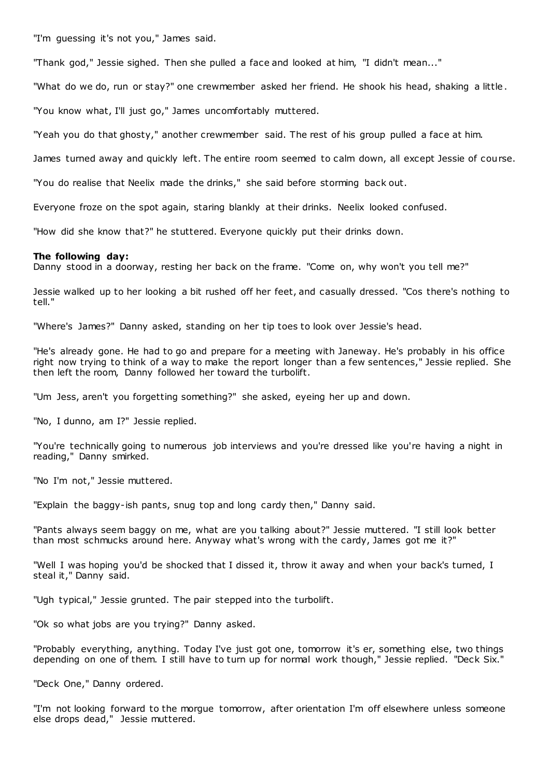"I'm guessing it's not you," James said.

"Thank god," Jessie sighed. Then she pulled a face and looked at him, "I didn't mean..."

"What do we do, run or stay?" one crewmember asked her friend. He shook his head, shaking a little .

"You know what, I'll just go," James uncomfortably muttered.

"Yeah you do that ghosty," another crewmember said. The rest of his group pulled a face at him.

James turned away and quickly left. The entire room seemed to calm down, all except Jessie of course.

"You do realise that Neelix made the drinks," she said before storming back out.

Everyone froze on the spot again, staring blankly at their drinks. Neelix looked confused.

"How did she know that?" he stuttered. Everyone quickly put their drinks down.

### **The following day:**

Danny stood in a doorway, resting her back on the frame. "Come on, why won't you tell me?"

Jessie walked up to her looking a bit rushed off her feet, and casually dressed. "Cos there's nothing to tell."

"Where's James?" Danny asked, standing on her tip toes to look over Jessie's head.

"He's already gone. He had to go and prepare for a meeting with Janeway. He's probably in his office right now trying to think of a way to make the report longer than a few sentences," Jessie replied. She then left the room, Danny followed her toward the turbolift.

"Um Jess, aren't you forgetting something?" she asked, eyeing her up and down.

"No, I dunno, am I?" Jessie replied.

"You're technically going to numerous job interviews and you're dressed like you're having a night in reading," Danny smirked.

"No I'm not," Jessie muttered.

"Explain the baggy-ish pants, snug top and long cardy then," Danny said.

"Pants always seem baggy on me, what are you talking about?" Jessie muttered. "I still look better than most schmucks around here. Anyway what's wrong with the cardy, James got me it?"

"Well I was hoping you'd be shocked that I dissed it, throw it away and when your back's turned, I steal it," Danny said.

"Ugh typical," Jessie grunted. The pair stepped into the turbolift.

"Ok so what jobs are you trying?" Danny asked.

"Probably everything, anything. Today I've just got one, tomorrow it's er, something else, two things depending on one of them. I still have to turn up for normal work though," Jessie replied. "Deck Six."

"Deck One," Danny ordered.

"I'm not looking forward to the morgue tomorrow, after orientation I'm off elsewhere unless someone else drops dead," Jessie muttered.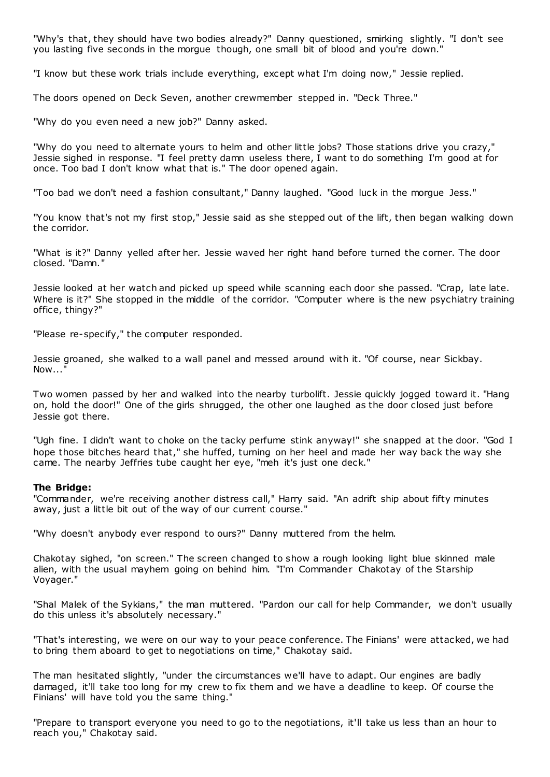"Why's that, they should have two bodies already?" Danny questioned, smirking slightly. "I don't see you lasting five seconds in the morgue though, one small bit of blood and you're down.'

"I know but these work trials include everything, except what I'm doing now," Jessie replied.

The doors opened on Deck Seven, another crewmember stepped in. "Deck Three."

"Why do you even need a new job?" Danny asked.

"Why do you need to alternate yours to helm and other little jobs? Those stations drive you crazy," Jessie sighed in response. "I feel pretty damn useless there, I want to do something I'm good at for once. Too bad I don't know what that is." The door opened again.

"Too bad we don't need a fashion consultant," Danny laughed. "Good luck in the morgue Jess."

"You know that's not my first stop," Jessie said as she stepped out of the lift, then began walking down the corridor.

"What is it?" Danny yelled after her. Jessie waved her right hand before turned the corner. The door closed. "Damn."

Jessie looked at her watch and picked up speed while scanning each door she passed. "Crap, late late. Where is it?" She stopped in the middle of the corridor. "Computer where is the new psychiatry training office, thingy?"

"Please re-specify," the computer responded.

Jessie groaned, she walked to a wall panel and messed around with it. "Of course, near Sickbay. Now...<sup>"</sup>

Two women passed by her and walked into the nearby turbolift. Jessie quickly jogged toward it. "Hang on, hold the door!" One of the girls shrugged, the other one laughed as the door closed just before Jessie got there.

"Ugh fine. I didn't want to choke on the tacky perfume stink anyway!" she snapped at the door. "God I hope those bitches heard that," she huffed, turning on her heel and made her way back the way she came. The nearby Jeffries tube caught her eye, "meh it's just one deck."

#### **The Bridge:**

"Commander, we're receiving another distress call," Harry said. "An adrift ship about fifty minutes away, just a little bit out of the way of our current course."

"Why doesn't anybody ever respond to ours?" Danny muttered from the helm.

Chakotay sighed, "on screen." The screen changed to show a rough looking light blue skinned male alien, with the usual mayhem going on behind him. "I'm Commander Chakotay of the Starship Voyager."

"Shal Malek of the Sykians," the man muttered. "Pardon our call for help Commander, we don't usually do this unless it's absolutely necessary."

"That's interesting, we were on our way to your peace conference. The Finians' were attacked, we had to bring them aboard to get to negotiations on time," Chakotay said.

The man hesitated slightly, "under the circumstances we'll have to adapt. Our engines are badly damaged, it'll take too long for my crew to fix them and we have a deadline to keep. Of course the Finians' will have told you the same thing."

"Prepare to transport everyone you need to go to the negotiations, it'll take us less than an hour to reach you," Chakotay said.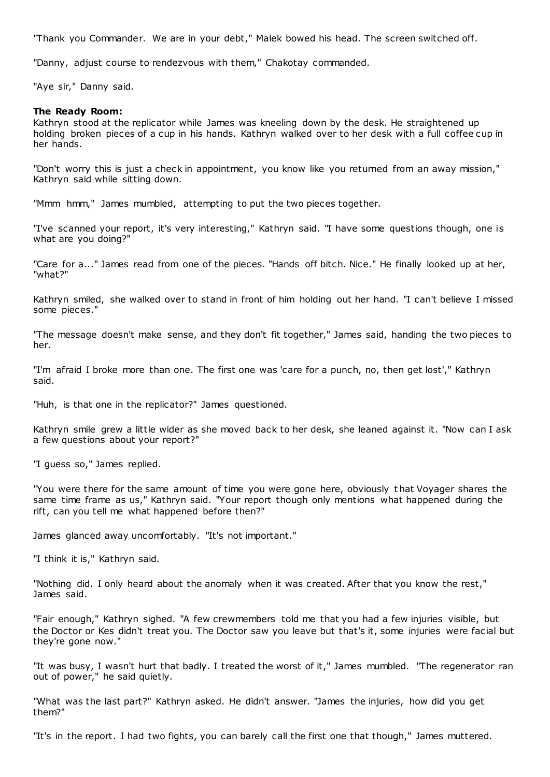"Thank you Commander. We are in your debt," Malek bowed his head. The screen switched off.

"Danny, adjust course to rendezvous with them," Chakotay commanded.

"Aye sir," Danny said.

### **The Ready Room:**

Kathryn stood at the replicator while James was kneeling down by the desk. He straightened up holding broken pieces of a cup in his hands. Kathryn walked over to her desk with a full coffee cup in her hands.

"Don't worry this is just a check in appointment, you know like you returned from an away mission," Kathryn said while sitting down.

"Mmm hmm," James mumbled, attempting to put the two pieces together.

"I've scanned your report, it's very interesting," Kathryn said. "I have some questions though, one is what are you doing?"

"Care for a..." James read from one of the pieces. "Hands off bitch. Nice." He finally looked up at her, "what?"

Kathryn smiled, she walked over to stand in front of him holding out her hand. "I can't believe I missed some pieces."

"The message doesn't make sense, and they don't fit together," James said, handing the two pieces to her.

"I'm afraid I broke more than one. The first one was 'care for a punch, no, then get lost'," Kathryn said.

"Huh, is that one in the replicator?" James questioned.

Kathryn smile grew a little wider as she moved back to her desk, she leaned against it. "Now can I ask a few questions about your report?"

"I guess so," James replied.

"You were there for the same amount of time you were gone here, obviously t hat Voyager shares the same time frame as us," Kathryn said. "Your report though only mentions what happened during the rift, can you tell me what happened before then?"

James glanced away uncomfortably. "It's not important."

"I think it is," Kathryn said.

"Nothing did. I only heard about the anomaly when it was created. After that you know the rest," James said.

"Fair enough," Kathryn sighed. "A few crewmembers told me that you had a few injuries visible, but the Doctor or Kes didn't treat you. The Doctor saw you leave but that's it, some injuries were facial but they're gone now."

"It was busy, I wasn't hurt that badly. I treated the worst of it," James mumbled. "The regenerator ran out of power," he said quietly.

"What was the last part?" Kathryn asked. He didn't answer. "James the injuries, how did you get them?"

"It's in the report. I had two fights, you can barely call the first one that though," James muttered.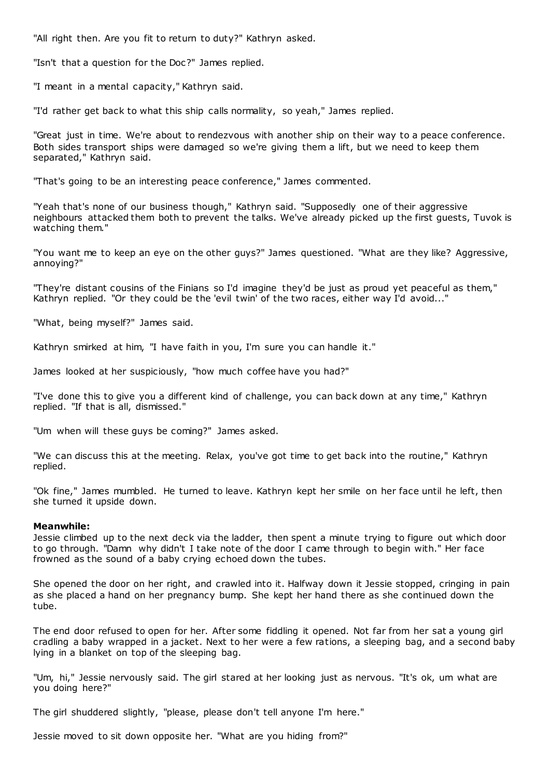"All right then. Are you fit to return to duty?" Kathryn asked.

"Isn't that a question for the Doc?" James replied.

"I meant in a mental capacity," Kathryn said.

"I'd rather get back to what this ship calls normality, so yeah," James replied.

"Great just in time. We're about to rendezvous with another ship on their way to a peace conference. Both sides transport ships were damaged so we're giving them a lift, but we need to keep them separated," Kathryn said.

"That's going to be an interesting peace conference," James commented.

"Yeah that's none of our business though," Kathryn said. "Supposedly one of their aggressive neighbours attacked them both to prevent the talks. We've already picked up the first guests, Tuvok is watching them."

"You want me to keep an eye on the other guys?" James questioned. "What are they like? Aggressive, annoying?"

"They're distant cousins of the Finians so I'd imagine they'd be just as proud yet peaceful as them," Kathryn replied. "Or they could be the 'evil twin' of the two races, either way I'd avoid..."

"What, being myself?" James said.

Kathryn smirked at him, "I have faith in you, I'm sure you can handle it."

James looked at her suspiciously, "how much coffee have you had?"

"I've done this to give you a different kind of challenge, you can back down at any time," Kathryn replied. "If that is all, dismissed."

"Um when will these guys be coming?" James asked.

"We can discuss this at the meeting. Relax, you've got time to get back into the routine," Kathryn replied.

"Ok fine," James mumbled. He turned to leave. Kathryn kept her smile on her face until he left, then she turned it upside down.

## **Meanwhile:**

Jessie climbed up to the next deck via the ladder, then spent a minute trying to figure out which door to go through. "Damn why didn't I take note of the door I came through to begin with." Her face frowned as the sound of a baby crying echoed down the tubes.

She opened the door on her right, and crawled into it. Halfway down it Jessie stopped, cringing in pain as she placed a hand on her pregnancy bump. She kept her hand there as she continued down the tube.

The end door refused to open for her. After some fiddling it opened. Not far from her sat a young girl cradling a baby wrapped in a jacket. Next to her were a few rations, a sleeping bag, and a second baby lying in a blanket on top of the sleeping bag.

"Um, hi," Jessie nervously said. The girl stared at her looking just as nervous. "It's ok, um what are you doing here?"

The girl shuddered slightly, "please, please don't tell anyone I'm here."

Jessie moved to sit down opposite her. "What are you hiding from?"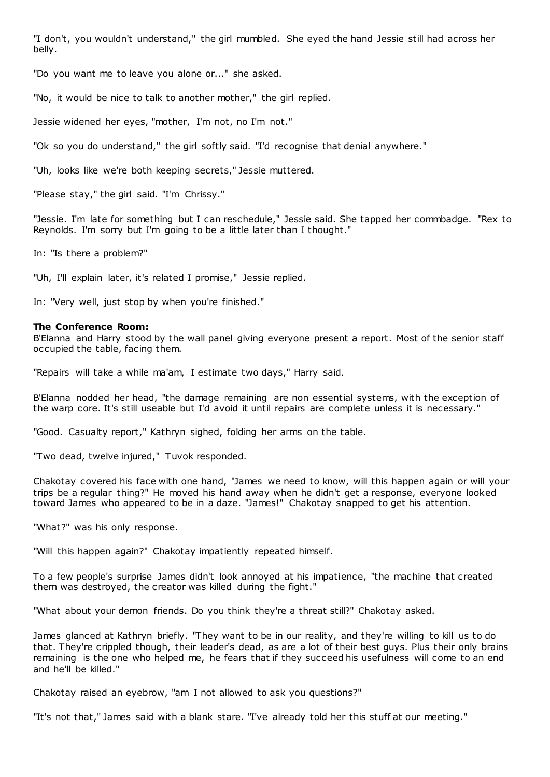"I don't, you wouldn't understand," the girl mumbled. She eyed the hand Jessie still had across her belly.

"Do you want me to leave you alone or..." she asked.

"No, it would be nice to talk to another mother," the girl replied.

Jessie widened her eyes, "mother, I'm not, no I'm not."

"Ok so you do understand," the girl softly said. "I'd recognise that denial anywhere."

"Uh, looks like we're both keeping secrets," Jessie muttered.

"Please stay," the girl said. "I'm Chrissy."

"Jessie. I'm late for something but I can reschedule," Jessie said. She tapped her commbadge. "Rex to Reynolds. I'm sorry but I'm going to be a little later than I thought."

In: "Is there a problem?"

"Uh, I'll explain later, it's related I promise," Jessie replied.

In: "Very well, just stop by when you're finished."

## **The Conference Room:**

B'Elanna and Harry stood by the wall panel giving everyone present a report. Most of the senior staff occupied the table, facing them.

"Repairs will take a while ma'am, I estimate two days," Harry said.

B'Elanna nodded her head, "the damage remaining are non essential systems, with the exception of the warp core. It's still useable but I'd avoid it until repairs are complete unless it is necessary."

"Good. Casualty report," Kathryn sighed, folding her arms on the table.

"Two dead, twelve injured," Tuvok responded.

Chakotay covered his face with one hand, "James we need to know, will this happen again or will your trips be a regular thing?" He moved his hand away when he didn't get a response, everyone looked toward James who appeared to be in a daze. "James!" Chakotay snapped to get his attention.

"What?" was his only response.

"Will this happen again?" Chakotay impatiently repeated himself.

To a few people's surprise James didn't look annoyed at his impatience, "the machine that created them was destroyed, the creator was killed during the fight."

"What about your demon friends. Do you think they're a threat still?" Chakotay asked.

James glanced at Kathryn briefly. "They want to be in our reality, and they're willing to kill us to do that. They're crippled though, their leader's dead, as are a lot of their best guys. Plus their only brains remaining is the one who helped me, he fears that if they succeed his usefulness will come to an end and he'll be killed."

Chakotay raised an eyebrow, "am I not allowed to ask you questions?"

"It's not that," James said with a blank stare. "I've already told her this stuff at our meeting."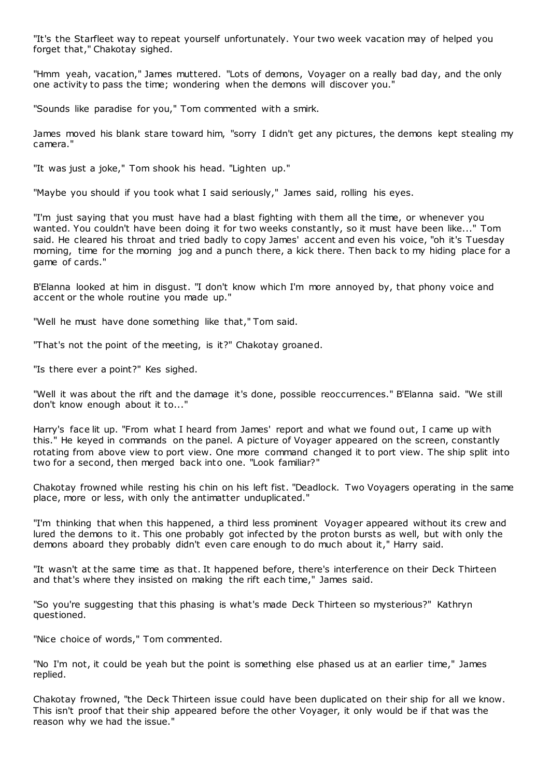"It's the Starfleet way to repeat yourself unfortunately. Your two week vacation may of helped you forget that," Chakotay sighed.

"Hmm yeah, vacation," James muttered. "Lots of demons, Voyager on a really bad day, and the only one activity to pass the time; wondering when the demons will discover you."

"Sounds like paradise for you," Tom commented with a smirk.

James moved his blank stare toward him, "sorry I didn't get any pictures, the demons kept stealing my camera."

"It was just a joke," Tom shook his head. "Lighten up."

"Maybe you should if you took what I said seriously," James said, rolling his eyes.

"I'm just saying that you must have had a blast fighting with them all the time, or whenever you wanted. You couldn't have been doing it for two weeks constantly, so it must have been like..." Tom said. He cleared his throat and tried badly to copy James' accent and even his voice, "oh it's Tuesday morning, time for the morning jog and a punch there, a kick there. Then back to my hiding place for a game of cards."

B'Elanna looked at him in disgust. "I don't know which I'm more annoyed by, that phony voice and accent or the whole routine you made up."

"Well he must have done something like that," Tom said.

"That's not the point of the meeting, is it?" Chakotay groaned.

"Is there ever a point?" Kes sighed.

"Well it was about the rift and the damage it's done, possible reoccurrences." B'Elanna said. "We still don't know enough about it to..."

Harry's face lit up. "From what I heard from James' report and what we found out, I came up with this." He keyed in commands on the panel. A picture of Voyager appeared on the screen, constantly rotating from above view to port view. One more command changed it to port view. The ship split into two for a second, then merged back into one. "Look familiar?"

Chakotay frowned while resting his chin on his left fist. "Deadlock. Two Voyagers operating in the same place, more or less, with only the antimatter unduplicated."

"I'm thinking that when this happened, a third less prominent Voyager appeared without its crew and lured the demons to it. This one probably got infected by the proton bursts as well, but with only the demons aboard they probably didn't even care enough to do much about it," Harry said.

"It wasn't at the same time as that. It happened before, there's interference on their Deck Thirteen and that's where they insisted on making the rift each time," James said.

"So you're suggesting that this phasing is what's made Deck Thirteen so mysterious?" Kathryn questioned.

"Nice choice of words," Tom commented.

"No I'm not, it could be yeah but the point is something else phased us at an earlier time," James replied.

Chakotay frowned, "the Deck Thirteen issue could have been duplicated on their ship for all we know. This isn't proof that their ship appeared before the other Voyager, it only would be if that was the reason why we had the issue."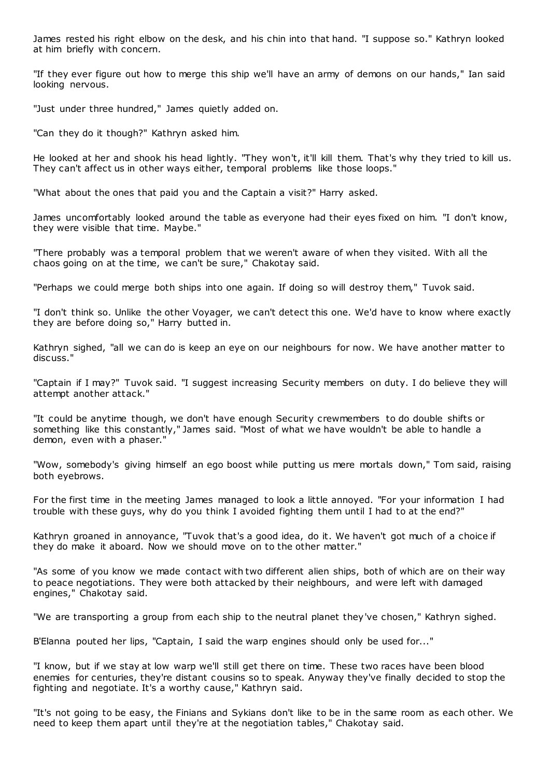James rested his right elbow on the desk, and his chin into that hand. "I suppose so." Kathryn looked at him briefly with concern.

"If they ever figure out how to merge this ship we'll have an army of demons on our hands," Ian said looking nervous.

"Just under three hundred," James quietly added on.

"Can they do it though?" Kathryn asked him.

He looked at her and shook his head lightly. "They won't, it'll kill them. That's why they tried to kill us. They can't affect us in other ways either, temporal problems like those loops."

"What about the ones that paid you and the Captain a visit?" Harry asked.

James uncomfortably looked around the table as everyone had their eyes fixed on him. "I don't know, they were visible that time. Maybe."

"There probably was a temporal problem that we weren't aware of when they visited. With all the chaos going on at the time, we can't be sure," Chakotay said.

"Perhaps we could merge both ships into one again. If doing so will destroy them," Tuvok said.

"I don't think so. Unlike the other Voyager, we can't detect this one. We'd have to know where exactly they are before doing so," Harry butted in.

Kathryn sighed, "all we can do is keep an eye on our neighbours for now. We have another matter to discuss."

"Captain if I may?" Tuvok said. "I suggest increasing Security members on duty. I do believe they will attempt another attack."

"It could be anytime though, we don't have enough Security crewmembers to do double shifts or something like this constantly," James said. "Most of what we have wouldn't be able to handle a demon, even with a phaser."

"Wow, somebody's giving himself an ego boost while putting us mere mortals down," Tom said, raising both eyebrows.

For the first time in the meeting James managed to look a little annoyed. "For your information I had trouble with these guys, why do you think I avoided fighting them until I had to at the end?"

Kathryn groaned in annoyance, "Tuvok that's a good idea, do it. We haven't got much of a choice if they do make it aboard. Now we should move on to the other matter."

"As some of you know we made contact with two different alien ships, both of which are on their way to peace negotiations. They were both attacked by their neighbours, and were left with damaged engines," Chakotay said.

"We are transporting a group from each ship to the neutral planet they've chosen," Kathryn sighed.

B'Elanna pouted her lips, "Captain, I said the warp engines should only be used for..."

"I know, but if we stay at low warp we'll still get there on time. These two races have been blood enemies for centuries, they're distant cousins so to speak. Anyway they've finally decided to stop the fighting and negotiate. It's a worthy cause," Kathryn said.

"It's not going to be easy, the Finians and Sykians don't like to be in the same room as each other. We need to keep them apart until they're at the negotiation tables," Chakotay said.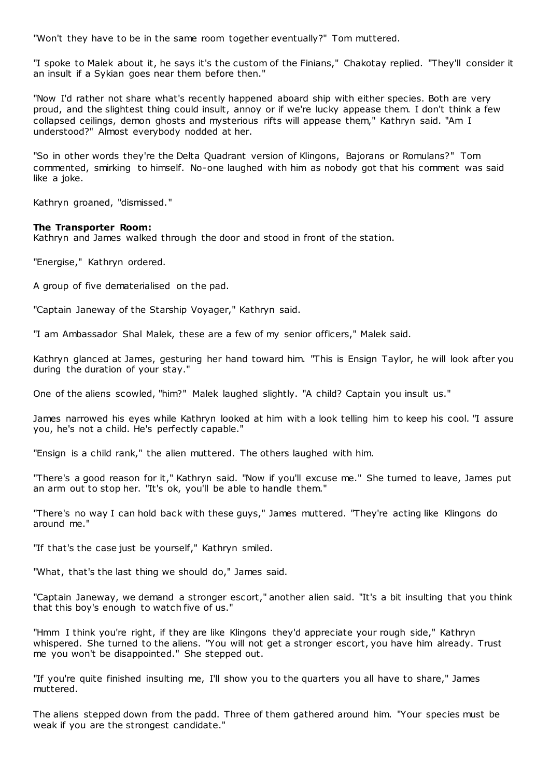"Won't they have to be in the same room together eventually?" Tom muttered.

"I spoke to Malek about it, he says it's the custom of the Finians," Chakotay replied. "They'll consider it an insult if a Sykian goes near them before then."

"Now I'd rather not share what's recently happened aboard ship with either species. Both are very proud, and the slightest thing could insult, annoy or if we're lucky appease them. I don't think a few collapsed ceilings, demon ghosts and mysterious rifts will appease them," Kathryn said. "Am I understood?" Almost everybody nodded at her.

"So in other words they're the Delta Quadrant version of Klingons, Bajorans or Romulans?" Tom commented, smirking to himself. No-one laughed with him as nobody got that his comment was said like a joke.

Kathryn groaned, "dismissed."

## **The Transporter Room:**

Kathryn and James walked through the door and stood in front of the station.

"Energise," Kathryn ordered.

A group of five dematerialised on the pad.

"Captain Janeway of the Starship Voyager," Kathryn said.

"I am Ambassador Shal Malek, these are a few of my senior officers," Malek said.

Kathryn glanced at James, gesturing her hand toward him. "This is Ensign Taylor, he will look after you during the duration of your stay."

One of the aliens scowled, "him?" Malek laughed slightly. "A child? Captain you insult us."

James narrowed his eyes while Kathryn looked at him with a look telling him to keep his cool. "I assure you, he's not a child. He's perfectly capable."

"Ensign is a child rank," the alien muttered. The others laughed with him.

"There's a good reason for it," Kathryn said. "Now if you'll excuse me." She turned to leave, James put an arm out to stop her. "It's ok, you'll be able to handle them."

"There's no way I can hold back with these guys," James muttered. "They're acting like Klingons do around me."

"If that's the case just be yourself," Kathryn smiled.

"What, that's the last thing we should do," James said.

"Captain Janeway, we demand a stronger escort," another alien said. "It's a bit insulting that you think that this boy's enough to watch five of us."

"Hmm I think you're right, if they are like Klingons they'd appreciate your rough side," Kathryn whispered. She turned to the aliens. "You will not get a stronger escort, you have him already. Trust me you won't be disappointed." She stepped out.

"If you're quite finished insulting me, I'll show you to the quarters you all have to share," James muttered.

The aliens stepped down from the padd. Three of them gathered around him. "Your species must be weak if you are the strongest candidate."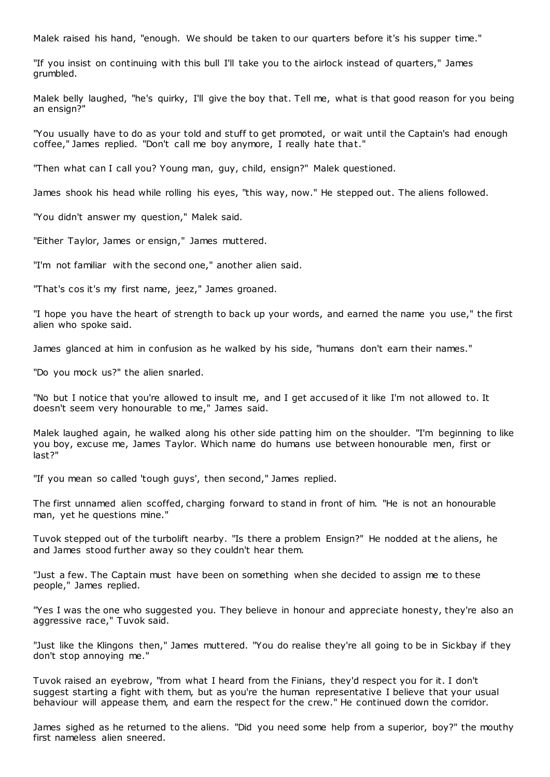Malek raised his hand, "enough. We should be taken to our quarters before it's his supper time."

"If you insist on continuing with this bull I'll take you to the airlock instead of quarters," James grumbled.

Malek belly laughed, "he's quirky, I'll give the boy that. Tell me, what is that good reason for you being an ensign?"

"You usually have to do as your told and stuff to get promoted, or wait until the Captain's had enough coffee," James replied. "Don't call me boy anymore, I really hate that."

"Then what can I call you? Young man, guy, child, ensign?" Malek questioned.

James shook his head while rolling his eyes, "this way, now." He stepped out. The aliens followed.

"You didn't answer my question," Malek said.

"Either Taylor, James or ensign," James muttered.

"I'm not familiar with the second one," another alien said.

"That's cos it's my first name, jeez," James groaned.

"I hope you have the heart of strength to back up your words, and earned the name you use," the first alien who spoke said.

James glanced at him in confusion as he walked by his side, "humans don't earn their names."

"Do you mock us?" the alien snarled.

"No but I notice that you're allowed to insult me, and I get accused of it like I'm not allowed to. It doesn't seem very honourable to me," James said.

Malek laughed again, he walked along his other side patting him on the shoulder. "I'm beginning to like you boy, excuse me, James Taylor. Which name do humans use between honourable men, first or last?"

"If you mean so called 'tough guys', then second," James replied.

The first unnamed alien scoffed, charging forward to stand in front of him. "He is not an honourable man, yet he questions mine."

Tuvok stepped out of the turbolift nearby. "Is there a problem Ensign?" He nodded at t he aliens, he and James stood further away so they couldn't hear them.

"Just a few. The Captain must have been on something when she decided to assign me to these people," James replied.

"Yes I was the one who suggested you. They believe in honour and appreciate honesty, they're also an aggressive race," Tuvok said.

"Just like the Klingons then," James muttered. "You do realise they're all going to be in Sickbay if they don't stop annoying me."

Tuvok raised an eyebrow, "from what I heard from the Finians, they'd respect you for it. I don't suggest starting a fight with them, but as you're the human representative I believe that your usual behaviour will appease them, and earn the respect for the crew." He continued down the corridor.

James sighed as he returned to the aliens. "Did you need some help from a superior, boy?" the mouthy first nameless alien sneered.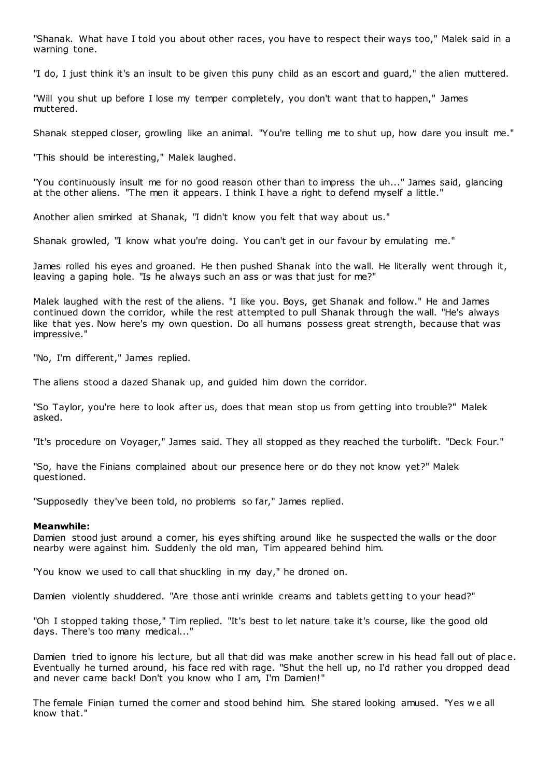"Shanak. What have I told you about other races, you have to respect their ways too," Malek said in a warning tone.

"I do, I just think it's an insult to be given this puny child as an escort and guard," the alien muttered.

"Will you shut up before I lose my temper completely, you don't want that to happen," James muttered.

Shanak stepped closer, growling like an animal. "You're telling me to shut up, how dare you insult me."

"This should be interesting," Malek laughed.

"You continuously insult me for no good reason other than to impress the uh..." James said, glancing at the other aliens. "The men it appears. I think I have a right to defend myself a little."

Another alien smirked at Shanak, "I didn't know you felt that way about us."

Shanak growled, "I know what you're doing. You can't get in our favour by emulating me."

James rolled his eyes and groaned. He then pushed Shanak into the wall. He literally went through it, leaving a gaping hole. "Is he always such an ass or was that just for me?"

Malek laughed with the rest of the aliens. "I like you. Boys, get Shanak and follow." He and James continued down the corridor, while the rest attempted to pull Shanak through the wall. "He's always like that yes. Now here's my own question. Do all humans possess great strength, because that was impressive."

"No, I'm different," James replied.

The aliens stood a dazed Shanak up, and guided him down the corridor.

"So Taylor, you're here to look after us, does that mean stop us from getting into trouble?" Malek asked.

"It's procedure on Voyager," James said. They all stopped as they reached the turbolift. "Deck Four."

"So, have the Finians complained about our presence here or do they not know yet?" Malek questioned.

"Supposedly they've been told, no problems so far," James replied.

## **Meanwhile:**

Damien stood just around a corner, his eyes shifting around like he suspected the walls or the door nearby were against him. Suddenly the old man, Tim appeared behind him.

"You know we used to call that shuckling in my day," he droned on.

Damien violently shuddered. "Are those anti wrinkle creams and tablets getting to your head?"

"Oh I stopped taking those," Tim replied. "It's best to let nature take it's course, like the good old days. There's too many medical..."

Damien tried to ignore his lecture, but all that did was make another screw in his head fall out of plac e. Eventually he turned around, his face red with rage. "Shut the hell up, no I'd rather you dropped dead and never came back! Don't you know who I am, I'm Damien!"

The female Finian turned the corner and stood behind him. She stared looking amused. "Yes w e all know that."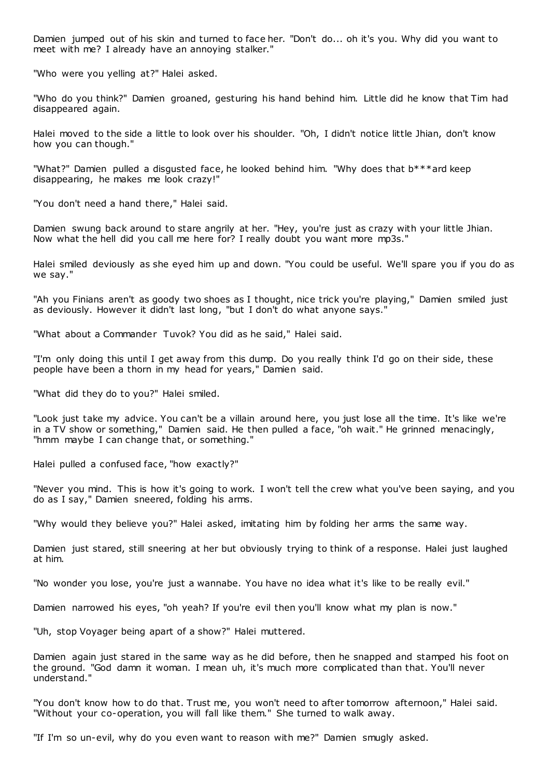Damien jumped out of his skin and turned to face her. "Don't do... oh it's you. Why did you want to meet with me? I already have an annoying stalker."

"Who were you yelling at?" Halei asked.

"Who do you think?" Damien groaned, gesturing his hand behind him. Little did he know that Tim had disappeared again.

Halei moved to the side a little to look over his shoulder. "Oh, I didn't notice little Jhian, don't know how you can though."

"What?" Damien pulled a disgusted face, he looked behind him. "Why does that b\*\*\*ard keep disappearing, he makes me look crazy!"

"You don't need a hand there," Halei said.

Damien swung back around to stare angrily at her. "Hey, you're just as crazy with your little Jhian. Now what the hell did you call me here for? I really doubt you want more mp3s."

Halei smiled deviously as she eyed him up and down. "You could be useful. We'll spare you if you do as we say."

"Ah you Finians aren't as goody two shoes as I thought, nice trick you're playing," Damien smiled just as deviously. However it didn't last long, "but I don't do what anyone says."

"What about a Commander Tuvok? You did as he said," Halei said.

"I'm only doing this until I get away from this dump. Do you really think I'd go on their side, these people have been a thorn in my head for years," Damien said.

"What did they do to you?" Halei smiled.

"Look just take my advice. You can't be a villain around here, you just lose all the time. It's like we're in a TV show or something," Damien said. He then pulled a face, "oh wait." He grinned menacingly, "hmm maybe I can change that, or something."

Halei pulled a confused face, "how exactly?"

"Never you mind. This is how it's going to work. I won't tell the crew what you've been saying, and you do as I say," Damien sneered, folding his arms.

"Why would they believe you?" Halei asked, imitating him by folding her arms the same way.

Damien just stared, still sneering at her but obviously trying to think of a response. Halei just laughed at him.

"No wonder you lose, you're just a wannabe. You have no idea what it's like to be really evil."

Damien narrowed his eyes, "oh yeah? If you're evil then you'll know what my plan is now."

"Uh, stop Voyager being apart of a show?" Halei muttered.

Damien again just stared in the same way as he did before, then he snapped and stamped his foot on the ground. "God damn it woman. I mean uh, it's much more complicated than that. You'll never understand."

"You don't know how to do that. Trust me, you won't need to after tomorrow afternoon," Halei said. "Without your co-operation, you will fall like them." She turned to walk away.

"If I'm so un-evil, why do you even want to reason with me?" Damien smugly asked.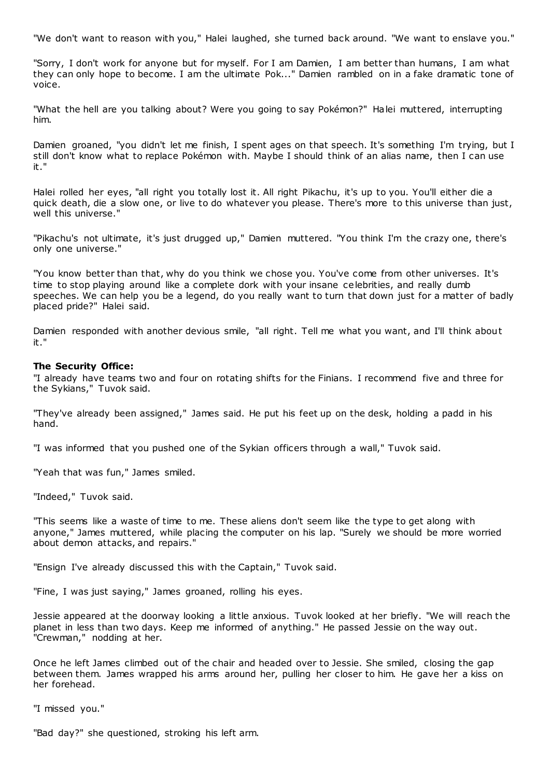"We don't want to reason with you," Halei laughed, she turned back around. "We want to enslave you."

"Sorry, I don't work for anyone but for myself. For I am Damien, I am better than humans, I am what they can only hope to become. I am the ultimate Pok..." Damien rambled on in a fake dramatic tone of voice.

"What the hell are you talking about? Were you going to say Pokémon?" Halei muttered, interrupting him.

Damien groaned, "you didn't let me finish, I spent ages on that speech. It's something I'm trying, but I still don't know what to replace Pokémon with. Maybe I should think of an alias name, then I can use it."

Halei rolled her eyes, "all right you totally lost it. All right Pikachu, it's up to you. You'll either die a quick death, die a slow one, or live to do whatever you please. There's more to this universe than just, well this universe."

"Pikachu's not ultimate, it's just drugged up," Damien muttered. "You think I'm the crazy one, there's only one universe."

"You know better than that, why do you think we chose you. You've come from other universes. It's time to stop playing around like a complete dork with your insane celebrities, and really dumb speeches. We can help you be a legend, do you really want to turn that down just for a matter of badly placed pride?" Halei said.

Damien responded with another devious smile, "all right. Tell me what you want, and I'll think about it."

## **The Security Office:**

"I already have teams two and four on rotating shifts for the Finians. I recommend five and three for the Sykians," Tuvok said.

"They've already been assigned," James said. He put his feet up on the desk, holding a padd in his hand.

"I was informed that you pushed one of the Sykian officers through a wall," Tuvok said.

"Yeah that was fun," James smiled.

"Indeed," Tuvok said.

"This seems like a waste of time to me. These aliens don't seem like the type to get along with anyone," James muttered, while placing the computer on his lap. "Surely we should be more worried about demon attacks, and repairs."

"Ensign I've already discussed this with the Captain," Tuvok said.

"Fine, I was just saying," James groaned, rolling his eyes.

Jessie appeared at the doorway looking a little anxious. Tuvok looked at her briefly. "We will reach the planet in less than two days. Keep me informed of anything." He passed Jessie on the way out. "Crewman," nodding at her.

Once he left James climbed out of the chair and headed over to Jessie. She smiled, closing the gap between them. James wrapped his arms around her, pulling her closer to him. He gave her a kiss on her forehead.

"I missed you."

"Bad day?" she questioned, stroking his left arm.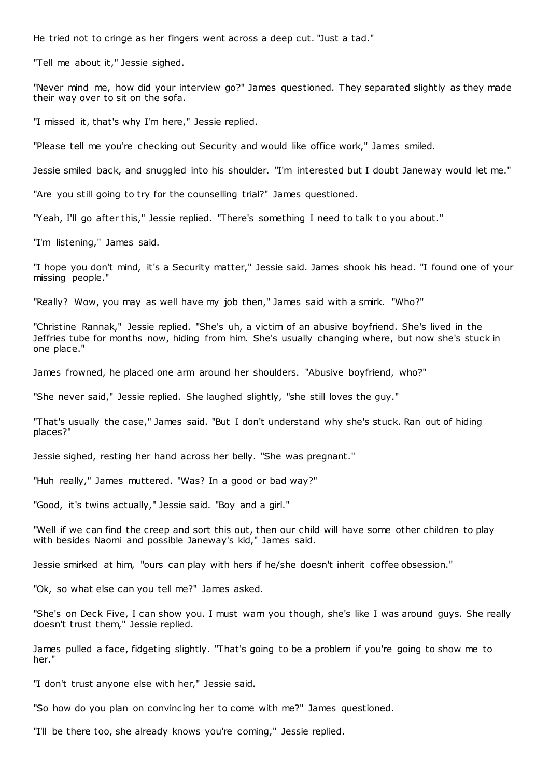He tried not to cringe as her fingers went across a deep cut. "Just a tad."

"Tell me about it," Jessie sighed.

"Never mind me, how did your interview go?" James questioned. They separated slightly as they made their way over to sit on the sofa.

"I missed it, that's why I'm here," Jessie replied.

"Please tell me you're checking out Security and would like office work," James smiled.

Jessie smiled back, and snuggled into his shoulder. "I'm interested but I doubt Janeway would let me."

"Are you still going to try for the counselling trial?" James questioned.

"Yeah, I'll go after this," Jessie replied. "There's something I need to talk to you about."

"I'm listening," James said.

"I hope you don't mind, it's a Security matter," Jessie said. James shook his head. "I found one of your missing people."

"Really? Wow, you may as well have my job then," James said with a smirk. "Who?"

"Christine Rannak," Jessie replied. "She's uh, a victim of an abusive boyfriend. She's lived in the Jeffries tube for months now, hiding from him. She's usually changing where, but now she's stuck in one place."

James frowned, he placed one arm around her shoulders. "Abusive boyfriend, who?"

"She never said," Jessie replied. She laughed slightly, "she still loves the guy."

"That's usually the case," James said. "But I don't understand why she's stuck. Ran out of hiding places?"

Jessie sighed, resting her hand across her belly. "She was pregnant."

"Huh really," James muttered. "Was? In a good or bad way?"

"Good, it's twins actually," Jessie said. "Boy and a girl."

"Well if we can find the creep and sort this out, then our child will have some other children to play with besides Naomi and possible Janeway's kid," James said.

Jessie smirked at him, "ours can play with hers if he/she doesn't inherit coffee obsession."

"Ok, so what else can you tell me?" James asked.

"She's on Deck Five, I can show you. I must warn you though, she's like I was around guys. She really doesn't trust them," Jessie replied.

James pulled a face, fidgeting slightly. "That's going to be a problem if you're going to show me to her."

"I don't trust anyone else with her," Jessie said.

"So how do you plan on convincing her to come with me?" James questioned.

"I'll be there too, she already knows you're coming," Jessie replied.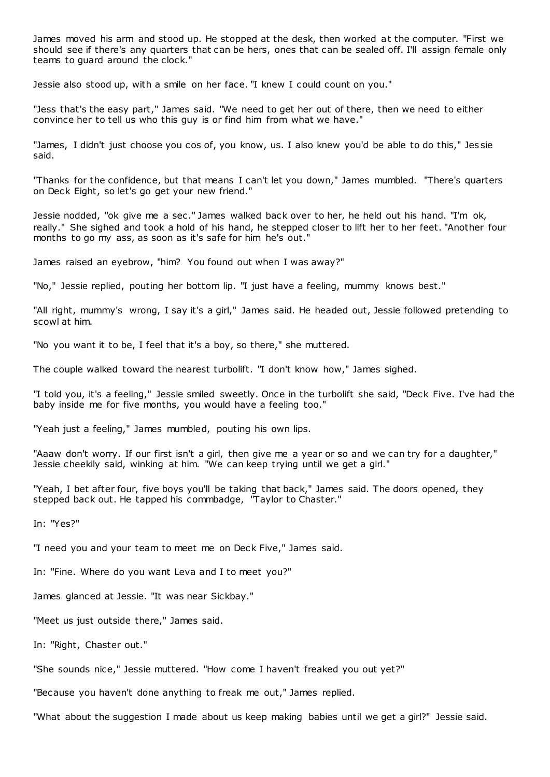James moved his arm and stood up. He stopped at the desk, then worked at the computer. "First we should see if there's any quarters that can be hers, ones that can be sealed off. I'll assign female only teams to guard around the clock."

Jessie also stood up, with a smile on her face. "I knew I could count on you."

"Jess that's the easy part," James said. "We need to get her out of there, then we need to either convince her to tell us who this guy is or find him from what we have."

"James, I didn't just choose you cos of, you know, us. I also knew you'd be able to do this," Jes sie said.

"Thanks for the confidence, but that means I can't let you down," James mumbled. "There's quarters on Deck Eight, so let's go get your new friend."

Jessie nodded, "ok give me a sec ." James walked back over to her, he held out his hand. "I'm ok, really." She sighed and took a hold of his hand, he stepped closer to lift her to her feet. "Another four months to go my ass, as soon as it's safe for him he's out."

James raised an eyebrow, "him? You found out when I was away?"

"No," Jessie replied, pouting her bottom lip. "I just have a feeling, mummy knows best."

"All right, mummy's wrong, I say it's a girl," James said. He headed out, Jessie followed pretending to scowl at him.

"No you want it to be, I feel that it's a boy, so there," she muttered.

The couple walked toward the nearest turbolift. "I don't know how," James sighed.

"I told you, it's a feeling," Jessie smiled sweetly. Once in the turbolift she said, "Deck Five. I've had the baby inside me for five months, you would have a feeling too."

"Yeah just a feeling," James mumbled, pouting his own lips.

"Aaaw don't worry. If our first isn't a girl, then give me a year or so and we can try for a daughter," Jessie cheekily said, winking at him. "We can keep trying until we get a girl."

"Yeah, I bet after four, five boys you'll be taking that back," James said. The doors opened, they stepped back out. He tapped his commbadge, "Taylor to Chaster."

In: "Yes?"

"I need you and your team to meet me on Deck Five," James said.

In: "Fine. Where do you want Leva and I to meet you?"

James glanced at Jessie. "It was near Sickbay."

"Meet us just outside there," James said.

In: "Right, Chaster out."

"She sounds nice," Jessie muttered. "How come I haven't freaked you out yet?"

"Because you haven't done anything to freak me out," James replied.

"What about the suggestion I made about us keep making babies until we get a girl?" Jessie said.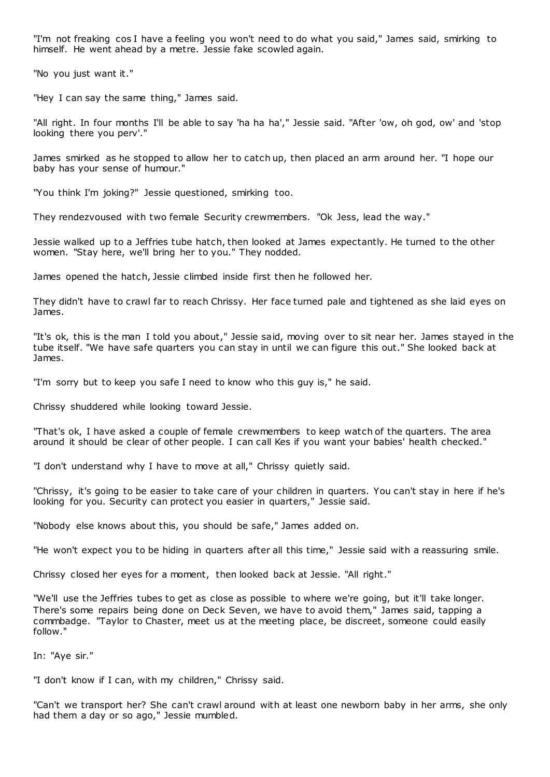"I'm not freaking cos I have a feeling you won't need to do what you said," James said, smirking to himself. He went ahead by a metre. Jessie fake scowled again.

"No you just want it."

"Hey I can say the same thing," James said.

"All right. In four months I'll be able to say 'ha ha ha'," Jessie said. "After 'ow, oh god, ow' and 'stop looking there you perv'."

James smirked as he stopped to allow her to catch up, then placed an arm around her. "I hope our baby has your sense of humour."

"You think I'm joking?" Jessie questioned, smirking too.

They rendezvoused with two female Security crewmembers. "Ok Jess, lead the way."

Jessie walked up to a Jeffries tube hatch, then looked at James expectantly. He turned to the other women. "Stay here, we'll bring her to you." They nodded.

James opened the hatch, Jessie climbed inside first then he followed her.

They didn't have to crawl far to reach Chrissy. Her face turned pale and tightened as she laid eyes on James.

"It's ok, this is the man I told you about," Jessie said, moving over to sit near her. James stayed in the tube itself. "We have safe quarters you can stay in until we can figure this out." She looked back at James.

"I'm sorry but to keep you safe I need to know who this guy is," he said.

Chrissy shuddered while looking toward Jessie.

"That's ok, I have asked a couple of female crewmembers to keep watch of the quarters. The area around it should be clear of other people. I can call Kes if you want your babies' health checked."

"I don't understand why I have to move at all," Chrissy quietly said.

"Chrissy, it's going to be easier to take care of your children in quarters. You can't stay in here if he's looking for you. Security can protect you easier in quarters," Jessie said.

"Nobody else knows about this, you should be safe," James added on.

"He won't expect you to be hiding in quarters after all this time," Jessie said with a reassuring smile.

Chrissy closed her eyes for a moment, then looked back at Jessie. "All right."

"We'll use the Jeffries tubes to get as close as possible to where we're going, but it'll take longer. There's some repairs being done on Deck Seven, we have to avoid them," James said, tapping a commbadge. "Taylor to Chaster, meet us at the meeting place, be discreet, someone could easily follow."

In: "Aye sir."

"I don't know if I can, with my children," Chrissy said.

"Can't we transport her? She can't crawl around with at least one newborn baby in her arms, she only had them a day or so ago," Jessie mumbled.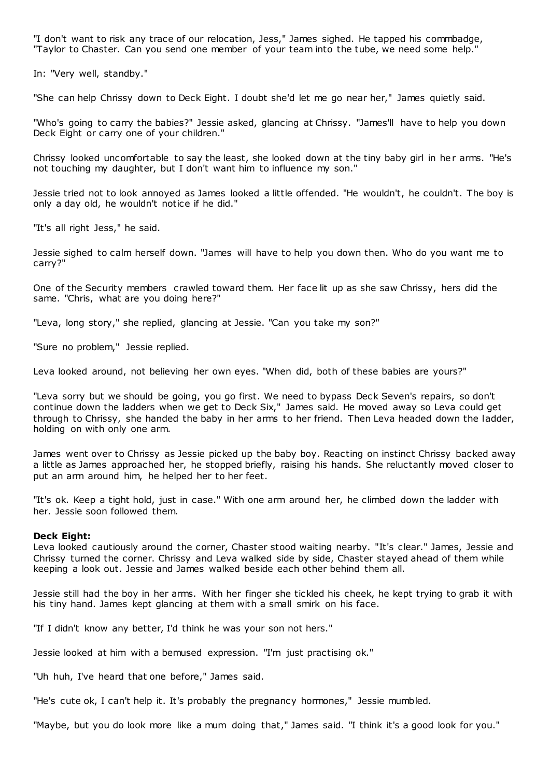"I don't want to risk any trace of our relocation, Jess," James sighed. He tapped his commbadge, "Taylor to Chaster. Can you send one member of your team into the tube, we need some help."

In: "Very well, standby."

"She can help Chrissy down to Deck Eight. I doubt she'd let me go near her," James quietly said.

"Who's going to carry the babies?" Jessie asked, glancing at Chrissy. "James'll have to help you down Deck Eight or carry one of your children."

Chrissy looked uncomfortable to say the least, she looked down at the tiny baby girl in her arms. "He's not touching my daughter, but I don't want him to influence my son."

Jessie tried not to look annoyed as James looked a little offended. "He wouldn't, he couldn't. The boy is only a day old, he wouldn't notice if he did."

"It's all right Jess," he said.

Jessie sighed to calm herself down. "James will have to help you down then. Who do you want me to carry?"

One of the Security members crawled toward them. Her face lit up as she saw Chrissy, hers did the same. "Chris, what are you doing here?"

"Leva, long story," she replied, glancing at Jessie. "Can you take my son?"

"Sure no problem," Jessie replied.

Leva looked around, not believing her own eyes. "When did, both of these babies are yours?"

"Leva sorry but we should be going, you go first. We need to bypass Deck Seven's repairs, so don't continue down the ladders when we get to Deck Six," James said. He moved away so Leva could get through to Chrissy, she handed the baby in her arms to her friend. Then Leva headed down the ladder, holding on with only one arm.

James went over to Chrissy as Jessie picked up the baby boy. Reacting on instinct Chrissy backed away a little as James approached her, he stopped briefly, raising his hands. She reluctantly moved closer to put an arm around him, he helped her to her feet.

"It's ok. Keep a tight hold, just in case." With one arm around her, he climbed down the ladder with her. Jessie soon followed them.

#### **Deck Eight:**

Leva looked cautiously around the corner, Chaster stood waiting nearby. "It's clear." James, Jessie and Chrissy turned the corner. Chrissy and Leva walked side by side, Chaster stayed ahead of them while keeping a look out. Jessie and James walked beside each other behind them all.

Jessie still had the boy in her arms. With her finger she tickled his cheek, he kept trying to grab it with his tiny hand. James kept glancing at them with a small smirk on his face.

"If I didn't know any better, I'd think he was your son not hers."

Jessie looked at him with a bemused expression. "I'm just practising ok."

"Uh huh, I've heard that one before," James said.

"He's cute ok, I can't help it. It's probably the pregnancy hormones," Jessie mumbled.

"Maybe, but you do look more like a mum doing that," James said. "I think it's a good look for you."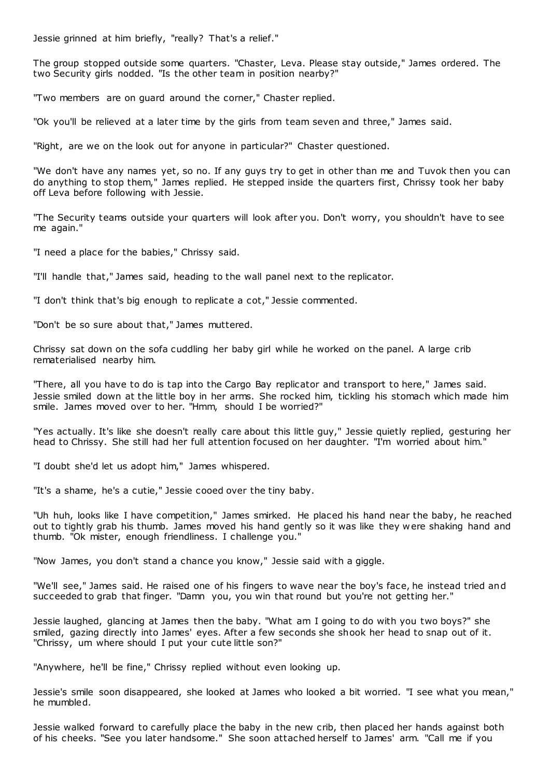Jessie grinned at him briefly, "really? That's a relief."

The group stopped outside some quarters. "Chaster, Leva. Please stay outside," James ordered. The two Security girls nodded. "Is the other team in position nearby?"

"Two members are on guard around the corner," Chaster replied.

"Ok you'll be relieved at a later time by the girls from team seven and three," James said.

"Right, are we on the look out for anyone in particular?" Chaster questioned.

"We don't have any names yet, so no. If any guys try to get in other than me and Tuvok then you can do anything to stop them," James replied. He stepped inside the quarters first, Chrissy took her baby off Leva before following with Jessie.

"The Security teams outside your quarters will look after you. Don't worry, you shouldn't have to see me again."

"I need a place for the babies," Chrissy said.

"I'll handle that," James said, heading to the wall panel next to the replicator.

"I don't think that's big enough to replicate a cot," Jessie commented.

"Don't be so sure about that," James muttered.

Chrissy sat down on the sofa cuddling her baby girl while he worked on the panel. A large crib rematerialised nearby him.

"There, all you have to do is tap into the Cargo Bay replicator and transport to here," James said. Jessie smiled down at the little boy in her arms. She rocked him, tickling his stomach which made him smile. James moved over to her. "Hmm, should I be worried?"

"Yes actually. It's like she doesn't really care about this little guy," Jessie quietly replied, gesturing her head to Chrissy. She still had her full attention focused on her daughter. "I'm worried about him."

"I doubt she'd let us adopt him," James whispered.

"It's a shame, he's a cutie," Jessie cooed over the tiny baby.

"Uh huh, looks like I have competition," James smirked. He placed his hand near the baby, he reached out to tightly grab his thumb. James moved his hand gently so it was like they were shaking hand and thumb. "Ok mister, enough friendliness. I challenge you."

"Now James, you don't stand a chance you know," Jessie said with a giggle.

"We'll see," James said. He raised one of his fingers to wave near the boy's face, he instead tried and succeeded to grab that finger. "Damn you, you win that round but you're not getting her."

Jessie laughed, glancing at James then the baby. "What am I going to do with you two boys?" she smiled, gazing directly into James' eyes. After a few seconds she shook her head to snap out of it. "Chrissy, um where should I put your cute little son?"

"Anywhere, he'll be fine," Chrissy replied without even looking up.

Jessie's smile soon disappeared, she looked at James who looked a bit worried. "I see what you mean," he mumbled.

Jessie walked forward to carefully place the baby in the new crib, then placed her hands against both of his cheeks. "See you later handsome." She soon attached herself to James' arm. "Call me if you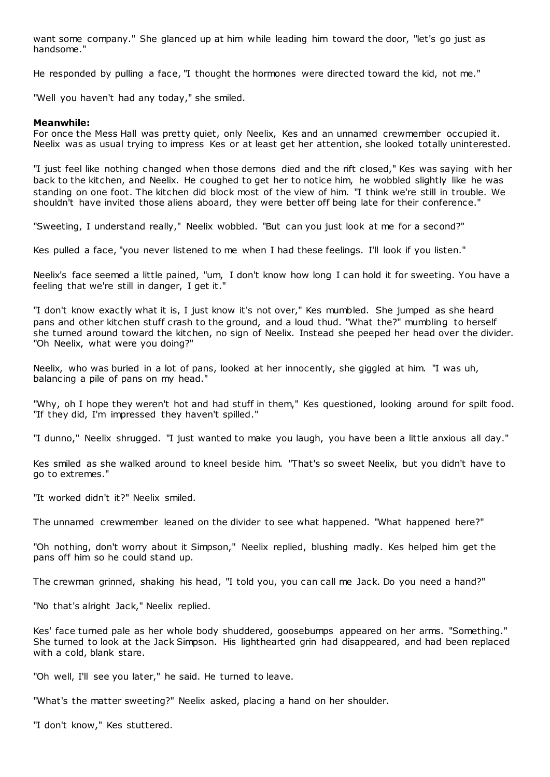want some company." She glanced up at him while leading him toward the door, "let's go just as handsome."

He responded by pulling a face, "I thought the hormones were directed toward the kid, not me."

"Well you haven't had any today," she smiled.

## **Meanwhile:**

For once the Mess Hall was pretty quiet, only Neelix, Kes and an unnamed crewmember occupied it. Neelix was as usual trying to impress Kes or at least get her attention, she looked totally uninterested.

"I just feel like nothing changed when those demons died and the rift closed," Kes was saying with her back to the kitchen, and Neelix. He coughed to get her to notice him, he wobbled slightly like he was standing on one foot. The kitchen did block most of the view of him. "I think we're still in trouble. We shouldn't have invited those aliens aboard, they were better off being late for their conference."

"Sweeting, I understand really," Neelix wobbled. "But can you just look at me for a second?"

Kes pulled a face, "you never listened to me when I had these feelings. I'll look if you listen."

Neelix's face seemed a little pained, "um, I don't know how long I can hold it for sweeting. You have a feeling that we're still in danger, I get it."

"I don't know exactly what it is, I just know it's not over," Kes mumbled. She jumped as she heard pans and other kitchen stuff crash to the ground, and a loud thud. "What the?" mumbling to herself she turned around toward the kitchen, no sign of Neelix. Instead she peeped her head over the divider. "Oh Neelix, what were you doing?"

Neelix, who was buried in a lot of pans, looked at her innocently, she giggled at him. "I was uh, balancing a pile of pans on my head."

"Why, oh I hope they weren't hot and had stuff in them," Kes questioned, looking around for spilt food. "If they did, I'm impressed they haven't spilled."

"I dunno," Neelix shrugged. "I just wanted to make you laugh, you have been a little anxious all day."

Kes smiled as she walked around to kneel beside him. "That's so sweet Neelix, but you didn't have to go to extremes."

"It worked didn't it?" Neelix smiled.

The unnamed crewmember leaned on the divider to see what happened. "What happened here?"

"Oh nothing, don't worry about it Simpson," Neelix replied, blushing madly. Kes helped him get the pans off him so he could stand up.

The crewman grinned, shaking his head, "I told you, you can call me Jack. Do you need a hand?"

"No that's alright Jack," Neelix replied.

Kes' face turned pale as her whole body shuddered, goosebumps appeared on her arms. "Something." She turned to look at the Jack Simpson. His lighthearted grin had disappeared, and had been replaced with a cold, blank stare.

"Oh well, I'll see you later," he said. He turned to leave.

"What's the matter sweeting?" Neelix asked, placing a hand on her shoulder.

"I don't know," Kes stuttered.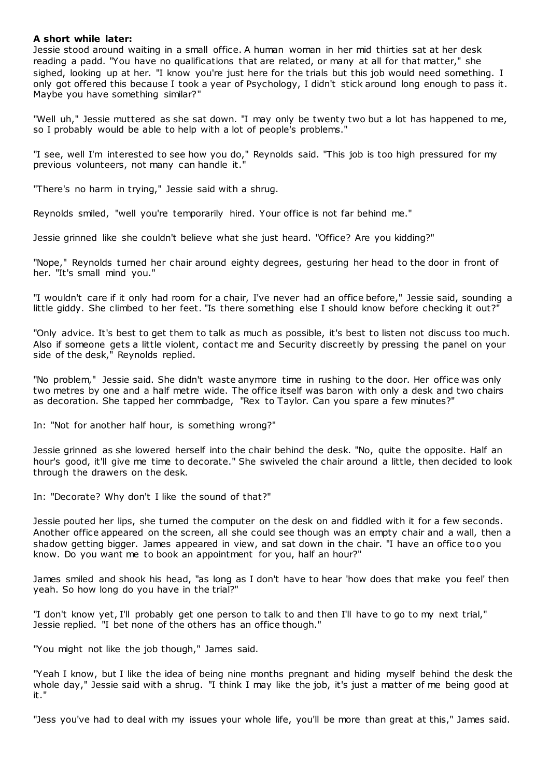## **A short while later:**

Jessie stood around waiting in a small office. A human woman in her mid thirties sat at her desk reading a padd. "You have no qualifications that are related, or many at all for that matter," she sighed, looking up at her. "I know you're just here for the trials but this job would need something. I only got offered this because I took a year of Psychology, I didn't stick around long enough to pass it. Maybe you have something similar?"

"Well uh," Jessie muttered as she sat down. "I may only be twenty two but a lot has happened to me, so I probably would be able to help with a lot of people's problems."

"I see, well I'm interested to see how you do," Reynolds said. "This job is too high pressured for my previous volunteers, not many can handle it."

"There's no harm in trying," Jessie said with a shrug.

Reynolds smiled, "well you're temporarily hired. Your office is not far behind me."

Jessie grinned like she couldn't believe what she just heard. "Office? Are you kidding?"

"Nope," Reynolds turned her chair around eighty degrees, gesturing her head to the door in front of her. "It's small mind you."

"I wouldn't care if it only had room for a chair, I've never had an office before," Jessie said, sounding a little giddy. She climbed to her feet. "Is there something else I should know before checking it out?"

"Only advice. It's best to get them to talk as much as possible, it's best to listen not discuss too much. Also if someone gets a little violent, contact me and Security discreetly by pressing the panel on your side of the desk," Reynolds replied.

"No problem," Jessie said. She didn't waste anymore time in rushing to the door. Her office was only two metres by one and a half metre wide. The office itself was baron with only a desk and two chairs as decoration. She tapped her commbadge, "Rex to Taylor. Can you spare a few minutes?"

In: "Not for another half hour, is something wrong?"

Jessie grinned as she lowered herself into the chair behind the desk. "No, quite the opposite. Half an hour's good, it'll give me time to decorate." She swiveled the chair around a little, then decided to look through the drawers on the desk.

In: "Decorate? Why don't I like the sound of that?"

Jessie pouted her lips, she turned the computer on the desk on and fiddled with it for a few seconds. Another office appeared on the screen, all she could see though was an empty chair and a wall, then a shadow getting bigger. James appeared in view, and sat down in the chair. "I have an office too you know. Do you want me to book an appointment for you, half an hour?"

James smiled and shook his head, "as long as I don't have to hear 'how does that make you feel' then yeah. So how long do you have in the trial?"

"I don't know yet, I'll probably get one person to talk to and then I'll have to go to my next trial," Jessie replied. "I bet none of the others has an office though."

"You might not like the job though," James said.

"Yeah I know, but I like the idea of being nine months pregnant and hiding myself behind the desk the whole day," Jessie said with a shrug. "I think I may like the job, it's just a matter of me being good at it."

"Jess you've had to deal with my issues your whole life, you'll be more than great at this," James said.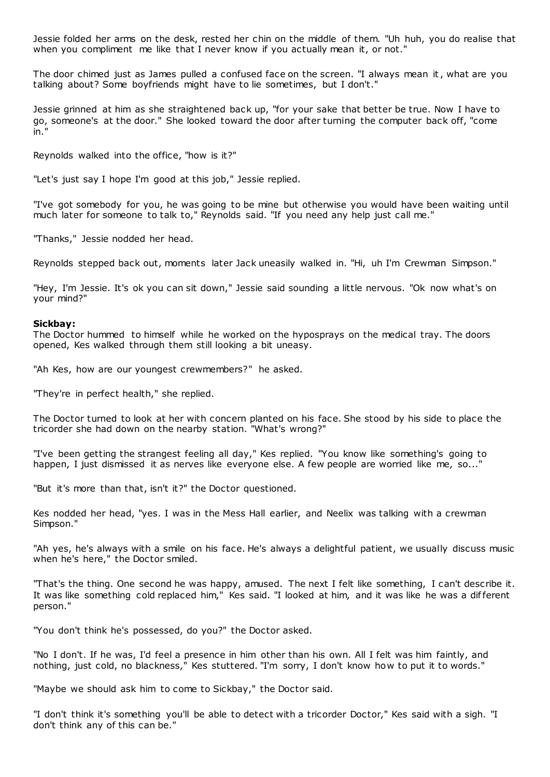Jessie folded her arms on the desk, rested her chin on the middle of them. "Uh huh, you do realise that when you compliment me like that I never know if you actually mean it, or not."

The door chimed just as James pulled a confused face on the screen. "I always mean it, what are you talking about? Some boyfriends might have to lie sometimes, but I don't."

Jessie grinned at him as she straightened back up, "for your sake that better be true. Now I have to go, someone's at the door." She looked toward the door after turning the computer back off, "come in."

Reynolds walked into the office, "how is it?"

"Let's just say I hope I'm good at this job," Jessie replied.

"I've got somebody for you, he was going to be mine but otherwise you would have been waiting until much later for someone to talk to," Reynolds said. "If you need any help just call me."

"Thanks," Jessie nodded her head.

Reynolds stepped back out, moments later Jack uneasily walked in. "Hi, uh I'm Crewman Simpson."

"Hey, I'm Jessie. It's ok you can sit down," Jessie said sounding a little nervous. "Ok now what's on your mind?"

#### **Sickbay:**

The Doctor hummed to himself while he worked on the hyposprays on the medical tray. The doors opened, Kes walked through them still looking a bit uneasy.

"Ah Kes, how are our youngest crewmembers?" he asked.

"They're in perfect health," she replied.

The Doctor turned to look at her with concern planted on his face. She stood by his side to place the tricorder she had down on the nearby station. "What's wrong?"

"I've been getting the strangest feeling all day," Kes replied. "You know like something's going to happen, I just dismissed it as nerves like everyone else. A few people are worried like me, so..."

"But it's more than that, isn't it?" the Doctor questioned.

Kes nodded her head, "yes. I was in the Mess Hall earlier, and Neelix was talking with a crewman Simpson."

"Ah yes, he's always with a smile on his face. He's always a delightful patient, we usually discuss music when he's here," the Doctor smiled.

"That's the thing. One second he was happy, amused. The next I felt like something, I can't describe it. It was like something cold replaced him," Kes said. "I looked at him, and it was like he was a different person."

"You don't think he's possessed, do you?" the Doctor asked.

"No I don't. If he was, I'd feel a presence in him other than his own. All I felt was him faintly, and nothing, just cold, no blackness," Kes stuttered. "I'm sorry, I don't know how to put it to words."

"Maybe we should ask him to come to Sickbay," the Doctor said.

"I don't think it's something you'll be able to detect with a tricorder Doctor," Kes said with a sigh. "I don't think any of this can be."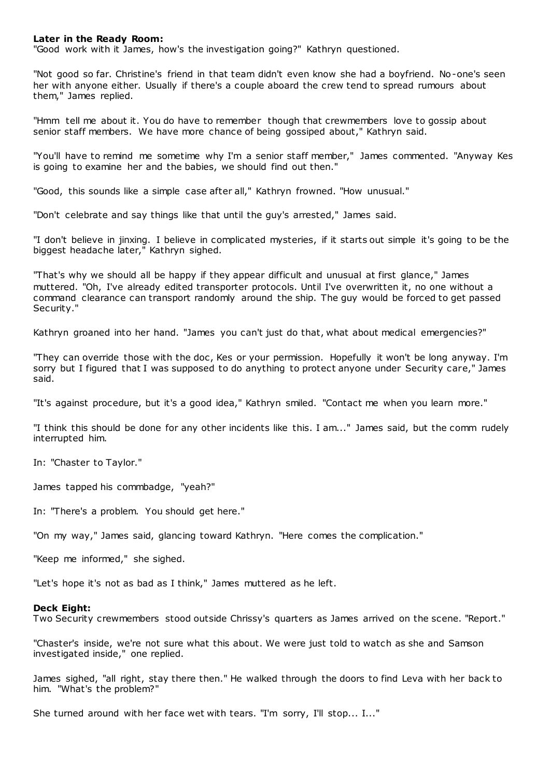## **Later in the Ready Room:**

"Good work with it James, how's the investigation going?" Kathryn questioned.

"Not good so far. Christine's friend in that team didn't even know she had a boyfriend. No-one's seen her with anyone either. Usually if there's a couple aboard the crew tend to spread rumours about them," James replied.

"Hmm tell me about it. You do have to remember though that crewmembers love to gossip about senior staff members. We have more chance of being gossiped about," Kathryn said.

"You'll have to remind me sometime why I'm a senior staff member," James commented. "Anyway Kes is going to examine her and the babies, we should find out then."

"Good, this sounds like a simple case after all," Kathryn frowned. "How unusual."

"Don't celebrate and say things like that until the guy's arrested," James said.

"I don't believe in jinxing. I believe in complicated mysteries, if it starts out simple it's going to be the biggest headache later," Kathryn sighed.

"That's why we should all be happy if they appear difficult and unusual at first glance," James muttered. "Oh, I've already edited transporter protocols. Until I've overwritten it, no one without a command clearance can transport randomly around the ship. The guy would be forced to get passed Security."

Kathryn groaned into her hand. "James you can't just do that, what about medical emergencies?"

"They can override those with the doc , Kes or your permission. Hopefully it won't be long anyway. I'm sorry but I figured that I was supposed to do anything to protect anyone under Security care," James said.

"It's against procedure, but it's a good idea," Kathryn smiled. "Contact me when you learn more."

"I think this should be done for any other incidents like this. I am..." James said, but the comm rudely interrupted him.

In: "Chaster to Taylor."

James tapped his commbadge, "yeah?"

In: "There's a problem. You should get here."

"On my way," James said, glancing toward Kathryn. "Here comes the complication."

"Keep me informed," she sighed.

"Let's hope it's not as bad as I think," James muttered as he left.

#### **Deck Eight:**

Two Security crewmembers stood outside Chrissy's quarters as James arrived on the scene. "Report."

"Chaster's inside, we're not sure what this about. We were just told to watch as she and Samson investigated inside," one replied.

James sighed, "all right, stay there then." He walked through the doors to find Leva with her back to him. "What's the problem?"

She turned around with her face wet with tears. "I'm sorry, I'll stop... I..."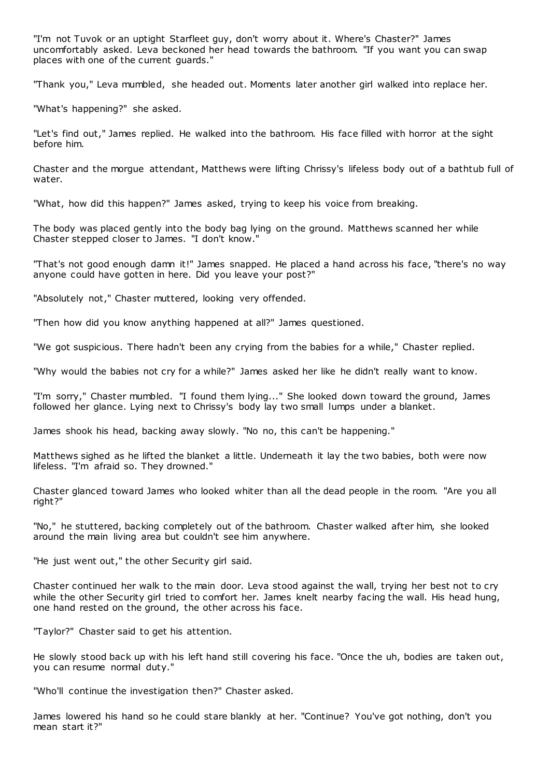"I'm not Tuvok or an uptight Starfleet guy, don't worry about it. Where's Chaster?" James uncomfortably asked. Leva beckoned her head towards the bathroom. "If you want you can swap places with one of the current guards."

"Thank you," Leva mumbled, she headed out. Moments later another girl walked into replace her.

"What's happening?" she asked.

"Let's find out," James replied. He walked into the bathroom. His face filled with horror at the sight before him.

Chaster and the morgue attendant, Matthews were lifting Chrissy's lifeless body out of a bathtub full of water.

"What, how did this happen?" James asked, trying to keep his voice from breaking.

The body was placed gently into the body bag lying on the ground. Matthews scanned her while Chaster stepped closer to James. "I don't know."

"That's not good enough damn it!" James snapped. He placed a hand across his face, "there's no way anyone could have gotten in here. Did you leave your post?"

"Absolutely not," Chaster muttered, looking very offended.

"Then how did you know anything happened at all?" James questioned.

"We got suspicious. There hadn't been any crying from the babies for a while," Chaster replied.

"Why would the babies not cry for a while?" James asked her like he didn't really want to know.

"I'm sorry," Chaster mumbled. "I found them lying..." She looked down toward the ground, James followed her glance. Lying next to Chrissy's body lay two small lumps under a blanket.

James shook his head, backing away slowly. "No no, this can't be happening."

Matthews sighed as he lifted the blanket a little. Underneath it lay the two babies, both were now lifeless. "I'm afraid so. They drowned."

Chaster glanced toward James who looked whiter than all the dead people in the room. "Are you all right?"

"No," he stuttered, backing completely out of the bathroom. Chaster walked after him, she looked around the main living area but couldn't see him anywhere.

"He just went out," the other Security girl said.

Chaster continued her walk to the main door. Leva stood against the wall, trying her best not to cry while the other Security girl tried to comfort her. James knelt nearby facing the wall. His head hung, one hand rested on the ground, the other across his face.

"Taylor?" Chaster said to get his attention.

He slowly stood back up with his left hand still covering his face. "Once the uh, bodies are taken out, you can resume normal duty."

"Who'll continue the investigation then?" Chaster asked.

James lowered his hand so he could stare blankly at her. "Continue? You've got nothing, don't you mean start it?"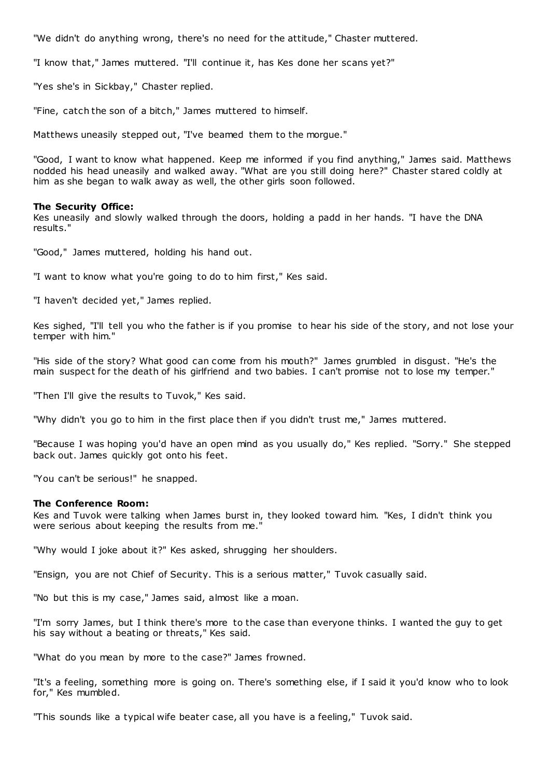"We didn't do anything wrong, there's no need for the attitude," Chaster muttered.

"I know that," James muttered. "I'll continue it, has Kes done her scans yet?"

"Yes she's in Sickbay," Chaster replied.

"Fine, catch the son of a bitch," James muttered to himself.

Matthews uneasily stepped out, "I've beamed them to the morgue."

"Good, I want to know what happened. Keep me informed if you find anything," James said. Matthews nodded his head uneasily and walked away. "What are you still doing here?" Chaster stared coldly at him as she began to walk away as well, the other girls soon followed.

## **The Security Office:**

Kes uneasily and slowly walked through the doors, holding a padd in her hands. "I have the DNA results."

"Good," James muttered, holding his hand out.

"I want to know what you're going to do to him first," Kes said.

"I haven't decided yet," James replied.

Kes sighed, "I'll tell you who the father is if you promise to hear his side of the story, and not lose your temper with him."

"His side of the story? What good can come from his mouth?" James grumbled in disgust. "He's the main suspect for the death of his girlfriend and two babies. I can't promise not to lose my temper."

"Then I'll give the results to Tuvok," Kes said.

"Why didn't you go to him in the first place then if you didn't trust me," James muttered.

"Because I was hoping you'd have an open mind as you usually do," Kes replied. "Sorry." She stepped back out. James quickly got onto his feet.

"You can't be serious!" he snapped.

#### **The Conference Room:**

Kes and Tuvok were talking when James burst in, they looked toward him. "Kes, I didn't think you were serious about keeping the results from me."

"Why would I joke about it?" Kes asked, shrugging her shoulders.

"Ensign, you are not Chief of Security. This is a serious matter," Tuvok casually said.

"No but this is my case," James said, almost like a moan.

"I'm sorry James, but I think there's more to the case than everyone thinks. I wanted the guy to get his say without a beating or threats," Kes said.

"What do you mean by more to the case?" James frowned.

"It's a feeling, something more is going on. There's something else, if I said it you'd know who to look for," Kes mumbled.

"This sounds like a typical wife beater case, all you have is a feeling," Tuvok said.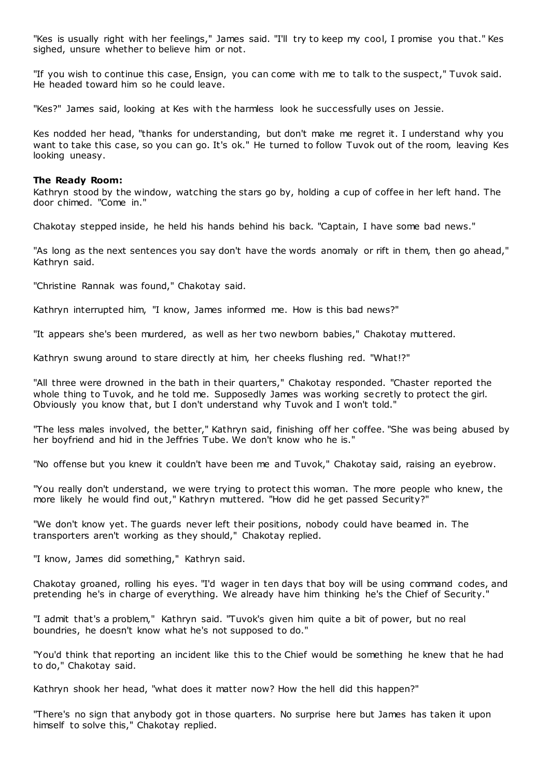"Kes is usually right with her feelings," James said. "I'll try to keep my cool, I promise you that." Kes sighed, unsure whether to believe him or not.

"If you wish to continue this case, Ensign, you can come with me to talk to the suspect," Tuvok said. He headed toward him so he could leave.

"Kes?" James said, looking at Kes with the harmless look he successfully uses on Jessie.

Kes nodded her head, "thanks for understanding, but don't make me regret it. I understand why you want to take this case, so you can go. It's ok." He turned to follow Tuvok out of the room, leaving Kes looking uneasy.

## **The Ready Room:**

Kathryn stood by the window, watching the stars go by, holding a cup of coffee in her left hand. The door chimed. "Come in."

Chakotay stepped inside, he held his hands behind his back. "Captain, I have some bad news."

"As long as the next sentences you say don't have the words anomaly or rift in them, then go ahead," Kathryn said.

"Christine Rannak was found," Chakotay said.

Kathryn interrupted him, "I know, James informed me. How is this bad news?"

"It appears she's been murdered, as well as her two newborn babies," Chakotay muttered.

Kathryn swung around to stare directly at him, her cheeks flushing red. "What!?"

"All three were drowned in the bath in their quarters," Chakotay responded. "Chaster reported the whole thing to Tuvok, and he told me. Supposedly James was working secretly to protect the girl. Obviously you know that, but I don't understand why Tuvok and I won't told."

"The less males involved, the better," Kathryn said, finishing off her coffee. "She was being abused by her boyfriend and hid in the Jeffries Tube. We don't know who he is."

"No offense but you knew it couldn't have been me and Tuvok," Chakotay said, raising an eyebrow.

"You really don't understand, we were trying to protect this woman. The more people who knew, the more likely he would find out," Kathryn muttered. "How did he get passed Security?"

"We don't know yet. The guards never left their positions, nobody could have beamed in. The transporters aren't working as they should," Chakotay replied.

"I know, James did something," Kathryn said.

Chakotay groaned, rolling his eyes. "I'd wager in ten days that boy will be using command codes, and pretending he's in charge of everything. We already have him thinking he's the Chief of Security."

"I admit that's a problem," Kathryn said. "Tuvok's given him quite a bit of power, but no real boundries, he doesn't know what he's not supposed to do."

"You'd think that reporting an incident like this to the Chief would be something he knew that he had to do," Chakotay said.

Kathryn shook her head, "what does it matter now? How the hell did this happen?"

"There's no sign that anybody got in those quarters. No surprise here but James has taken it upon himself to solve this," Chakotay replied.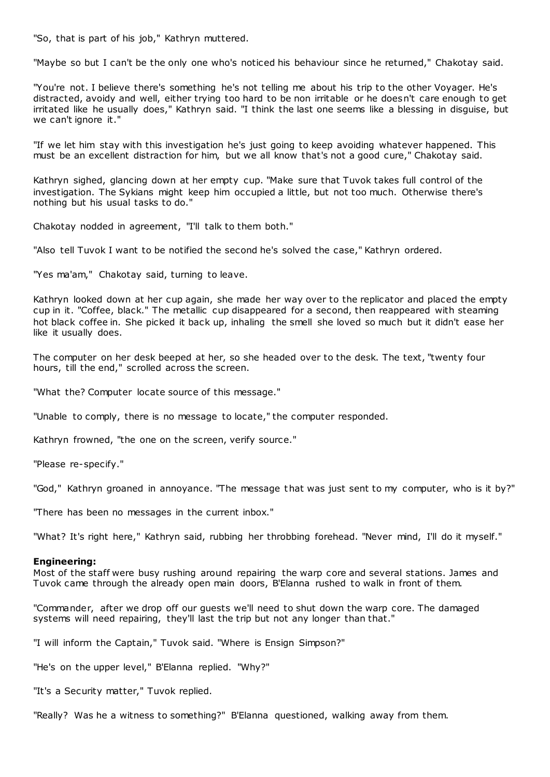"So, that is part of his job," Kathryn muttered.

"Maybe so but I can't be the only one who's noticed his behaviour since he returned," Chakotay said.

"You're not. I believe there's something he's not telling me about his trip to the other Voyager. He's distracted, avoidy and well, either trying too hard to be non irritable or he doesn't care enough to get irritated like he usually does," Kathryn said. "I think the last one seems like a blessing in disguise, but we can't ignore it."

"If we let him stay with this investigation he's just going to keep avoiding whatever happened. This must be an excellent distraction for him, but we all know that's not a good cure," Chakotay said.

Kathryn sighed, glancing down at her empty cup. "Make sure that Tuvok takes full control of the investigation. The Sykians might keep him occupied a little, but not too much. Otherwise there's nothing but his usual tasks to do."

Chakotay nodded in agreement, "I'll talk to them both."

"Also tell Tuvok I want to be notified the second he's solved the case," Kathryn ordered.

"Yes ma'am," Chakotay said, turning to leave.

Kathryn looked down at her cup again, she made her way over to the replicator and placed the empty cup in it. "Coffee, black." The metallic cup disappeared for a second, then reappeared with steaming hot black coffee in. She picked it back up, inhaling the smell she loved so much but it didn't ease her like it usually does.

The computer on her desk beeped at her, so she headed over to the desk. The text, "twenty four hours, till the end," scrolled across the screen.

"What the? Computer locate source of this message."

"Unable to comply, there is no message to locate," the computer responded.

Kathryn frowned, "the one on the screen, verify source."

"Please re-specify."

"God," Kathryn groaned in annoyance. "The message that was just sent to my computer, who is it by?"

"There has been no messages in the current inbox."

"What? It's right here," Kathryn said, rubbing her throbbing forehead. "Never mind, I'll do it myself."

#### **Engineering:**

Most of the staff were busy rushing around repairing the warp core and several stations. James and Tuvok came through the already open main doors, B'Elanna rushed to walk in front of them.

"Commander, after we drop off our guests we'll need to shut down the warp core. The damaged systems will need repairing, they'll last the trip but not any longer than that."

"I will inform the Captain," Tuvok said. "Where is Ensign Simpson?"

"He's on the upper level," B'Elanna replied. "Why?"

"It's a Security matter," Tuvok replied.

"Really? Was he a witness to something?" B'Elanna questioned, walking away from them.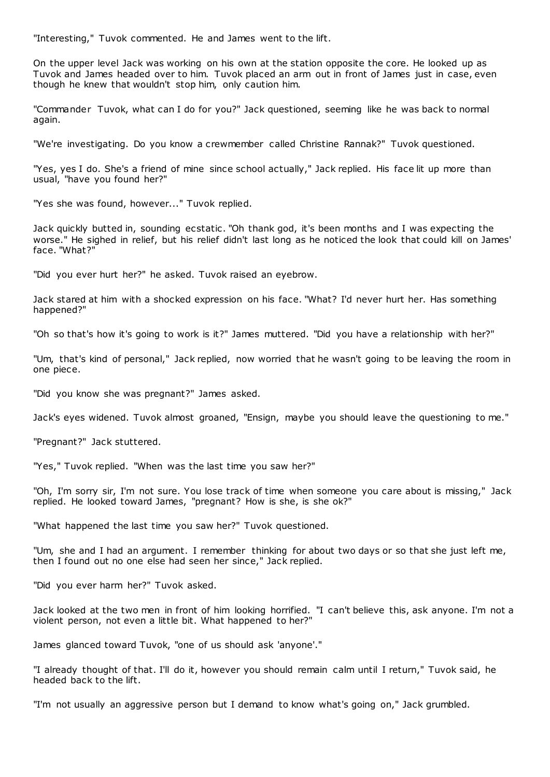"Interesting," Tuvok commented. He and James went to the lift.

On the upper level Jack was working on his own at the station opposite the core. He looked up as Tuvok and James headed over to him. Tuvok placed an arm out in front of James just in case, even though he knew that wouldn't stop him, only caution him.

"Commander Tuvok, what can I do for you?" Jack questioned, seeming like he was back to normal again.

"We're investigating. Do you know a crewmember called Christine Rannak?" Tuvok questioned.

"Yes, yes I do. She's a friend of mine since school actually," Jack replied. His face lit up more than usual, "have you found her?"

"Yes she was found, however..." Tuvok replied.

Jack quickly butted in, sounding ecstatic . "Oh thank god, it's been months and I was expecting the worse." He sighed in relief, but his relief didn't last long as he noticed the look that could kill on James' face. "What?"

"Did you ever hurt her?" he asked. Tuvok raised an eyebrow.

Jack stared at him with a shocked expression on his face. "What? I'd never hurt her. Has something happened?"

"Oh so that's how it's going to work is it?" James muttered. "Did you have a relationship with her?"

"Um, that's kind of personal," Jack replied, now worried that he wasn't going to be leaving the room in one piece.

"Did you know she was pregnant?" James asked.

Jack's eyes widened. Tuvok almost groaned, "Ensign, maybe you should leave the questioning to me."

"Pregnant?" Jack stuttered.

"Yes," Tuvok replied. "When was the last time you saw her?"

"Oh, I'm sorry sir, I'm not sure. You lose track of time when someone you care about is missing," Jack replied. He looked toward James, "pregnant? How is she, is she ok?"

"What happened the last time you saw her?" Tuvok questioned.

"Um, she and I had an argument. I remember thinking for about two days or so that she just left me, then I found out no one else had seen her since," Jack replied.

"Did you ever harm her?" Tuvok asked.

Jack looked at the two men in front of him looking horrified. "I can't believe this, ask anyone. I'm not a violent person, not even a little bit. What happened to her?"

James glanced toward Tuvok, "one of us should ask 'anyone'."

"I already thought of that. I'll do it, however you should remain calm until I return," Tuvok said, he headed back to the lift.

"I'm not usually an aggressive person but I demand to know what's going on," Jack grumbled.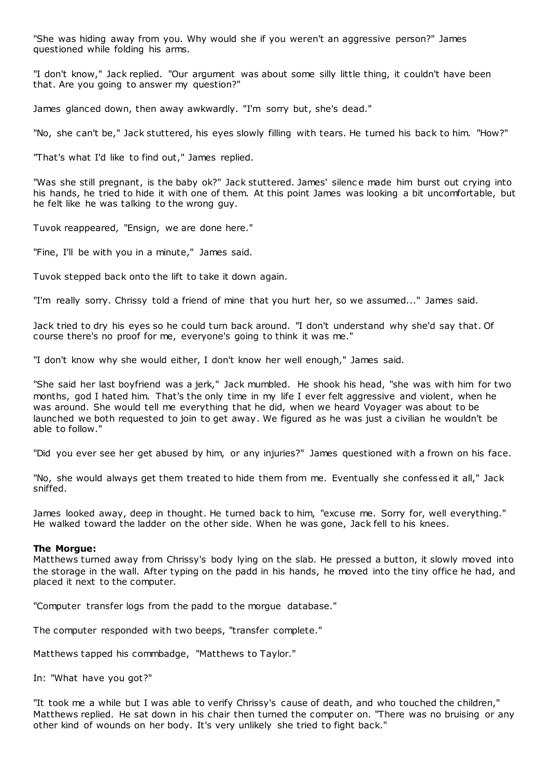"She was hiding away from you. Why would she if you weren't an aggressive person?" James questioned while folding his arms.

"I don't know," Jack replied. "Our argument was about some silly little thing, it couldn't have been that. Are you going to answer my question?"

James glanced down, then away awkwardly. "I'm sorry but, she's dead."

"No, she can't be," Jack stuttered, his eyes slowly filling with tears. He turned his back to him. "How?"

"That's what I'd like to find out," James replied.

"Was she still pregnant, is the baby ok?" Jack stuttered. James' silenc e made him burst out crying into his hands, he tried to hide it with one of them. At this point James was looking a bit uncomfortable, but he felt like he was talking to the wrong guy.

Tuvok reappeared, "Ensign, we are done here."

"Fine, I'll be with you in a minute," James said.

Tuvok stepped back onto the lift to take it down again.

"I'm really sorry. Chrissy told a friend of mine that you hurt her, so we assumed..." James said.

Jack tried to dry his eyes so he could turn back around. "I don't understand why she'd say that. Of course there's no proof for me, everyone's going to think it was me."

"I don't know why she would either, I don't know her well enough," James said.

"She said her last boyfriend was a jerk," Jack mumbled. He shook his head, "she was with him for two months, god I hated him. That's the only time in my life I ever felt aggressive and violent, when he was around. She would tell me everything that he did, when we heard Voyager was about to be launched we both requested to join to get away. We figured as he was just a civilian he wouldn't be able to follow."

"Did you ever see her get abused by him, or any injuries?" James questioned with a frown on his face.

"No, she would always get them treated to hide them from me. Eventually she confessed it all," Jack sniffed.

James looked away, deep in thought. He turned back to him, "excuse me. Sorry for, well everything." He walked toward the ladder on the other side. When he was gone, Jack fell to his knees.

### **The Morgue:**

Matthews turned away from Chrissy's body lying on the slab. He pressed a button, it slowly moved into the storage in the wall. After typing on the padd in his hands, he moved into the tiny office he had, and placed it next to the computer.

"Computer transfer logs from the padd to the morgue database."

The computer responded with two beeps, "transfer complete."

Matthews tapped his commbadge, "Matthews to Taylor."

In: "What have you got?"

"It took me a while but I was able to verify Chrissy's cause of death, and who touched the children," Matthews replied. He sat down in his chair then turned the computer on. "There was no bruising or any other kind of wounds on her body. It's very unlikely she tried to fight back."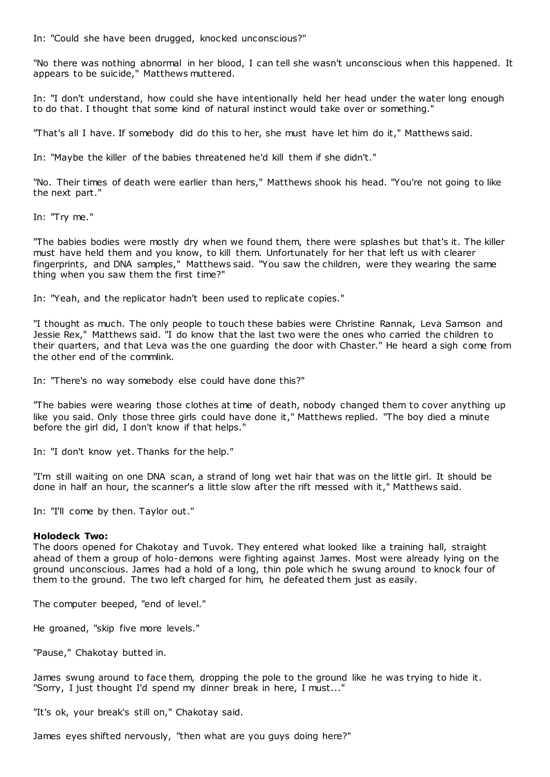In: "Could she have been drugged, knocked unconscious?"

"No there was nothing abnormal in her blood, I can tell she wasn't unconscious when this happened. It appears to be suicide," Matthews muttered.

In: "I don't understand, how could she have intentionally held her head under the water long enough to do that. I thought that some kind of natural instinct would take over or something."

"That's all I have. If somebody did do this to her, she must have let him do it," Matthews said.

In: "Maybe the killer of the babies threatened he'd kill them if she didn't."

"No. Their times of death were earlier than hers," Matthews shook his head. "You're not going to like the next part."

In: "Try me."

"The babies bodies were mostly dry when we found them, there were splashes but that's it. The killer must have held them and you know, to kill them. Unfortunately for her that left us with clearer fingerprints, and DNA samples," Matthews said. "You saw the children, were they wearing the same thing when you saw them the first time?"

In: "Yeah, and the replicator hadn't been used to replicate copies."

"I thought as much. The only people to touch these babies were Christine Rannak, Leva Samson and Jessie Rex," Matthews said. "I do know that the last two were the ones who carried the children to their quarters, and that Leva was the one guarding the door with Chaster." He heard a sigh come from the other end of the commlink.

In: "There's no way somebody else could have done this?"

"The babies were wearing those clothes at time of death, nobody changed them to cover anything up like you said. Only those three girls could have done it," Matthews replied. "The boy died a minute before the girl did, I don't know if that helps."

In: "I don't know yet. Thanks for the help."

"I'm still waiting on one DNA scan, a strand of long wet hair that was on the little girl. It should be done in half an hour, the scanner's a little slow after the rift messed with it," Matthews said.

In: "I'll come by then. Taylor out."

#### **Holodeck Two:**

The doors opened for Chakotay and Tuvok. They entered what looked like a training hall, straight ahead of them a group of holo-demons were fighting against James. Most were already lying on the ground unconscious. James had a hold of a long, thin pole which he swung around to knock four of them to the ground. The two left charged for him, he defeated them just as easily.

The computer beeped, "end of level."

He groaned, "skip five more levels."

"Pause," Chakotay butted in.

James swung around to face them, dropping the pole to the ground like he was trying to hide it. "Sorry, I just thought I'd spend my dinner break in here, I must..."

"It's ok, your break's still on," Chakotay said.

James eyes shifted nervously, "then what are you guys doing here?"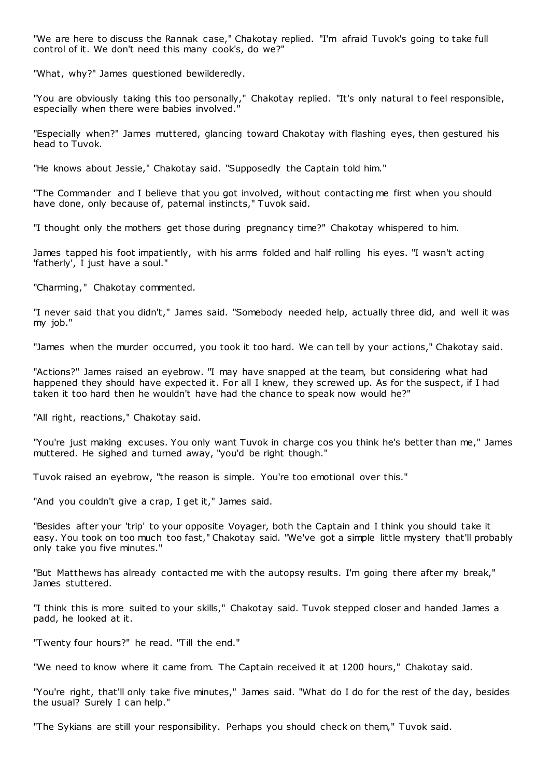"We are here to discuss the Rannak case," Chakotay replied. "I'm afraid Tuvok's going to take full control of it. We don't need this many cook's, do we?"

"What, why?" James questioned bewilderedly.

"You are obviously taking this too personally," Chakotay replied. "It's only natural t o feel responsible, especially when there were babies involved."

"Especially when?" James muttered, glancing toward Chakotay with flashing eyes, then gestured his head to Tuvok.

"He knows about Jessie," Chakotay said. "Supposedly the Captain told him."

"The Commander and I believe that you got involved, without contacting me first when you should have done, only because of, paternal instincts," Tuvok said.

"I thought only the mothers get those during pregnancy time?" Chakotay whispered to him.

James tapped his foot impatiently, with his arms folded and half rolling his eyes. "I wasn't acting 'fatherly', I just have a soul."

"Charming," Chakotay commented.

"I never said that you didn't," James said. "Somebody needed help, actually three did, and well it was my job."

"James when the murder occurred, you took it too hard. We can tell by your actions," Chakotay said.

"Actions?" James raised an eyebrow. "I may have snapped at the team, but considering what had happened they should have expected it. For all I knew, they screwed up. As for the suspect, if I had taken it too hard then he wouldn't have had the chance to speak now would he?"

"All right, reactions," Chakotay said.

"You're just making excuses. You only want Tuvok in charge cos you think he's better than me," James muttered. He sighed and turned away, "you'd be right though."

Tuvok raised an eyebrow, "the reason is simple. You're too emotional over this."

"And you couldn't give a crap, I get it," James said.

"Besides after your 'trip' to your opposite Voyager, both the Captain and I think you should take it easy. You took on too much too fast," Chakotay said. "We've got a simple little mystery that'll probably only take you five minutes."

"But Matthews has already contacted me with the autopsy results. I'm going there after my break," James stuttered.

"I think this is more suited to your skills," Chakotay said. Tuvok stepped closer and handed James a padd, he looked at it.

"Twenty four hours?" he read. "Till the end."

"We need to know where it came from. The Captain received it at 1200 hours," Chakotay said.

"You're right, that'll only take five minutes," James said. "What do I do for the rest of the day, besides the usual? Surely I can help."

"The Sykians are still your responsibility. Perhaps you should check on them," Tuvok said.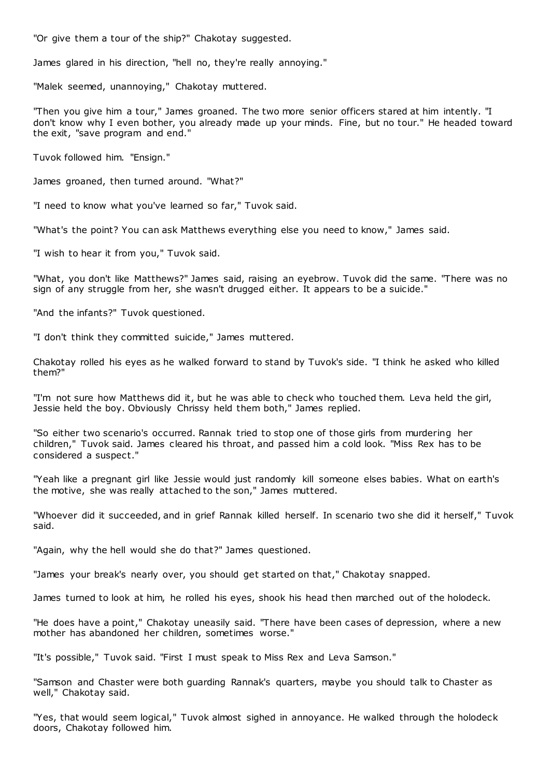"Or give them a tour of the ship?" Chakotay suggested.

James glared in his direction, "hell no, they're really annoying."

"Malek seemed, unannoying," Chakotay muttered.

"Then you give him a tour," James groaned. The two more senior officers stared at him intently. "I don't know why I even bother, you already made up your minds. Fine, but no tour." He headed toward the exit, "save program and end."

Tuvok followed him. "Ensign."

James groaned, then turned around. "What?"

"I need to know what you've learned so far," Tuvok said.

"What's the point? You can ask Matthews everything else you need to know," James said.

"I wish to hear it from you," Tuvok said.

"What, you don't like Matthews?" James said, raising an eyebrow. Tuvok did the same. "There was no sign of any struggle from her, she wasn't drugged either. It appears to be a suicide."

"And the infants?" Tuvok questioned.

"I don't think they committed suicide," James muttered.

Chakotay rolled his eyes as he walked forward to stand by Tuvok's side. "I think he asked who killed them?"

"I'm not sure how Matthews did it, but he was able to check who touched them. Leva held the girl, Jessie held the boy. Obviously Chrissy held them both," James replied.

"So either two scenario's occurred. Rannak tried to stop one of those girls from murdering her children," Tuvok said. James cleared his throat, and passed him a cold look. "Miss Rex has to be considered a suspect."

"Yeah like a pregnant girl like Jessie would just randomly kill someone elses babies. What on earth's the motive, she was really attached to the son," James muttered.

"Whoever did it succeeded, and in grief Rannak killed herself. In scenario two she did it herself," Tuvok said.

"Again, why the hell would she do that?" James questioned.

"James your break's nearly over, you should get started on that," Chakotay snapped.

James turned to look at him, he rolled his eyes, shook his head then marched out of the holodeck.

"He does have a point," Chakotay uneasily said. "There have been cases of depression, where a new mother has abandoned her children, sometimes worse."

"It's possible," Tuvok said. "First I must speak to Miss Rex and Leva Samson."

"Samson and Chaster were both guarding Rannak's quarters, maybe you should talk to Chaster as well," Chakotay said.

"Yes, that would seem logical," Tuvok almost sighed in annoyance. He walked through the holodeck doors, Chakotay followed him.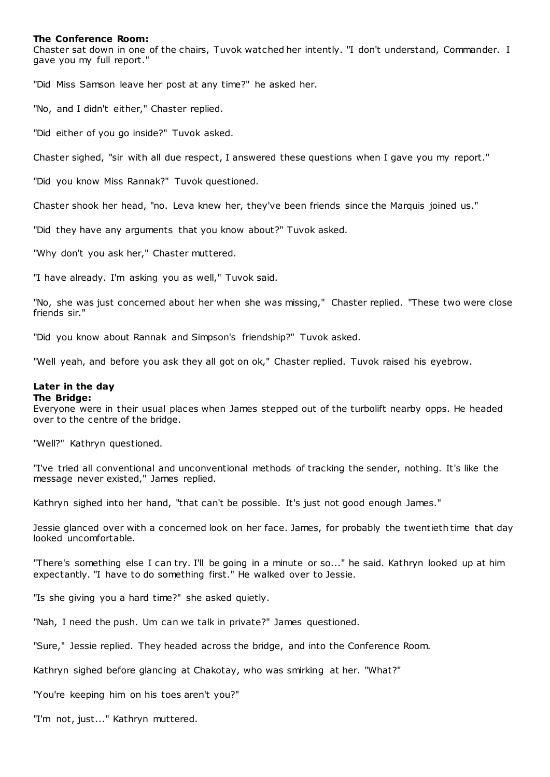## **The Conference Room:**

Chaster sat down in one of the chairs, Tuvok watched her intently. "I don't understand, Commander. I gave you my full report."

"Did Miss Samson leave her post at any time?" he asked her.

"No, and I didn't either," Chaster replied.

"Did either of you go inside?" Tuvok asked.

Chaster sighed, "sir with all due respect, I answered these questions when I gave you my report."

"Did you know Miss Rannak?" Tuvok questioned.

Chaster shook her head, "no. Leva knew her, they've been friends since the Marquis joined us."

"Did they have any arguments that you know about?" Tuvok asked.

"Why don't you ask her," Chaster muttered.

"I have already. I'm asking you as well," Tuvok said.

"No, she was just concerned about her when she was missing," Chaster replied. "These two were close friends sir."

"Did you know about Rannak and Simpson's friendship?" Tuvok asked.

"Well yeah, and before you ask they all got on ok," Chaster replied. Tuvok raised his eyebrow.

# **Later in the day**

## **The Bridge:**

Everyone were in their usual places when James stepped out of the turbolift nearby opps. He headed over to the centre of the bridge.

"Well?" Kathryn questioned.

"I've tried all conventional and unconventional methods of tracking the sender, nothing. It's like the message never existed," James replied.

Kathryn sighed into her hand, "that can't be possible. It's just not good enough James."

Jessie glanced over with a concerned look on her face. James, for probably the twentieth time that day looked uncomfortable.

"There's something else I can try. I'll be going in a minute or so..." he said. Kathryn looked up at him expectantly. "I have to do something first." He walked over to Jessie.

"Is she giving you a hard time?" she asked quietly.

"Nah, I need the push. Um can we talk in private?" James questioned.

"Sure," Jessie replied. They headed across the bridge, and into the Conference Room.

Kathryn sighed before glancing at Chakotay, who was smirking at her. "What?"

"You're keeping him on his toes aren't you?"

"I'm not, just..." Kathryn muttered.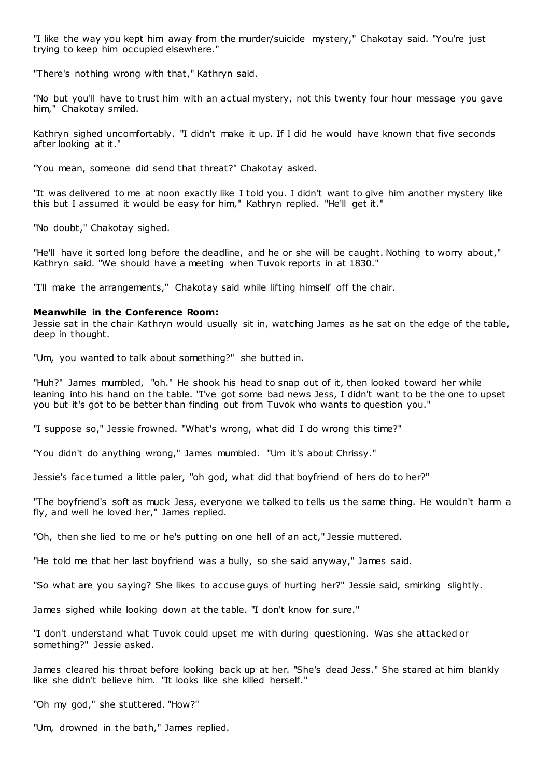"I like the way you kept him away from the murder/suicide mystery," Chakotay said. "You're just trying to keep him occupied elsewhere."

"There's nothing wrong with that," Kathryn said.

"No but you'll have to trust him with an actual mystery, not this twenty four hour message you gave him," Chakotay smiled.

Kathryn sighed uncomfortably. "I didn't make it up. If I did he would have known that five seconds after looking at it."

"You mean, someone did send that threat?" Chakotay asked.

"It was delivered to me at noon exactly like I told you. I didn't want to give him another mystery like this but I assumed it would be easy for him," Kathryn replied. "He'll get it."

"No doubt," Chakotay sighed.

"He'll have it sorted long before the deadline, and he or she will be caught. Nothing to worry about," Kathryn said. "We should have a meeting when Tuvok reports in at 1830."

"I'll make the arrangements," Chakotay said while lifting himself off the chair.

## **Meanwhile in the Conference Room:**

Jessie sat in the chair Kathryn would usually sit in, watching James as he sat on the edge of the table, deep in thought.

"Um, you wanted to talk about something?" she butted in.

"Huh?" James mumbled, "oh." He shook his head to snap out of it, then looked toward her while leaning into his hand on the table. "I've got some bad news Jess, I didn't want to be the one to upset you but it's got to be better than finding out from Tuvok who wants to question you."

"I suppose so," Jessie frowned. "What's wrong, what did I do wrong this time?"

"You didn't do anything wrong," James mumbled. "Um it's about Chrissy."

Jessie's face turned a little paler, "oh god, what did that boyfriend of hers do to her?"

"The boyfriend's soft as muck Jess, everyone we talked to tells us the same thing. He wouldn't harm a fly, and well he loved her," James replied.

"Oh, then she lied to me or he's putting on one hell of an act," Jessie muttered.

"He told me that her last boyfriend was a bully, so she said anyway," James said.

"So what are you saying? She likes to accuse guys of hurting her?" Jessie said, smirking slightly.

James sighed while looking down at the table. "I don't know for sure."

"I don't understand what Tuvok could upset me with during questioning. Was she attacked or something?" Jessie asked.

James cleared his throat before looking back up at her. "She's dead Jess." She stared at him blankly like she didn't believe him. "It looks like she killed herself."

"Oh my god," she stuttered. "How?"

"Um, drowned in the bath," James replied.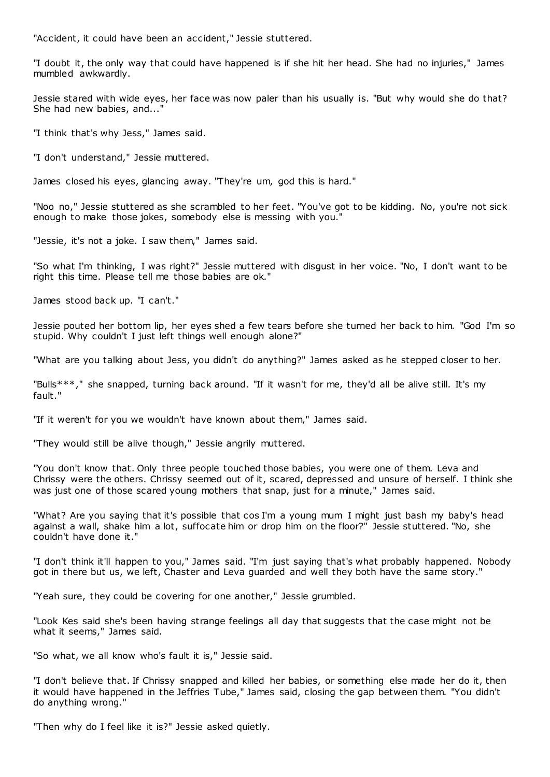"Accident, it could have been an accident," Jessie stuttered.

"I doubt it, the only way that could have happened is if she hit her head. She had no injuries," James mumbled awkwardly.

Jessie stared with wide eyes, her face was now paler than his usually is. "But why would she do that? She had new babies, and...'

"I think that's why Jess," James said.

"I don't understand," Jessie muttered.

James closed his eyes, glancing away. "They're um, god this is hard."

"Noo no," Jessie stuttered as she scrambled to her feet. "You've got to be kidding. No, you're not sick enough to make those jokes, somebody else is messing with you."

"Jessie, it's not a joke. I saw them," James said.

"So what I'm thinking, I was right?" Jessie muttered with disgust in her voice. "No, I don't want to be right this time. Please tell me those babies are ok."

James stood back up. "I can't."

Jessie pouted her bottom lip, her eyes shed a few tears before she turned her back to him. "God I'm so stupid. Why couldn't I just left things well enough alone?"

"What are you talking about Jess, you didn't do anything?" James asked as he stepped closer to her.

"Bulls\*\*\*," she snapped, turning back around. "If it wasn't for me, they'd all be alive still. It's my fault."

"If it weren't for you we wouldn't have known about them," James said.

"They would still be alive though," Jessie angrily muttered.

"You don't know that. Only three people touched those babies, you were one of them. Leva and Chrissy were the others. Chrissy seemed out of it, scared, depressed and unsure of herself. I think she was just one of those scared young mothers that snap, just for a minute," James said.

"What? Are you saying that it's possible that cos I'm a young mum I might just bash my baby's head against a wall, shake him a lot, suffocate him or drop him on the floor?" Jessie stuttered. "No, she couldn't have done it."

"I don't think it'll happen to you," James said. "I'm just saying that's what probably happened. Nobody got in there but us, we left, Chaster and Leva guarded and well they both have the same story."

"Yeah sure, they could be covering for one another," Jessie grumbled.

"Look Kes said she's been having strange feelings all day that suggests that the case might not be what it seems," James said.

"So what, we all know who's fault it is," Jessie said.

"I don't believe that. If Chrissy snapped and killed her babies, or something else made her do it, then it would have happened in the Jeffries Tube," James said, closing the gap between them. "You didn't do anything wrong."

"Then why do I feel like it is?" Jessie asked quietly.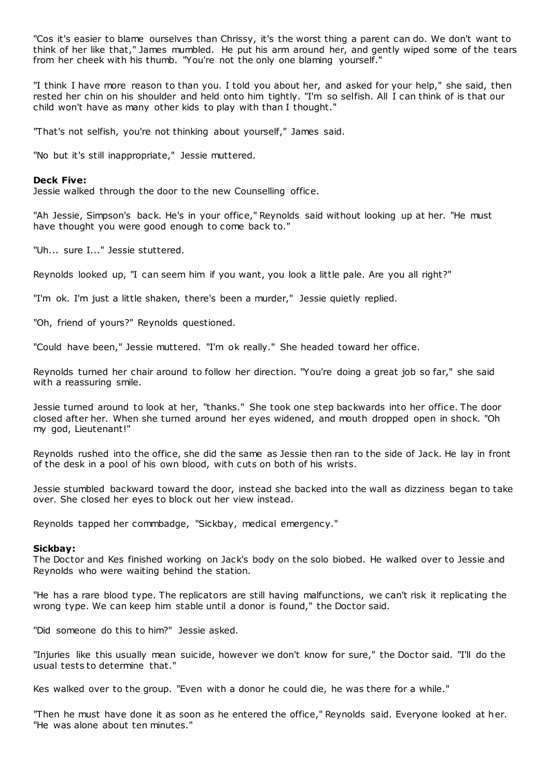"Cos it's easier to blame ourselves than Chrissy, it's the worst thing a parent can do. We don't want to think of her like that," James mumbled. He put his arm around her, and gently wiped some of the tears from her cheek with his thumb. "You're not the only one blaming yourself."

"I think I have more reason to than you. I told you about her, and asked for your help," she said, then rested her chin on his shoulder and held onto him tightly. "I'm so selfish. All I can think of is that our child won't have as many other kids to play with than I thought."

"That's not selfish, you're not thinking about yourself," James said.

"No but it's still inappropriate," Jessie muttered.

### **Deck Five:**

Jessie walked through the door to the new Counselling office.

"Ah Jessie, Simpson's back. He's in your office," Reynolds said without looking up at her. "He must have thought you were good enough to come back to."

"Uh... sure I..." Jessie stuttered.

Reynolds looked up, "I can seem him if you want, you look a little pale. Are you all right?"

"I'm ok. I'm just a little shaken, there's been a murder," Jessie quietly replied.

"Oh, friend of yours?" Reynolds questioned.

"Could have been," Jessie muttered. "I'm ok really." She headed toward her office.

Reynolds turned her chair around to follow her direction. "You're doing a great job so far," she said with a reassuring smile.

Jessie turned around to look at her, "thanks." She took one step backwards into her office. The door closed after her. When she turned around her eyes widened, and mouth dropped open in shock. "Oh my god, Lieutenant!"

Reynolds rushed into the office, she did the same as Jessie then ran to the side of Jack. He lay in front of the desk in a pool of his own blood, with cuts on both of his wrists.

Jessie stumbled backward toward the door, instead she backed into the wall as dizziness began to take over. She closed her eyes to block out her view instead.

Reynolds tapped her commbadge, "Sickbay, medical emergency."

#### **Sickbay:**

The Doctor and Kes finished working on Jack's body on the solo biobed. He walked over to Jessie and Reynolds who were waiting behind the station.

"He has a rare blood type. The replicators are still having malfunctions, we can't risk it replicating the wrong type. We can keep him stable until a donor is found," the Doctor said.

"Did someone do this to him?" Jessie asked.

"Injuries like this usually mean suicide, however we don't know for sure," the Doctor said. "I'll do the usual tests to determine that."

Kes walked over to the group. "Even with a donor he could die, he was there for a while."

"Then he must have done it as soon as he entered the office," Reynolds said. Everyone looked at her. "He was alone about ten minutes."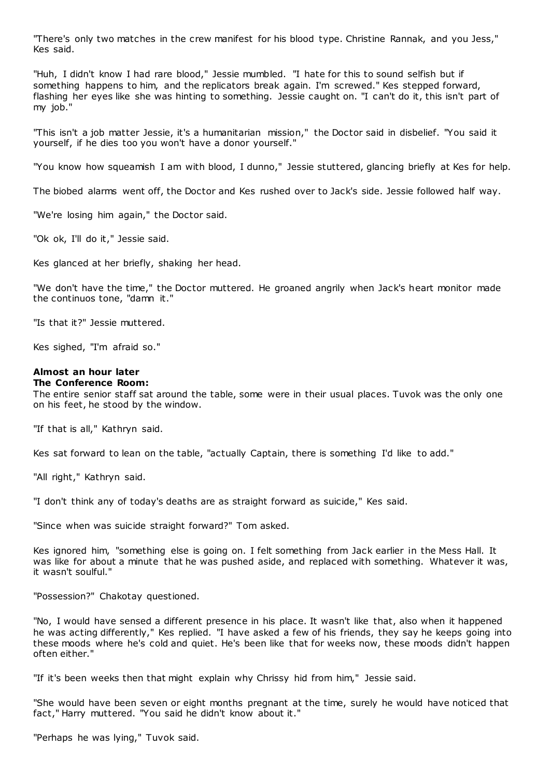"There's only two matches in the crew manifest for his blood type. Christine Rannak, and you Jess," Kes said.

"Huh, I didn't know I had rare blood," Jessie mumbled. "I hate for this to sound selfish but if something happens to him, and the replicators break again. I'm screwed." Kes stepped forward, flashing her eyes like she was hinting to something. Jessie caught on. "I can't do it, this isn't part of my job."

"This isn't a job matter Jessie, it's a humanitarian mission," the Doctor said in disbelief. "You said it yourself, if he dies too you won't have a donor yourself."

"You know how squeamish I am with blood, I dunno," Jessie stuttered, glancing briefly at Kes for help.

The biobed alarms went off, the Doctor and Kes rushed over to Jack's side. Jessie followed half way.

"We're losing him again," the Doctor said.

"Ok ok, I'll do it," Jessie said.

Kes glanced at her briefly, shaking her head.

"We don't have the time," the Doctor muttered. He groaned angrily when Jack's heart monitor made the continuos tone, "damn it."

"Is that it?" Jessie muttered.

Kes sighed, "I'm afraid so."

#### **Almost an hour later The Conference Room:**

The entire senior staff sat around the table, some were in their usual places. Tuvok was the only one on his feet, he stood by the window.

"If that is all," Kathryn said.

Kes sat forward to lean on the table, "actually Captain, there is something I'd like to add."

"All right," Kathryn said.

"I don't think any of today's deaths are as straight forward as suicide," Kes said.

"Since when was suicide straight forward?" Tom asked.

Kes ignored him, "something else is going on. I felt something from Jack earlier in the Mess Hall. It was like for about a minute that he was pushed aside, and replaced with something. Whatever it was, it wasn't soulful."

"Possession?" Chakotay questioned.

"No, I would have sensed a different presence in his place. It wasn't like that, also when it happened he was acting differently," Kes replied. "I have asked a few of his friends, they say he keeps going into these moods where he's cold and quiet. He's been like that for weeks now, these moods didn't happen often either."

"If it's been weeks then that might explain why Chrissy hid from him," Jessie said.

"She would have been seven or eight months pregnant at the time, surely he would have noticed that fact," Harry muttered. "You said he didn't know about it."

"Perhaps he was lying," Tuvok said.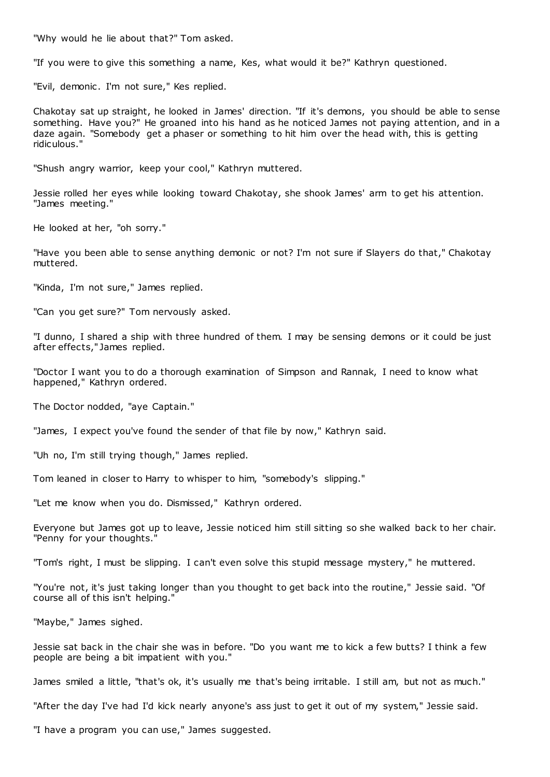"Why would he lie about that?" Tom asked.

"If you were to give this something a name, Kes, what would it be?" Kathryn questioned.

"Evil, demonic. I'm not sure," Kes replied.

Chakotay sat up straight, he looked in James' direction. "If it's demons, you should be able to sense something. Have you?" He groaned into his hand as he noticed James not paying attention, and in a daze again. "Somebody get a phaser or something to hit him over the head with, this is getting ridiculous."

"Shush angry warrior, keep your cool," Kathryn muttered.

Jessie rolled her eyes while looking toward Chakotay, she shook James' arm to get his attention. "James meeting."

He looked at her, "oh sorry."

"Have you been able to sense anything demonic or not? I'm not sure if Slayers do that," Chakotay muttered.

"Kinda, I'm not sure," James replied.

"Can you get sure?" Tom nervously asked.

"I dunno, I shared a ship with three hundred of them. I may be sensing demons or it could be just after effects," James replied.

"Doctor I want you to do a thorough examination of Simpson and Rannak, I need to know what happened," Kathryn ordered.

The Doctor nodded, "aye Captain."

"James, I expect you've found the sender of that file by now," Kathryn said.

"Uh no, I'm still trying though," James replied.

Tom leaned in closer to Harry to whisper to him, "somebody's slipping."

"Let me know when you do. Dismissed," Kathryn ordered.

Everyone but James got up to leave, Jessie noticed him still sitting so she walked back to her chair. "Penny for your thoughts."

"Tom's right, I must be slipping. I can't even solve this stupid message mystery," he muttered.

"You're not, it's just taking longer than you thought to get back into the routine," Jessie said. "Of course all of this isn't helping."

"Maybe," James sighed.

Jessie sat back in the chair she was in before. "Do you want me to kick a few butts? I think a few people are being a bit impatient with you."

James smiled a little, "that's ok, it's usually me that's being irritable. I still am, but not as much."

"After the day I've had I'd kick nearly anyone's ass just to get it out of my system," Jessie said.

"I have a program you can use," James suggested.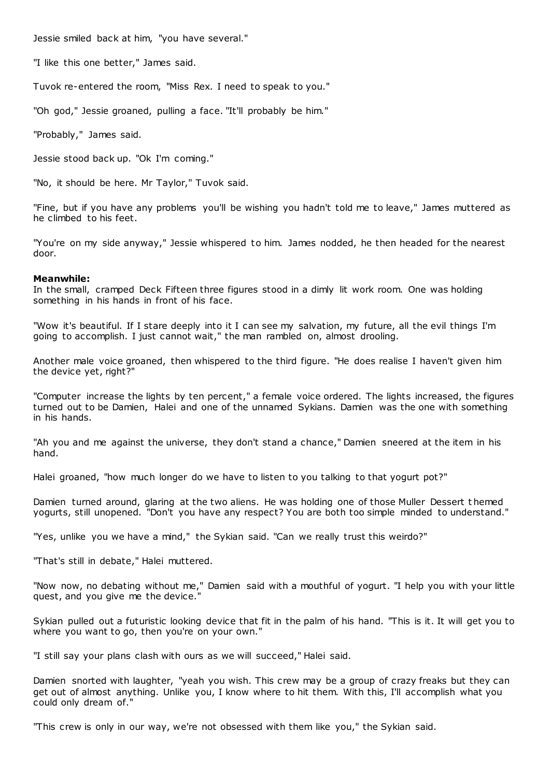Jessie smiled back at him, "you have several."

"I like this one better," James said.

Tuvok re-entered the room, "Miss Rex. I need to speak to you."

"Oh god," Jessie groaned, pulling a face. "It'll probably be him."

"Probably," James said.

Jessie stood back up. "Ok I'm coming."

"No, it should be here. Mr Taylor," Tuvok said.

"Fine, but if you have any problems you'll be wishing you hadn't told me to leave," James muttered as he climbed to his feet.

"You're on my side anyway," Jessie whispered to him. James nodded, he then headed for the nearest door.

## **Meanwhile:**

In the small, cramped Deck Fifteen three figures stood in a dimly lit work room. One was holding something in his hands in front of his face.

"Wow it's beautiful. If I stare deeply into it I can see my salvation, my future, all the evil things I'm going to accomplish. I just cannot wait," the man rambled on, almost drooling.

Another male voice groaned, then whispered to the third figure. "He does realise I haven't given him the device yet, right?"

"Computer increase the lights by ten percent," a female voice ordered. The lights increased, the figures turned out to be Damien, Halei and one of the unnamed Sykians. Damien was the one with something in his hands.

"Ah you and me against the universe, they don't stand a chance," Damien sneered at the item in his hand.

Halei groaned, "how much longer do we have to listen to you talking to that yogurt pot?"

Damien turned around, glaring at the two aliens. He was holding one of those Muller Dessert t hemed yogurts, still unopened. "Don't you have any respect? You are both too simple minded to understand."

"Yes, unlike you we have a mind," the Sykian said. "Can we really trust this weirdo?"

"That's still in debate," Halei muttered.

"Now now, no debating without me," Damien said with a mouthful of yogurt. "I help you with your little quest, and you give me the device."

Sykian pulled out a futuristic looking device that fit in the palm of his hand. "This is it. It will get you to where you want to go, then you're on your own."

"I still say your plans clash with ours as we will succeed," Halei said.

Damien snorted with laughter, "yeah you wish. This crew may be a group of crazy freaks but they can get out of almost anything. Unlike you, I know where to hit them. With this, I'll accomplish what you could only dream of."

"This crew is only in our way, we're not obsessed with them like you," the Sykian said.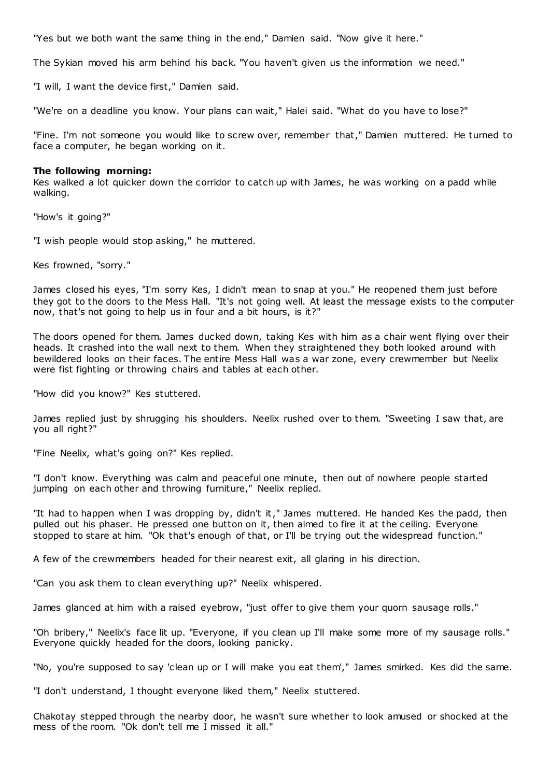"Yes but we both want the same thing in the end," Damien said. "Now give it here."

The Sykian moved his arm behind his back. "You haven't given us the information we need."

"I will, I want the device first," Damien said.

"We're on a deadline you know. Your plans can wait," Halei said. "What do you have to lose?"

"Fine. I'm not someone you would like to screw over, remember that," Damien muttered. He turned to face a computer, he began working on it.

#### **The following morning:**

Kes walked a lot quicker down the corridor to catch up with James, he was working on a padd while walking.

"How's it going?"

"I wish people would stop asking," he muttered.

Kes frowned, "sorry."

James closed his eyes, "I'm sorry Kes, I didn't mean to snap at you." He reopened them just before they got to the doors to the Mess Hall. "It's not going well. At least the message exists to the computer now, that's not going to help us in four and a bit hours, is it?"

The doors opened for them. James ducked down, taking Kes with him as a chair went flying over their heads. It crashed into the wall next to them. When they straightened they both looked around with bewildered looks on their faces. The entire Mess Hall was a war zone, every crewmember but Neelix were fist fighting or throwing chairs and tables at each other.

"How did you know?" Kes stuttered.

James replied just by shrugging his shoulders. Neelix rushed over to them. "Sweeting I saw that, are you all right?"

"Fine Neelix, what's going on?" Kes replied.

"I don't know. Everything was calm and peaceful one minute, then out of nowhere people started jumping on each other and throwing furniture," Neelix replied.

"It had to happen when I was dropping by, didn't it," James muttered. He handed Kes the padd, then pulled out his phaser. He pressed one button on it, then aimed to fire it at the ceiling. Everyone stopped to stare at him. "Ok that's enough of that, or I'll be trying out the widespread function."

A few of the crewmembers headed for their nearest exit, all glaring in his direction.

"Can you ask them to clean everything up?" Neelix whispered.

James glanced at him with a raised eyebrow, "just offer to give them your quorn sausage rolls."

"Oh bribery," Neelix's face lit up. "Everyone, if you clean up I'll make some more of my sausage rolls." Everyone quickly headed for the doors, looking panicky.

"No, you're supposed to say 'clean up or I will make you eat them'," James smirked. Kes did the same.

"I don't understand, I thought everyone liked them," Neelix stuttered.

Chakotay stepped through the nearby door, he wasn't sure whether to look amused or shocked at the mess of the room. "Ok don't tell me I missed it all."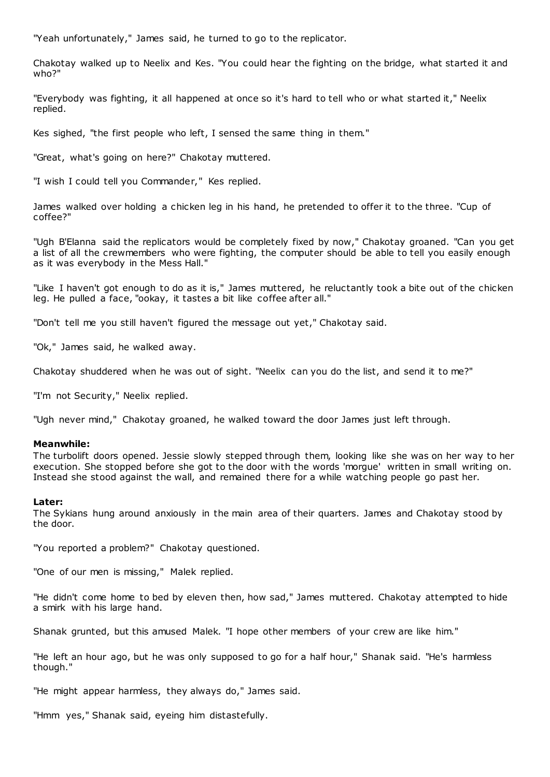"Yeah unfortunately," James said, he turned to go to the replicator.

Chakotay walked up to Neelix and Kes. "You could hear the fighting on the bridge, what started it and who?"

"Everybody was fighting, it all happened at once so it's hard to tell who or what started it," Neelix replied.

Kes sighed, "the first people who left, I sensed the same thing in them."

"Great, what's going on here?" Chakotay muttered.

"I wish I could tell you Commander," Kes replied.

James walked over holding a chicken leg in his hand, he pretended to offer it to the three. "Cup of coffee?"

"Ugh B'Elanna said the replicators would be completely fixed by now," Chakotay groaned. "Can you get a list of all the crewmembers who were fighting, the computer should be able to tell you easily enough as it was everybody in the Mess Hall."

"Like I haven't got enough to do as it is," James muttered, he reluctantly took a bite out of the chicken leg. He pulled a face, "ookay, it tastes a bit like coffee after all."

"Don't tell me you still haven't figured the message out yet," Chakotay said.

"Ok," James said, he walked away.

Chakotay shuddered when he was out of sight. "Neelix can you do the list, and send it to me?"

"I'm not Security," Neelix replied.

"Ugh never mind," Chakotay groaned, he walked toward the door James just left through.

#### **Meanwhile:**

The turbolift doors opened. Jessie slowly stepped through them, looking like she was on her way to her execution. She stopped before she got to the door with the words 'morgue' written in small writing on. Instead she stood against the wall, and remained there for a while watching people go past her.

#### **Later:**

The Sykians hung around anxiously in the main area of their quarters. James and Chakotay stood by the door.

"You reported a problem?" Chakotay questioned.

"One of our men is missing," Malek replied.

"He didn't come home to bed by eleven then, how sad," James muttered. Chakotay attempted to hide a smirk with his large hand.

Shanak grunted, but this amused Malek. "I hope other members of your crew are like him."

"He left an hour ago, but he was only supposed to go for a half hour," Shanak said. "He's harmless though."

"He might appear harmless, they always do," James said.

"Hmm yes," Shanak said, eyeing him distastefully.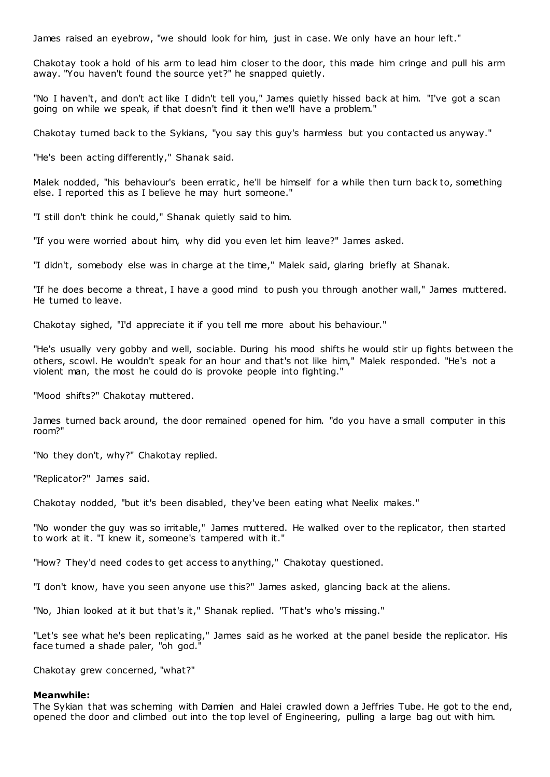James raised an eyebrow, "we should look for him, just in case. We only have an hour left."

Chakotay took a hold of his arm to lead him closer to the door, this made him cringe and pull his arm away. "You haven't found the source yet?" he snapped quietly.

"No I haven't, and don't act like I didn't tell you," James quietly hissed back at him. "I've got a scan going on while we speak, if that doesn't find it then we'll have a problem."

Chakotay turned back to the Sykians, "you say this guy's harmless but you contacted us anyway."

"He's been acting differently," Shanak said.

Malek nodded, "his behaviour's been erratic, he'll be himself for a while then turn back to, something else. I reported this as I believe he may hurt someone."

"I still don't think he could," Shanak quietly said to him.

"If you were worried about him, why did you even let him leave?" James asked.

"I didn't, somebody else was in charge at the time," Malek said, glaring briefly at Shanak.

"If he does become a threat, I have a good mind to push you through another wall," James muttered. He turned to leave.

Chakotay sighed, "I'd appreciate it if you tell me more about his behaviour."

"He's usually very gobby and well, sociable. During his mood shifts he would stir up fights between the others, scowl. He wouldn't speak for an hour and that's not like him," Malek responded. "He's not a violent man, the most he could do is provoke people into fighting."

"Mood shifts?" Chakotay muttered.

James turned back around, the door remained opened for him. "do you have a small computer in this room?"

"No they don't, why?" Chakotay replied.

"Replicator?" James said.

Chakotay nodded, "but it's been disabled, they've been eating what Neelix makes."

"No wonder the guy was so irritable," James muttered. He walked over to the replicator, then started to work at it. "I knew it, someone's tampered with it."

"How? They'd need codes to get access to anything," Chakotay questioned.

"I don't know, have you seen anyone use this?" James asked, glancing back at the aliens.

"No, Jhian looked at it but that's it," Shanak replied. "That's who's missing."

"Let's see what he's been replicating," James said as he worked at the panel beside the replicator. His face turned a shade paler, "oh god."

Chakotay grew concerned, "what?"

#### **Meanwhile:**

The Sykian that was scheming with Damien and Halei crawled down a Jeffries Tube. He got to the end, opened the door and climbed out into the top level of Engineering, pulling a large bag out with him.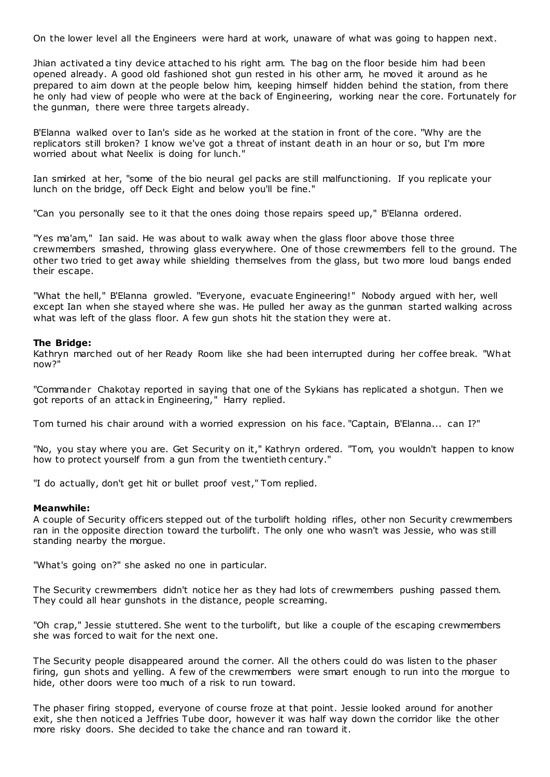On the lower level all the Engineers were hard at work, unaware of what was going to happen next.

Jhian activated a tiny device attached to his right arm. The bag on the floor beside him had been opened already. A good old fashioned shot gun rested in his other arm, he moved it around as he prepared to aim down at the people below him, keeping himself hidden behind the station, from there he only had view of people who were at the back of Engineering, working near the core. Fortunately for the gunman, there were three targets already.

B'Elanna walked over to Ian's side as he worked at the station in front of the core. "Why are the replicators still broken? I know we've got a threat of instant death in an hour or so, but I'm more worried about what Neelix is doing for lunch."

Ian smirked at her, "some of the bio neural gel packs are still malfunctioning. If you replicate your lunch on the bridge, off Deck Eight and below you'll be fine."

"Can you personally see to it that the ones doing those repairs speed up," B'Elanna ordered.

"Yes ma'am," Ian said. He was about to walk away when the glass floor above those three crewmembers smashed, throwing glass everywhere. One of those crewmembers fell to the ground. The other two tried to get away while shielding themselves from the glass, but two more loud bangs ended their escape.

"What the hell," B'Elanna growled. "Everyone, evacuate Engineering!" Nobody argued with her, well except Ian when she stayed where she was. He pulled her away as the gunman started walking across what was left of the glass floor. A few gun shots hit the station they were at.

## **The Bridge:**

Kathryn marched out of her Ready Room like she had been interrupted during her coffee break. "What now?"

"Commander Chakotay reported in saying that one of the Sykians has replicated a shotgun. Then we got reports of an attack in Engineering," Harry replied.

Tom turned his chair around with a worried expression on his face. "Captain, B'Elanna... can I?"

"No, you stay where you are. Get Security on it," Kathryn ordered. "Tom, you wouldn't happen to know how to protect yourself from a gun from the twentieth century."

"I do actually, don't get hit or bullet proof vest," Tom replied.

#### **Meanwhile:**

A couple of Security officers stepped out of the turbolift holding rifles, other non Security crewmembers ran in the opposite direction toward the turbolift. The only one who wasn't was Jessie, who was still standing nearby the morgue.

"What's going on?" she asked no one in particular.

The Security crewmembers didn't notice her as they had lots of crewmembers pushing passed them. They could all hear gunshots in the distance, people screaming.

"Oh crap," Jessie stuttered. She went to the turbolift, but like a couple of the escaping crewmembers she was forced to wait for the next one.

The Security people disappeared around the corner. All the others could do was listen to the phaser firing, gun shots and yelling. A few of the crewmembers were smart enough to run into the morgue to hide, other doors were too much of a risk to run toward.

The phaser firing stopped, everyone of course froze at that point. Jessie looked around for another exit, she then noticed a Jeffries Tube door, however it was half way down the corridor like the other more risky doors. She decided to take the chance and ran toward it.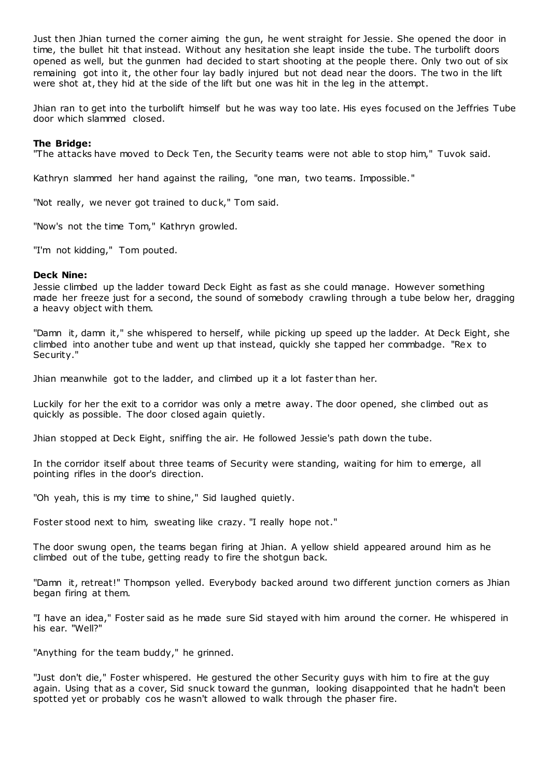Just then Jhian turned the corner aiming the gun, he went straight for Jessie. She opened the door in time, the bullet hit that instead. Without any hesitation she leapt inside the tube. The turbolift doors opened as well, but the gunmen had decided to start shooting at the people there. Only two out of six remaining got into it, the other four lay badly injured but not dead near the doors. The two in the lift were shot at, they hid at the side of the lift but one was hit in the leg in the attempt.

Jhian ran to get into the turbolift himself but he was way too late. His eyes focused on the Jeffries Tube door which slammed closed.

## **The Bridge:**

"The attacks have moved to Deck Ten, the Security teams were not able to stop him," Tuvok said.

Kathryn slammed her hand against the railing, "one man, two teams. Impossible."

"Not really, we never got trained to duck," Tom said.

"Now's not the time Tom," Kathryn growled.

"I'm not kidding," Tom pouted.

## **Deck Nine:**

Jessie climbed up the ladder toward Deck Eight as fast as she could manage. However something made her freeze just for a second, the sound of somebody crawling through a tube below her, dragging a heavy object with them.

"Damn it, damn it," she whispered to herself, while picking up speed up the ladder. At Deck Eight, she climbed into another tube and went up that instead, quickly she tapped her commbadge. "Rex to Security."

Jhian meanwhile got to the ladder, and climbed up it a lot faster than her.

Luckily for her the exit to a corridor was only a metre away. The door opened, she climbed out as quickly as possible. The door closed again quietly.

Jhian stopped at Deck Eight, sniffing the air. He followed Jessie's path down the tube.

In the corridor itself about three teams of Security were standing, waiting for him to emerge, all pointing rifles in the door's direction.

"Oh yeah, this is my time to shine," Sid laughed quietly.

Foster stood next to him, sweating like crazy. "I really hope not."

The door swung open, the teams began firing at Jhian. A yellow shield appeared around him as he climbed out of the tube, getting ready to fire the shotgun back.

"Damn it, retreat!" Thompson yelled. Everybody backed around two different junction corners as Jhian began firing at them.

"I have an idea," Foster said as he made sure Sid stayed with him around the corner. He whispered in his ear. "Well?"

"Anything for the team buddy," he grinned.

"Just don't die," Foster whispered. He gestured the other Security guys with him to fire at the guy again. Using that as a cover, Sid snuck toward the gunman, looking disappointed that he hadn't been spotted yet or probably cos he wasn't allowed to walk through the phaser fire.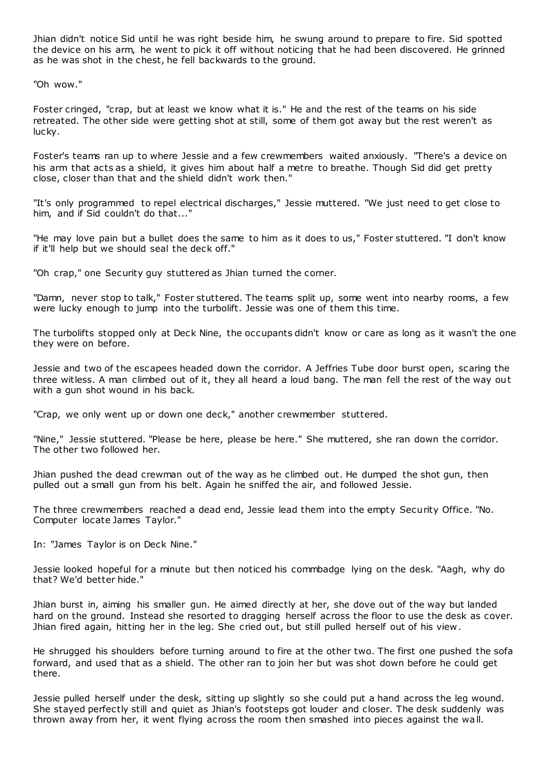Jhian didn't notice Sid until he was right beside him, he swung around to prepare to fire. Sid spotted the device on his arm, he went to pick it off without noticing that he had been discovered. He grinned as he was shot in the chest, he fell backwards to the ground.

"Oh wow."

Foster cringed, "crap, but at least we know what it is." He and the rest of the teams on his side retreated. The other side were getting shot at still, some of them got away but the rest weren't as lucky.

Foster's teams ran up to where Jessie and a few crewmembers waited anxiously. "There's a device on his arm that acts as a shield, it gives him about half a metre to breathe. Though Sid did get pretty close, closer than that and the shield didn't work then."

"It's only programmed to repel electrical discharges," Jessie muttered. "We just need to get close to him, and if Sid couldn't do that..."

"He may love pain but a bullet does the same to him as it does to us," Foster stuttered. "I don't know if it'll help but we should seal the deck off."

"Oh crap," one Security guy stuttered as Jhian turned the corner.

"Damn, never stop to talk," Foster stuttered. The teams split up, some went into nearby rooms, a few were lucky enough to jump into the turbolift. Jessie was one of them this time.

The turbolifts stopped only at Deck Nine, the occupants didn't know or care as long as it wasn't the one they were on before.

Jessie and two of the escapees headed down the corridor. A Jeffries Tube door burst open, scaring the three witless. A man climbed out of it, they all heard a loud bang. The man fell the rest of the way out with a gun shot wound in his back.

"Crap, we only went up or down one deck," another crewmember stuttered.

"Nine," Jessie stuttered. "Please be here, please be here." She muttered, she ran down the corridor. The other two followed her.

Jhian pushed the dead crewman out of the way as he climbed out. He dumped the shot gun, then pulled out a small gun from his belt. Again he sniffed the air, and followed Jessie.

The three crewmembers reached a dead end, Jessie lead them into the empty Security Office. "No. Computer locate James Taylor."

In: "James Taylor is on Deck Nine."

Jessie looked hopeful for a minute but then noticed his commbadge lying on the desk. "Aagh, why do that? We'd better hide."

Jhian burst in, aiming his smaller gun. He aimed directly at her, she dove out of the way but landed hard on the ground. Instead she resorted to dragging herself across the floor to use the desk as cover. Jhian fired again, hitting her in the leg. She cried out, but still pulled herself out of his view .

He shrugged his shoulders before turning around to fire at the other two. The first one pushed the sofa forward, and used that as a shield. The other ran to join her but was shot down before he could get there.

Jessie pulled herself under the desk, sitting up slightly so she could put a hand across the leg wound. She stayed perfectly still and quiet as Jhian's footsteps got louder and closer. The desk suddenly was thrown away from her, it went flying across the room then smashed into pieces against the wall.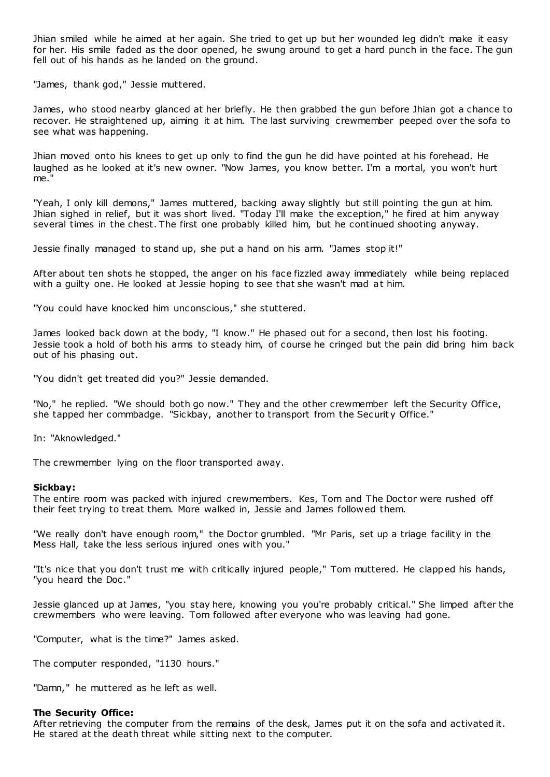Jhian smiled while he aimed at her again. She tried to get up but her wounded leg didn't make it easy for her. His smile faded as the door opened, he swung around to get a hard punch in the face. The gun fell out of his hands as he landed on the ground.

"James, thank god," Jessie muttered.

James, who stood nearby glanced at her briefly. He then grabbed the gun before Jhian got a chance to recover. He straightened up, aiming it at him. The last surviving crewmember peeped over the sofa to see what was happening.

Jhian moved onto his knees to get up only to find the gun he did have pointed at his forehead. He laughed as he looked at it's new owner. "Now James, you know better. I'm a mortal, you won't hurt me."

"Yeah, I only kill demons," James muttered, backing away slightly but still pointing the gun at him. Jhian sighed in relief, but it was short lived. "Today I'll make the exception," he fired at him anyway several times in the chest. The first one probably killed him, but he continued shooting anyway.

Jessie finally managed to stand up, she put a hand on his arm. "James stop it!"

After about ten shots he stopped, the anger on his face fizzled away immediately while being replaced with a guilty one. He looked at Jessie hoping to see that she wasn't mad at him.

"You could have knocked him unconscious," she stuttered.

James looked back down at the body, "I know." He phased out for a second, then lost his footing. Jessie took a hold of both his arms to steady him, of course he cringed but the pain did bring him back out of his phasing out.

"You didn't get treated did you?" Jessie demanded.

"No," he replied. "We should both go now." They and the other crewmember left the Security Office, she tapped her commbadge. "Sickbay, another to transport from the Securit y Office."

In: "Aknowledged."

The crewmember lying on the floor transported away.

#### **Sickbay:**

The entire room was packed with injured crewmembers. Kes, Tom and The Doctor were rushed off their feet trying to treat them. More walked in, Jessie and James followed them.

"We really don't have enough room," the Doctor grumbled. "Mr Paris, set up a triage facility in the Mess Hall, take the less serious injured ones with you."

"It's nice that you don't trust me with critically injured people," Tom muttered. He clapped his hands, "you heard the Doc."

Jessie glanced up at James, "you stay here, knowing you you're probably critical." She limped after the crewmembers who were leaving. Tom followed after everyone who was leaving had gone.

"Computer, what is the time?" James asked.

The computer responded, "1130 hours."

"Damn," he muttered as he left as well.

## **The Security Office:**

After retrieving the computer from the remains of the desk, James put it on the sofa and activated it. He stared at the death threat while sitting next to the computer.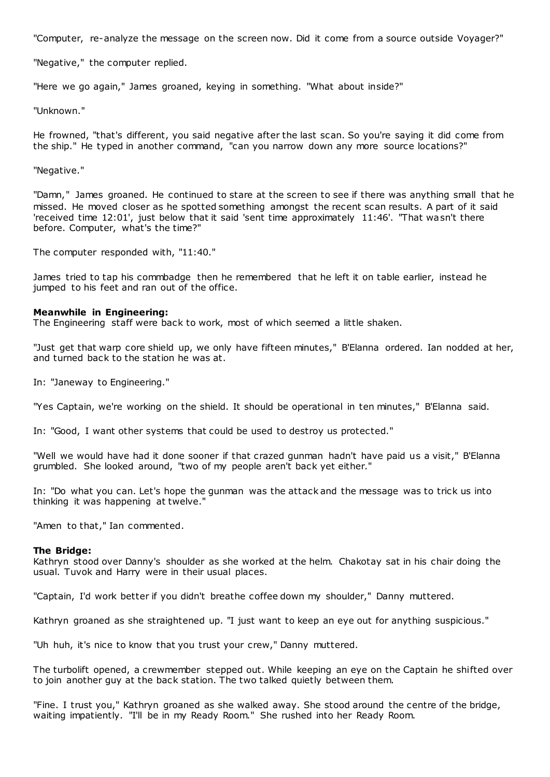"Computer, re-analyze the message on the screen now. Did it come from a source outside Voyager?"

"Negative," the computer replied.

"Here we go again," James groaned, keying in something. "What about inside?"

"Unknown."

He frowned, "that's different, you said negative after the last scan. So you're saying it did come from the ship." He typed in another command, "can you narrow down any more source locations?"

### "Negative."

"Damn," James groaned. He continued to stare at the screen to see if there was anything small that he missed. He moved closer as he spotted something amongst the recent scan results. A part of it said 'received time 12:01', just below that it said 'sent time approximately 11:46'. "That wasn't there before. Computer, what's the time?"

The computer responded with, "11:40."

James tried to tap his commbadge then he remembered that he left it on table earlier, instead he jumped to his feet and ran out of the office.

## **Meanwhile in Engineering:**

The Engineering staff were back to work, most of which seemed a little shaken.

"Just get that warp core shield up, we only have fifteen minutes," B'Elanna ordered. Ian nodded at her, and turned back to the station he was at.

In: "Janeway to Engineering."

"Yes Captain, we're working on the shield. It should be operational in ten minutes," B'Elanna said.

In: "Good, I want other systems that could be used to destroy us protected."

"Well we would have had it done sooner if that crazed gunman hadn't have paid us a visit," B'Elanna grumbled. She looked around, "two of my people aren't back yet either."

In: "Do what you can. Let's hope the gunman was the attack and the message was to trick us into thinking it was happening at twelve."

"Amen to that," Ian commented.

#### **The Bridge:**

Kathryn stood over Danny's shoulder as she worked at the helm. Chakotay sat in his chair doing the usual. Tuvok and Harry were in their usual places.

"Captain, I'd work better if you didn't breathe coffee down my shoulder," Danny muttered.

Kathryn groaned as she straightened up. "I just want to keep an eye out for anything suspicious."

"Uh huh, it's nice to know that you trust your crew," Danny muttered.

The turbolift opened, a crewmember stepped out. While keeping an eye on the Captain he shifted over to join another guy at the back station. The two talked quietly between them.

"Fine. I trust you," Kathryn groaned as she walked away. She stood around the centre of the bridge, waiting impatiently. "I'll be in my Ready Room." She rushed into her Ready Room.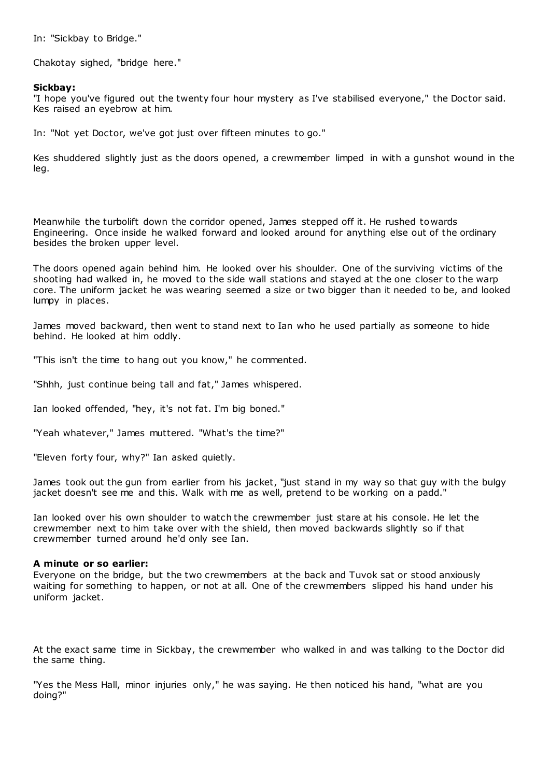In: "Sickbay to Bridge."

Chakotay sighed, "bridge here."

## **Sickbay:**

"I hope you've figured out the twenty four hour mystery as I've stabilised everyone," the Doctor said. Kes raised an eyebrow at him.

In: "Not yet Doctor, we've got just over fifteen minutes to go."

Kes shuddered slightly just as the doors opened, a crewmember limped in with a gunshot wound in the leg.

Meanwhile the turbolift down the corridor opened, James stepped off it. He rushed towards Engineering. Once inside he walked forward and looked around for anything else out of the ordinary besides the broken upper level.

The doors opened again behind him. He looked over his shoulder. One of the surviving victims of the shooting had walked in, he moved to the side wall stations and stayed at the one closer to the warp core. The uniform jacket he was wearing seemed a size or two bigger than it needed to be, and looked lumpy in places.

James moved backward, then went to stand next to Ian who he used partially as someone to hide behind. He looked at him oddly.

"This isn't the time to hang out you know," he commented.

"Shhh, just continue being tall and fat," James whispered.

Ian looked offended, "hey, it's not fat. I'm big boned."

"Yeah whatever," James muttered. "What's the time?"

"Eleven forty four, why?" Ian asked quietly.

James took out the gun from earlier from his jacket, "just stand in my way so that guy with the bulgy jacket doesn't see me and this. Walk with me as well, pretend to be working on a padd."

Ian looked over his own shoulder to watch the crewmember just stare at his console. He let the crewmember next to him take over with the shield, then moved backwards slightly so if that crewmember turned around he'd only see Ian.

### **A minute or so earlier:**

Everyone on the bridge, but the two crewmembers at the back and Tuvok sat or stood anxiously waiting for something to happen, or not at all. One of the crewmembers slipped his hand under his uniform jacket.

At the exact same time in Sickbay, the crewmember who walked in and was talking to the Doctor did the same thing.

"Yes the Mess Hall, minor injuries only," he was saying. He then noticed his hand, "what are you doing?"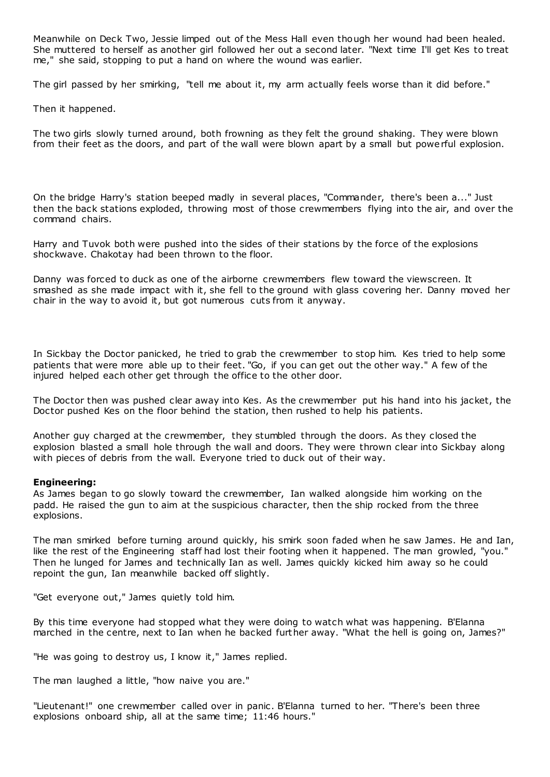Meanwhile on Deck Two, Jessie limped out of the Mess Hall even though her wound had been healed. She muttered to herself as another girl followed her out a second later. "Next time I'll get Kes to treat me," she said, stopping to put a hand on where the wound was earlier.

The girl passed by her smirking, "tell me about it, my arm actually feels worse than it did before."

Then it happened.

The two girls slowly turned around, both frowning as they felt the ground shaking. They were blown from their feet as the doors, and part of the wall were blown apart by a small but powerful explosion.

On the bridge Harry's station beeped madly in several places, "Commander, there's been a..." Just then the back stations exploded, throwing most of those crewmembers flying into the air, and over the command chairs.

Harry and Tuvok both were pushed into the sides of their stations by the force of the explosions shockwave. Chakotay had been thrown to the floor.

Danny was forced to duck as one of the airborne crewmembers flew toward the viewscreen. It smashed as she made impact with it, she fell to the ground with glass covering her. Danny moved her chair in the way to avoid it, but got numerous cuts from it anyway.

In Sickbay the Doctor panicked, he tried to grab the crewmember to stop him. Kes tried to help some patients that were more able up to their feet. "Go, if you can get out the other way." A few of the injured helped each other get through the office to the other door.

The Doctor then was pushed clear away into Kes. As the crewmember put his hand into his jacket, the Doctor pushed Kes on the floor behind the station, then rushed to help his patients.

Another guy charged at the crewmember, they stumbled through the doors. As they closed the explosion blasted a small hole through the wall and doors. They were thrown clear into Sickbay along with pieces of debris from the wall. Everyone tried to duck out of their way.

## **Engineering:**

As James began to go slowly toward the crewmember, Ian walked alongside him working on the padd. He raised the gun to aim at the suspicious character, then the ship rocked from the three explosions.

The man smirked before turning around quickly, his smirk soon faded when he saw James. He and Ian, like the rest of the Engineering staff had lost their footing when it happened. The man growled, "you." Then he lunged for James and technically Ian as well. James quickly kicked him away so he could repoint the gun, Ian meanwhile backed off slightly.

"Get everyone out," James quietly told him.

By this time everyone had stopped what they were doing to watch what was happening. B'Elanna marched in the centre, next to Ian when he backed further away. "What the hell is going on, James?"

"He was going to destroy us, I know it," James replied.

The man laughed a little, "how naive you are."

"Lieutenant!" one crewmember called over in panic . B'Elanna turned to her. "There's been three explosions onboard ship, all at the same time; 11:46 hours."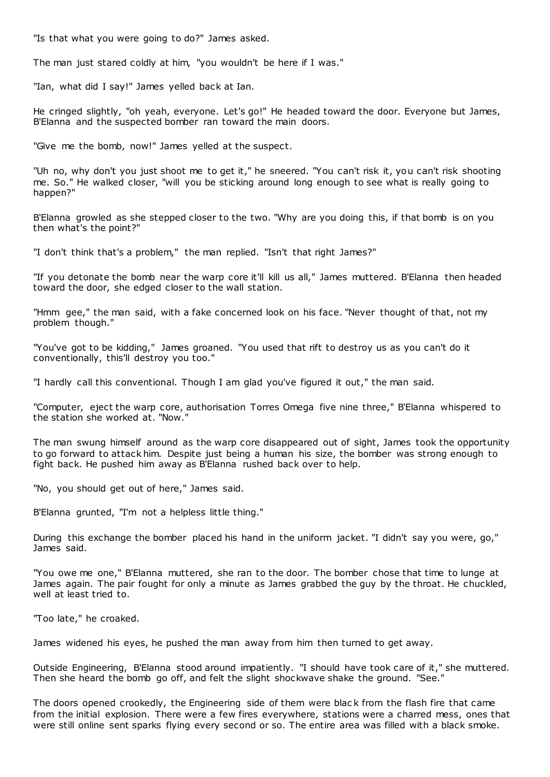"Is that what you were going to do?" James asked.

The man just stared coldly at him, "you wouldn't be here if I was."

"Ian, what did I say!" James yelled back at Ian.

He cringed slightly, "oh yeah, everyone. Let's go!" He headed toward the door. Everyone but James, B'Elanna and the suspected bomber ran toward the main doors.

"Give me the bomb, now!" James yelled at the suspect.

"Uh no, why don't you just shoot me to get it," he sneered. "You can't risk it, you can't risk shooting me. So." He walked closer, "will you be sticking around long enough to see what is really going to happen?"

B'Elanna growled as she stepped closer to the two. "Why are you doing this, if that bomb is on you then what's the point?"

"I don't think that's a problem," the man replied. "Isn't that right James?"

"If you detonate the bomb near the warp core it'll kill us all," James muttered. B'Elanna then headed toward the door, she edged closer to the wall station.

"Hmm gee," the man said, with a fake concerned look on his face. "Never thought of that, not my problem though."

"You've got to be kidding," James groaned. "You used that rift to destroy us as you can't do it conventionally, this'll destroy you too."

"I hardly call this conventional. Though I am glad you've figured it out," the man said.

"Computer, eject the warp core, authorisation Torres Omega five nine three," B'Elanna whispered to the station she worked at. "Now."

The man swung himself around as the warp core disappeared out of sight, James took the opportunity to go forward to attack him. Despite just being a human his size, the bomber was strong enough to fight back. He pushed him away as B'Elanna rushed back over to help.

"No, you should get out of here," James said.

B'Elanna grunted, "I'm not a helpless little thing."

During this exchange the bomber placed his hand in the uniform jacket. "I didn't say you were, go," James said.

"You owe me one," B'Elanna muttered, she ran to the door. The bomber chose that time to lunge at James again. The pair fought for only a minute as James grabbed the guy by the throat. He chuckled, well at least tried to.

"Too late," he croaked.

James widened his eyes, he pushed the man away from him then turned to get away.

Outside Engineering, B'Elanna stood around impatiently. "I should have took care of it," she muttered. Then she heard the bomb go off, and felt the slight shockwave shake the ground. "See."

The doors opened crookedly, the Engineering side of them were blac k from the flash fire that came from the initial explosion. There were a few fires everywhere, stations were a charred mess, ones that were still online sent sparks flying every second or so. The entire area was filled with a black smoke.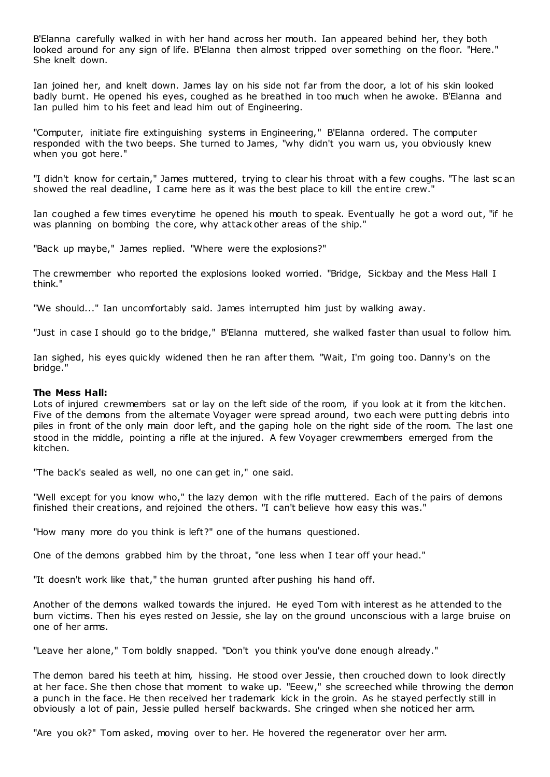B'Elanna carefully walked in with her hand across her mouth. Ian appeared behind her, they both looked around for any sign of life. B'Elanna then almost tripped over something on the floor. "Here." She knelt down.

Ian joined her, and knelt down. James lay on his side not far from the door, a lot of his skin looked badly burnt. He opened his eyes, coughed as he breathed in too much when he awoke. B'Elanna and Ian pulled him to his feet and lead him out of Engineering.

"Computer, initiate fire extinguishing systems in Engineering," B'Elanna ordered. The computer responded with the two beeps. She turned to James, "why didn't you warn us, you obviously knew when you got here."

"I didn't know for certain," James muttered, trying to clear his throat with a few coughs. "The last sc an showed the real deadline, I came here as it was the best place to kill the entire crew."

Ian coughed a few times everytime he opened his mouth to speak. Eventually he got a word out, "if he was planning on bombing the core, why attack other areas of the ship."

"Back up maybe," James replied. "Where were the explosions?"

The crewmember who reported the explosions looked worried. "Bridge, Sickbay and the Mess Hall I think."

"We should..." Ian uncomfortably said. James interrupted him just by walking away.

"Just in case I should go to the bridge," B'Elanna muttered, she walked faster than usual to follow him.

Ian sighed, his eyes quickly widened then he ran after them. "Wait, I'm going too. Danny's on the bridge."

### **The Mess Hall:**

Lots of injured crewmembers sat or lay on the left side of the room, if you look at it from the kitchen. Five of the demons from the alternate Voyager were spread around, two each were putting debris into piles in front of the only main door left, and the gaping hole on the right side of the room. The last one stood in the middle, pointing a rifle at the injured. A few Voyager crewmembers emerged from the kitchen.

"The back's sealed as well, no one can get in," one said.

"Well except for you know who," the lazy demon with the rifle muttered. Each of the pairs of demons finished their creations, and rejoined the others. "I can't believe how easy this was."

"How many more do you think is left?" one of the humans questioned.

One of the demons grabbed him by the throat, "one less when I tear off your head."

"It doesn't work like that," the human grunted after pushing his hand off.

Another of the demons walked towards the injured. He eyed Tom with interest as he attended to the burn victims. Then his eyes rested on Jessie, she lay on the ground unconscious with a large bruise on one of her arms.

"Leave her alone," Tom boldly snapped. "Don't you think you've done enough already."

The demon bared his teeth at him, hissing. He stood over Jessie, then crouched down to look directly at her face. She then chose that moment to wake up. "Eeew," she screeched while throwing the demon a punch in the face. He then received her trademark kick in the groin. As he stayed perfectly still in obviously a lot of pain, Jessie pulled herself backwards. She cringed when she noticed her arm.

"Are you ok?" Tom asked, moving over to her. He hovered the regenerator over her arm.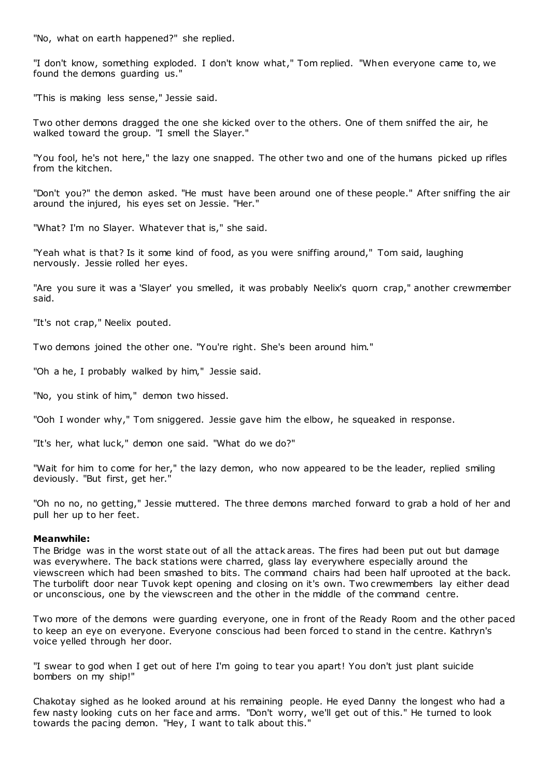"No, what on earth happened?" she replied.

"I don't know, something exploded. I don't know what," Tom replied. "When everyone came to, we found the demons guarding us."

"This is making less sense," Jessie said.

Two other demons dragged the one she kicked over to the others. One of them sniffed the air, he walked toward the group. "I smell the Slayer."

"You fool, he's not here," the lazy one snapped. The other two and one of the humans picked up rifles from the kitchen.

"Don't you?" the demon asked. "He must have been around one of these people." After sniffing the air around the injured, his eyes set on Jessie. "Her."

"What? I'm no Slayer. Whatever that is," she said.

"Yeah what is that? Is it some kind of food, as you were sniffing around," Tom said, laughing nervously. Jessie rolled her eyes.

"Are you sure it was a 'Slayer' you smelled, it was probably Neelix's quorn crap," another crewmember said.

"It's not crap," Neelix pouted.

Two demons joined the other one. "You're right. She's been around him."

"Oh a he, I probably walked by him," Jessie said.

"No, you stink of him," demon two hissed.

"Ooh I wonder why," Tom sniggered. Jessie gave him the elbow, he squeaked in response.

"It's her, what luck," demon one said. "What do we do?"

"Wait for him to come for her," the lazy demon, who now appeared to be the leader, replied smiling deviously. "But first, get her."

"Oh no no, no getting," Jessie muttered. The three demons marched forward to grab a hold of her and pull her up to her feet.

## **Meanwhile:**

The Bridge was in the worst state out of all the attack areas. The fires had been put out but damage was everywhere. The back stations were charred, glass lay everywhere especially around the viewscreen which had been smashed to bits. The command chairs had been half uprooted at the back. The turbolift door near Tuvok kept opening and closing on it's own. Two crewmembers lay either dead or unconscious, one by the viewscreen and the other in the middle of the command centre.

Two more of the demons were guarding everyone, one in front of the Ready Room and the other paced to keep an eye on everyone. Everyone conscious had been forced to stand in the centre. Kathryn's voice yelled through her door.

"I swear to god when I get out of here I'm going to tear you apart! You don't just plant suicide bombers on my ship!"

Chakotay sighed as he looked around at his remaining people. He eyed Danny the longest who had a few nasty looking cuts on her face and arms. "Don't worry, we'll get out of this." He turned to look towards the pacing demon. "Hey, I want to talk about this."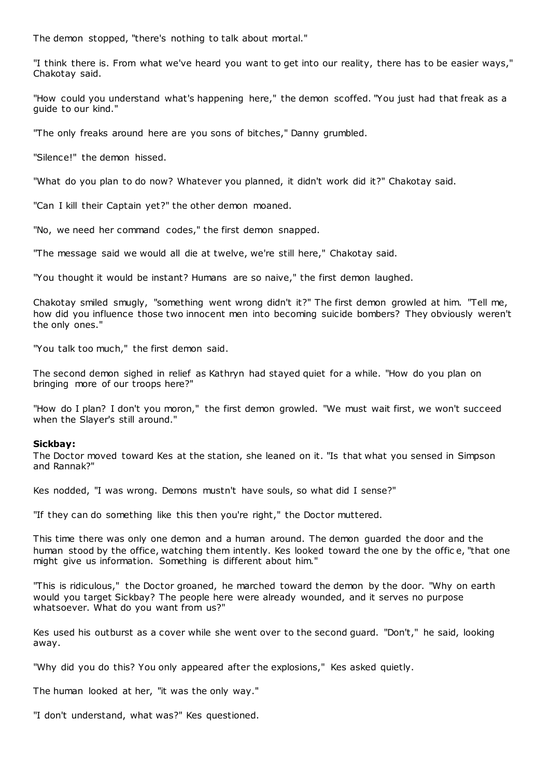The demon stopped, "there's nothing to talk about mortal."

"I think there is. From what we've heard you want to get into our reality, there has to be easier ways," Chakotay said.

"How could you understand what's happening here," the demon scoffed. "You just had that freak as a guide to our kind."

"The only freaks around here are you sons of bitches," Danny grumbled.

"Silence!" the demon hissed.

"What do you plan to do now? Whatever you planned, it didn't work did it?" Chakotay said.

"Can I kill their Captain yet?" the other demon moaned.

"No, we need her command codes," the first demon snapped.

"The message said we would all die at twelve, we're still here," Chakotay said.

"You thought it would be instant? Humans are so naive," the first demon laughed.

Chakotay smiled smugly, "something went wrong didn't it?" The first demon growled at him. "Tell me, how did you influence those two innocent men into becoming suicide bombers? They obviously weren't the only ones."

"You talk too much," the first demon said.

The second demon sighed in relief as Kathryn had stayed quiet for a while. "How do you plan on bringing more of our troops here?"

"How do I plan? I don't you moron," the first demon growled. "We must wait first, we won't succeed when the Slayer's still around."

## **Sickbay:**

The Doctor moved toward Kes at the station, she leaned on it. "Is that what you sensed in Simpson and Rannak?"

Kes nodded, "I was wrong. Demons mustn't have souls, so what did I sense?"

"If they can do something like this then you're right," the Doctor muttered.

This time there was only one demon and a human around. The demon guarded the door and the human stood by the office, watching them intently. Kes looked toward the one by the offic e, "that one might give us information. Something is different about him."

"This is ridiculous," the Doctor groaned, he marched toward the demon by the door. "Why on earth would you target Sickbay? The people here were already wounded, and it serves no purpose whatsoever. What do you want from us?"

Kes used his outburst as a cover while she went over to the second guard. "Don't," he said, looking away.

"Why did you do this? You only appeared after the explosions," Kes asked quietly.

The human looked at her, "it was the only way."

"I don't understand, what was?" Kes questioned.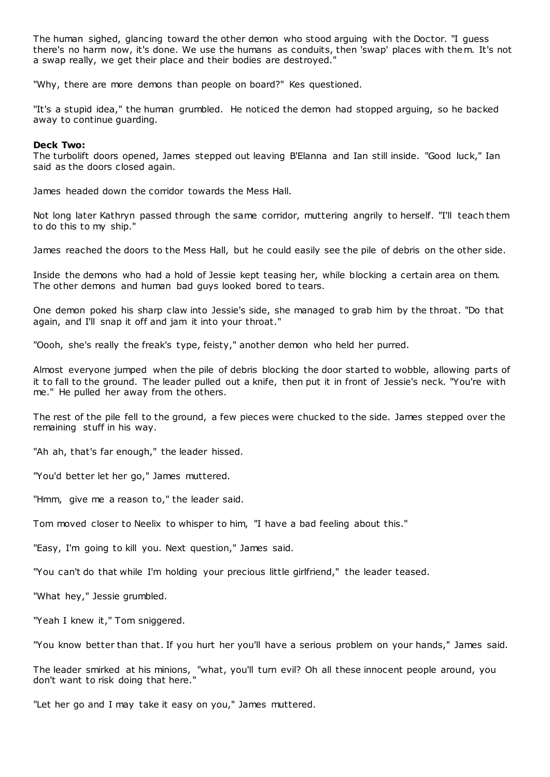The human sighed, glancing toward the other demon who stood arguing with the Doctor. "I guess there's no harm now, it's done. We use the humans as conduits, then 'swap' places with them. It's not a swap really, we get their place and their bodies are destroyed."

"Why, there are more demons than people on board?" Kes questioned.

"It's a stupid idea," the human grumbled. He noticed the demon had stopped arguing, so he backed away to continue guarding.

## **Deck Two:**

The turbolift doors opened, James stepped out leaving B'Elanna and Ian still inside. "Good luck," Ian said as the doors closed again.

James headed down the corridor towards the Mess Hall.

Not long later Kathryn passed through the same corridor, muttering angrily to herself. "I'll teach them to do this to my ship."

James reached the doors to the Mess Hall, but he could easily see the pile of debris on the other side.

Inside the demons who had a hold of Jessie kept teasing her, while blocking a certain area on them. The other demons and human bad guys looked bored to tears.

One demon poked his sharp claw into Jessie's side, she managed to grab him by the throat. "Do that again, and I'll snap it off and jam it into your throat."

"Oooh, she's really the freak's type, feisty," another demon who held her purred.

Almost everyone jumped when the pile of debris blocking the door started to wobble, allowing parts of it to fall to the ground. The leader pulled out a knife, then put it in front of Jessie's neck. "You're with me." He pulled her away from the others.

The rest of the pile fell to the ground, a few pieces were chucked to the side. James stepped over the remaining stuff in his way.

"Ah ah, that's far enough," the leader hissed.

"You'd better let her go," James muttered.

"Hmm, give me a reason to," the leader said.

Tom moved closer to Neelix to whisper to him, "I have a bad feeling about this."

"Easy, I'm going to kill you. Next question," James said.

"You can't do that while I'm holding your precious little girlfriend," the leader teased.

"What hey," Jessie grumbled.

"Yeah I knew it," Tom sniggered.

"You know better than that. If you hurt her you'll have a serious problem on your hands," James said.

The leader smirked at his minions, "what, you'll turn evil? Oh all these innocent people around, you don't want to risk doing that here."

"Let her go and I may take it easy on you," James muttered.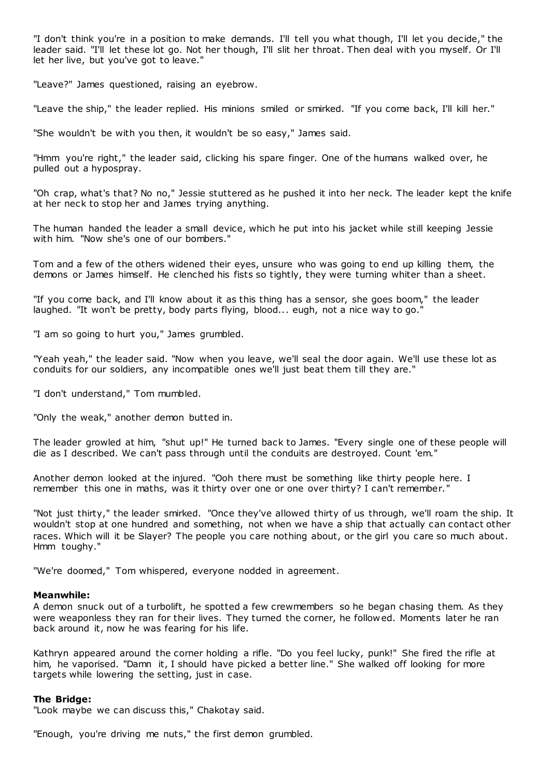"I don't think you're in a position to make demands. I'll tell you what though, I'll let you decide," the leader said. "I'll let these lot go. Not her though, I'll slit her throat. Then deal with you myself. Or I'll let her live, but you've got to leave."

"Leave?" James questioned, raising an eyebrow.

"Leave the ship," the leader replied. His minions smiled or smirked. "If you come back, I'll kill her."

"She wouldn't be with you then, it wouldn't be so easy," James said.

"Hmm you're right," the leader said, clicking his spare finger. One of the humans walked over, he pulled out a hypospray.

"Oh crap, what's that? No no," Jessie stuttered as he pushed it into her neck. The leader kept the knife at her neck to stop her and James trying anything.

The human handed the leader a small device, which he put into his jacket while still keeping Jessie with him. "Now she's one of our bombers."

Tom and a few of the others widened their eyes, unsure who was going to end up killing them, the demons or James himself. He clenched his fists so tightly, they were turning whiter than a sheet.

"If you come back, and I'll know about it as this thing has a sensor, she goes boom," the leader laughed. "It won't be pretty, body parts flying, blood... eugh, not a nice way to go."

"I am so going to hurt you," James grumbled.

"Yeah yeah," the leader said. "Now when you leave, we'll seal the door again. We'll use these lot as conduits for our soldiers, any incompatible ones we'll just beat them till they are."

"I don't understand," Tom mumbled.

"Only the weak," another demon butted in.

The leader growled at him, "shut up!" He turned back to James. "Every single one of these people will die as I described. We can't pass through until the conduits are destroyed. Count 'em."

Another demon looked at the injured. "Ooh there must be something like thirty people here. I remember this one in maths, was it thirty over one or one over thirty? I can't remember."

"Not just thirty," the leader smirked. "Once they've allowed thirty of us through, we'll roam the ship. It wouldn't stop at one hundred and something, not when we have a ship that actually can contact other races. Which will it be Slayer? The people you care nothing about, or the girl you care so much about. Hmm toughy."

"We're doomed," Tom whispered, everyone nodded in agreement.

#### **Meanwhile:**

A demon snuck out of a turbolift, he spotted a few crewmembers so he began chasing them. As they were weaponless they ran for their lives. They turned the corner, he followed. Moments later he ran back around it, now he was fearing for his life.

Kathryn appeared around the corner holding a rifle. "Do you feel lucky, punk!" She fired the rifle at him, he vaporised. "Damn it, I should have picked a better line." She walked off looking for more targets while lowering the setting, just in case.

#### **The Bridge:**

"Look maybe we can discuss this," Chakotay said.

"Enough, you're driving me nuts," the first demon grumbled.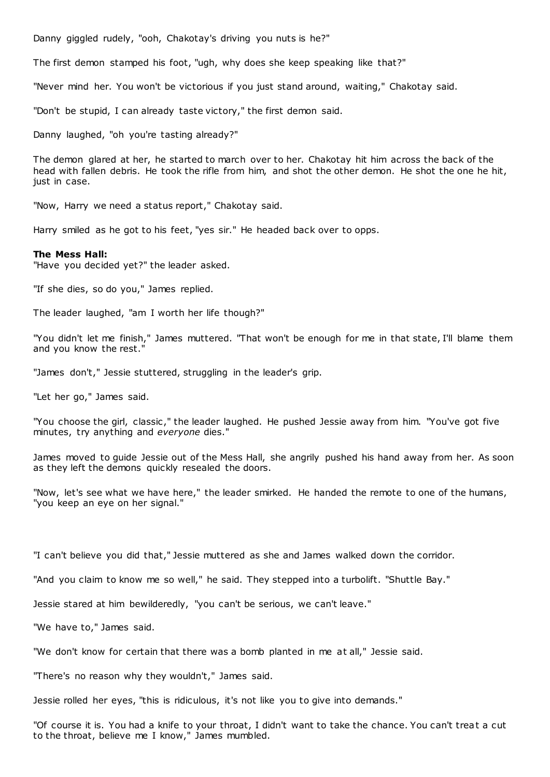Danny giggled rudely, "ooh, Chakotay's driving you nuts is he?"

The first demon stamped his foot, "ugh, why does she keep speaking like that?"

"Never mind her. You won't be victorious if you just stand around, waiting," Chakotay said.

"Don't be stupid, I can already taste victory," the first demon said.

Danny laughed, "oh you're tasting already?"

The demon glared at her, he started to march over to her. Chakotay hit him across the back of the head with fallen debris. He took the rifle from him, and shot the other demon. He shot the one he hit, just in case.

"Now, Harry we need a status report," Chakotay said.

Harry smiled as he got to his feet, "yes sir." He headed back over to opps.

#### **The Mess Hall:**

"Have you decided yet?" the leader asked.

"If she dies, so do you," James replied.

The leader laughed, "am I worth her life though?"

"You didn't let me finish," James muttered. "That won't be enough for me in that state, I'll blame them and you know the rest."

"James don't," Jessie stuttered, struggling in the leader's grip.

"Let her go," James said.

"You choose the girl, classic ," the leader laughed. He pushed Jessie away from him. "You've got five minutes, try anything and *everyone* dies."

James moved to guide Jessie out of the Mess Hall, she angrily pushed his hand away from her. As soon as they left the demons quickly resealed the doors.

"Now, let's see what we have here," the leader smirked. He handed the remote to one of the humans, "you keep an eye on her signal."

"I can't believe you did that," Jessie muttered as she and James walked down the corridor.

"And you claim to know me so well," he said. They stepped into a turbolift. "Shuttle Bay."

Jessie stared at him bewilderedly, "you can't be serious, we can't leave."

"We have to," James said.

"We don't know for certain that there was a bomb planted in me at all," Jessie said.

"There's no reason why they wouldn't," James said.

Jessie rolled her eyes, "this is ridiculous, it's not like you to give into demands."

"Of course it is. You had a knife to your throat, I didn't want to take the chance. You can't treat a cut to the throat, believe me I know," James mumbled.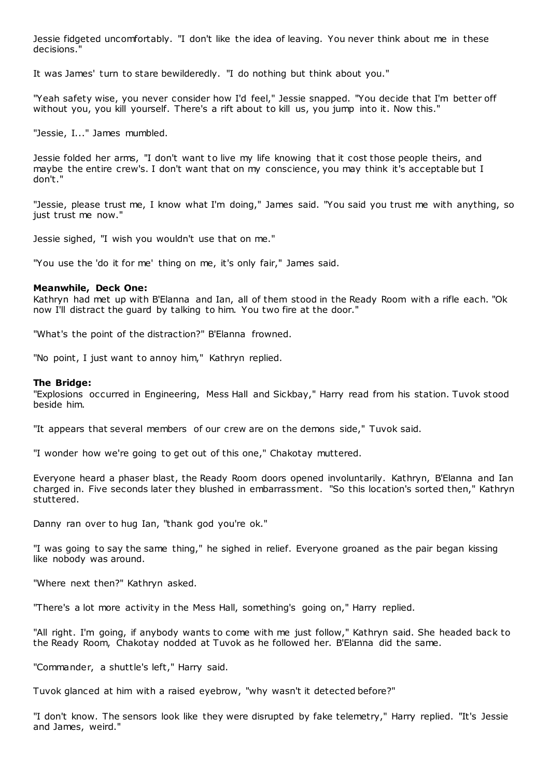Jessie fidgeted uncomfortably. "I don't like the idea of leaving. You never think about me in these decisions."

It was James' turn to stare bewilderedly. "I do nothing but think about you."

"Yeah safety wise, you never consider how I'd feel," Jessie snapped. "You decide that I'm better off without you, you kill yourself. There's a rift about to kill us, you jump into it. Now this."

"Jessie, I..." James mumbled.

Jessie folded her arms, "I don't want to live my life knowing that it cost those people theirs, and maybe the entire crew's. I don't want that on my conscience, you may think it's acceptable but I don't."

"Jessie, please trust me, I know what I'm doing," James said. "You said you trust me with anything, so just trust me now."

Jessie sighed, "I wish you wouldn't use that on me."

"You use the 'do it for me' thing on me, it's only fair," James said.

## **Meanwhile, Deck One:**

Kathryn had met up with B'Elanna and Ian, all of them stood in the Ready Room with a rifle each. "Ok now I'll distract the guard by talking to him. You two fire at the door."

"What's the point of the distraction?" B'Elanna frowned.

"No point, I just want to annoy him," Kathryn replied.

## **The Bridge:**

"Explosions occurred in Engineering, Mess Hall and Sickbay," Harry read from his station. Tuvok stood beside him.

"It appears that several members of our crew are on the demons side," Tuvok said.

"I wonder how we're going to get out of this one," Chakotay muttered.

Everyone heard a phaser blast, the Ready Room doors opened involuntarily. Kathryn, B'Elanna and Ian charged in. Five seconds later they blushed in embarrassment. "So this location's sorted then," Kathryn stuttered.

Danny ran over to hug Ian, "thank god you're ok."

"I was going to say the same thing," he sighed in relief. Everyone groaned as the pair began kissing like nobody was around.

"Where next then?" Kathryn asked.

"There's a lot more activity in the Mess Hall, something's going on," Harry replied.

"All right. I'm going, if anybody wants to come with me just follow," Kathryn said. She headed back to the Ready Room, Chakotay nodded at Tuvok as he followed her. B'Elanna did the same.

"Commander, a shuttle's left," Harry said.

Tuvok glanced at him with a raised eyebrow, "why wasn't it detected before?"

"I don't know. The sensors look like they were disrupted by fake telemetry," Harry replied. "It's Jessie and James, weird."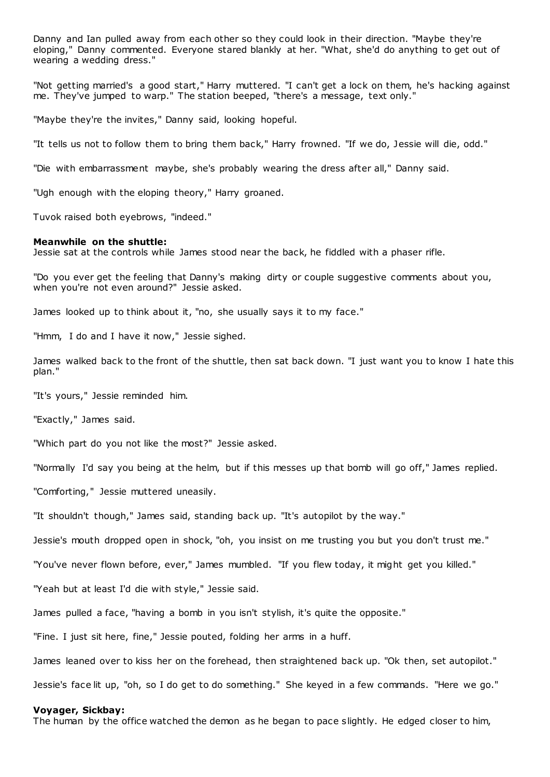Danny and Ian pulled away from each other so they could look in their direction. "Maybe they're eloping," Danny commented. Everyone stared blankly at her. "What, she'd do anything to get out of wearing a wedding dress."

"Not getting married's a good start," Harry muttered. "I can't get a lock on them, he's hacking against me. They've jumped to warp." The station beeped, "there's a message, text only."

"Maybe they're the invites," Danny said, looking hopeful.

"It tells us not to follow them to bring them back," Harry frowned. "If we do, Jessie will die, odd."

"Die with embarrassment maybe, she's probably wearing the dress after all," Danny said.

"Ugh enough with the eloping theory," Harry groaned.

Tuvok raised both eyebrows, "indeed."

#### **Meanwhile on the shuttle:**

Jessie sat at the controls while James stood near the back, he fiddled with a phaser rifle.

"Do you ever get the feeling that Danny's making dirty or couple suggestive comments about you, when you're not even around?" Jessie asked.

James looked up to think about it, "no, she usually says it to my face."

"Hmm, I do and I have it now," Jessie sighed.

James walked back to the front of the shuttle, then sat back down. "I just want you to know I hate this plan."

"It's yours," Jessie reminded him.

"Exactly," James said.

"Which part do you not like the most?" Jessie asked.

"Normally I'd say you being at the helm, but if this messes up that bomb will go off," James replied.

"Comforting," Jessie muttered uneasily.

"It shouldn't though," James said, standing back up. "It's autopilot by the way."

Jessie's mouth dropped open in shock, "oh, you insist on me trusting you but you don't trust me."

"You've never flown before, ever," James mumbled. "If you flew today, it might get you killed."

"Yeah but at least I'd die with style," Jessie said.

James pulled a face, "having a bomb in you isn't stylish, it's quite the opposite."

"Fine. I just sit here, fine," Jessie pouted, folding her arms in a huff.

James leaned over to kiss her on the forehead, then straightened back up. "Ok then, set autopilot."

Jessie's face lit up, "oh, so I do get to do something." She keyed in a few commands. "Here we go."

#### **Voyager, Sickbay:**

The human by the office watched the demon as he began to pace slightly. He edged closer to him,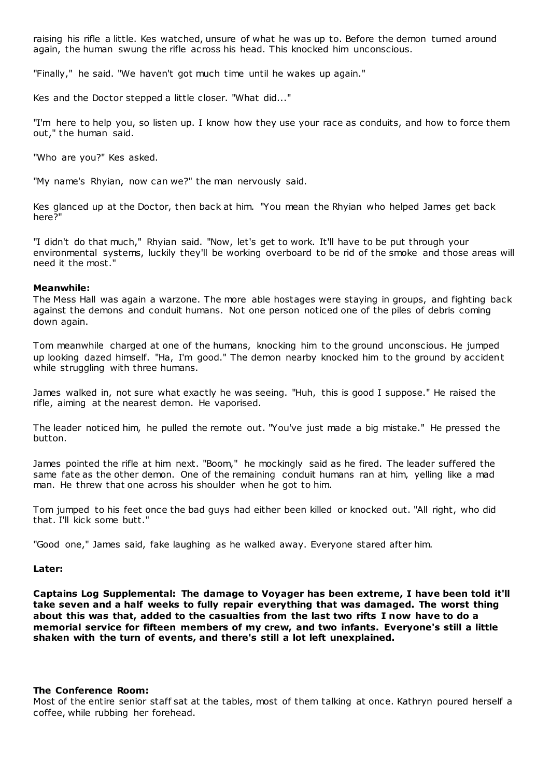raising his rifle a little. Kes watched, unsure of what he was up to. Before the demon turned around again, the human swung the rifle across his head. This knocked him unconscious.

"Finally," he said. "We haven't got much time until he wakes up again."

Kes and the Doctor stepped a little closer. "What did..."

"I'm here to help you, so listen up. I know how they use your race as conduits, and how to force them out," the human said.

"Who are you?" Kes asked.

"My name's Rhyian, now can we?" the man nervously said.

Kes glanced up at the Doctor, then back at him. "You mean the Rhyian who helped James get back here?"

"I didn't do that much," Rhyian said. "Now, let's get to work. It'll have to be put through your environmental systems, luckily they'll be working overboard to be rid of the smoke and those areas will need it the most."

## **Meanwhile:**

The Mess Hall was again a warzone. The more able hostages were staying in groups, and fighting back against the demons and conduit humans. Not one person noticed one of the piles of debris coming down again.

Tom meanwhile charged at one of the humans, knocking him to the ground unconscious. He jumped up looking dazed himself. "Ha, I'm good." The demon nearby knocked him to the ground by accident while struggling with three humans.

James walked in, not sure what exactly he was seeing. "Huh, this is good I suppose." He raised the rifle, aiming at the nearest demon. He vaporised.

The leader noticed him, he pulled the remote out. "You've just made a big mistake." He pressed the button.

James pointed the rifle at him next. "Boom," he mockingly said as he fired. The leader suffered the same fate as the other demon. One of the remaining conduit humans ran at him, yelling like a mad man. He threw that one across his shoulder when he got to him.

Tom jumped to his feet once the bad guys had either been killed or knocked out. "All right, who did that. I'll kick some butt."

"Good one," James said, fake laughing as he walked away. Everyone stared after him.

## **Later:**

**Captains Log Supplemental: The damage to Voyager has been extreme, I have been told it'll take seven and a half weeks to fully repair everything that was damaged. The worst thing about this was that, added to the casualties from the last two rifts I now have to do a memorial service for fifteen members of my crew, and two infants. Everyone's still a little shaken with the turn of events, and there's still a lot left unexplained.**

### **The Conference Room:**

Most of the entire senior staff sat at the tables, most of them talking at once. Kathryn poured herself a coffee, while rubbing her forehead.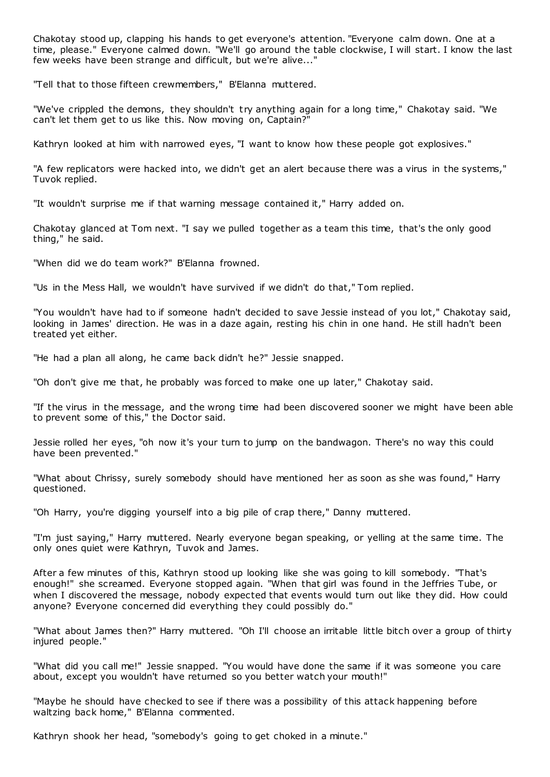Chakotay stood up, clapping his hands to get everyone's attention. "Everyone calm down. One at a time, please." Everyone calmed down. "We'll go around the table clockwise, I will start. I know the last few weeks have been strange and difficult, but we're alive..."

"Tell that to those fifteen crewmembers," B'Elanna muttered.

"We've crippled the demons, they shouldn't try anything again for a long time," Chakotay said. "We can't let them get to us like this. Now moving on, Captain?"

Kathryn looked at him with narrowed eyes, "I want to know how these people got explosives."

"A few replicators were hacked into, we didn't get an alert because there was a virus in the systems," Tuvok replied.

"It wouldn't surprise me if that warning message contained it," Harry added on.

Chakotay glanced at Tom next. "I say we pulled together as a team this time, that's the only good thing," he said.

"When did we do team work?" B'Elanna frowned.

"Us in the Mess Hall, we wouldn't have survived if we didn't do that," Tom replied.

"You wouldn't have had to if someone hadn't decided to save Jessie instead of you lot," Chakotay said, looking in James' direction. He was in a daze again, resting his chin in one hand. He still hadn't been treated yet either.

"He had a plan all along, he came back didn't he?" Jessie snapped.

"Oh don't give me that, he probably was forced to make one up later," Chakotay said.

"If the virus in the message, and the wrong time had been discovered sooner we might have been able to prevent some of this," the Doctor said.

Jessie rolled her eyes, "oh now it's your turn to jump on the bandwagon. There's no way this could have been prevented."

"What about Chrissy, surely somebody should have mentioned her as soon as she was found," Harry questioned.

"Oh Harry, you're digging yourself into a big pile of crap there," Danny muttered.

"I'm just saying," Harry muttered. Nearly everyone began speaking, or yelling at the same time. The only ones quiet were Kathryn, Tuvok and James.

After a few minutes of this, Kathryn stood up looking like she was going to kill somebody. "That's enough!" she screamed. Everyone stopped again. "When that girl was found in the Jeffries Tube, or when I discovered the message, nobody expected that events would turn out like they did. How could anyone? Everyone concerned did everything they could possibly do."

"What about James then?" Harry muttered. "Oh I'll choose an irritable little bitch over a group of thirty injured people."

"What did you call me!" Jessie snapped. "You would have done the same if it was someone you care about, except you wouldn't have returned so you better watch your mouth!"

"Maybe he should have checked to see if there was a possibility of this attack happening before waltzing back home," B'Elanna commented.

Kathryn shook her head, "somebody's going to get choked in a minute."